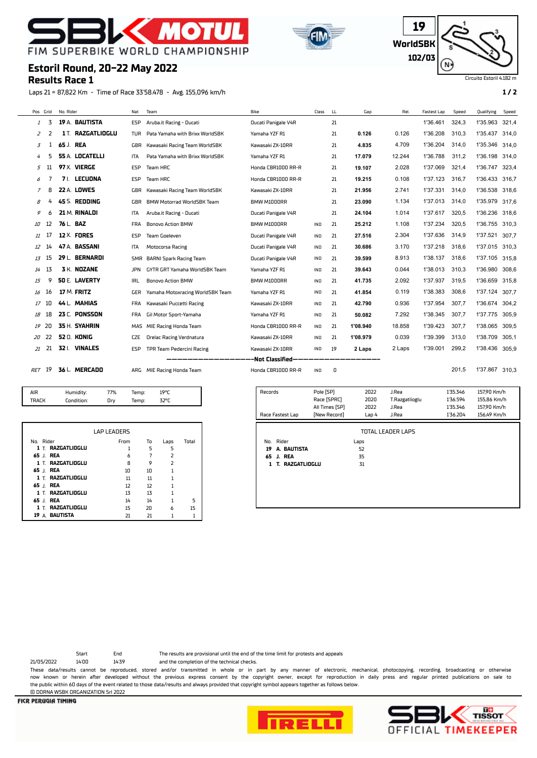





### **Estoril Round, 20-22 May 2022**

### **Results Race 1**

Laps 21 = 87,822 Km - Time of Race 33'58.478 - Avg. 155,096 km/h **1 / 2**

| Pos Grid     | No. Rider                                                      | Nat          | Team                              | Bike                                    | Class     | LL             | Gap          | Rel                      | Fastest Lap | Speed                | Qualifying<br>Speed        |
|--------------|----------------------------------------------------------------|--------------|-----------------------------------|-----------------------------------------|-----------|----------------|--------------|--------------------------|-------------|----------------------|----------------------------|
| 3<br>1       | 19 A. BAUTISTA                                                 | ESP          | Aruba.it Racing - Ducati          | Ducati Panigale V4R                     |           | 21             |              |                          | 1'36.461    | 324,3                | 1'35.963<br>321,4          |
| 2<br>2       | 1 T. RAZGATLIOGLU                                              | <b>TUR</b>   | Pata Yamaha with Brixx WorldSBK   | Yamaha YZF R1                           |           | 21             | 0.126        | 0.126                    | 1'36.208    | 310,3                | 1'35.437<br>314.0          |
| 3<br>1       | 65 J. REA                                                      | GBR          | Kawasaki Racing Team WorldSBK     | Kawasaki ZX-10RR                        |           | 21             | 4.835        | 4.709                    | 1'36.204    | 314,0                | 1'35.346<br>314,0          |
| 5<br>4       | <b>55 A. LOCATELLI</b>                                         | <b>ITA</b>   | Pata Yamaha with Brixx WorldSBK   | Yamaha YZF R1                           |           | 21             | 17.079       | 12.244                   | 1'36.788    | 311,2                | 1'36.198<br>314,0          |
| 5<br>11      | 97 X. VIERGE                                                   | <b>ESP</b>   | Team HRC                          | Honda CBR1000 RR-R                      |           | 21             | 19.107       | 2.028                    | 1'37.069    | 321.4                | 1'36.747<br>323,4          |
| 7<br>6       | 7 I. LECUONA                                                   | ESP          | Team HRC                          | Honda CBR1000 RR-R                      |           | 21             | 19.215       | 0.108                    | 1'37.123    | 316,7                | 1'36.433<br>316,7          |
| 8<br>7       | 22 A. LOWES                                                    | GBR          | Kawasaki Racing Team WorldSBK     | Kawasaki ZX-10RR                        |           | 21             | 21.956       | 2.741                    | 1'37.331    | 314,0                | 1'36.538<br>318,6          |
| R<br>4       | 45 S. REDDING                                                  | GBR          | <b>BMW Motorrad WorldSBK Team</b> | BMW M1000RR                             |           | 21             | 23.090       | 1.134                    | 1'37.013    | 314.0                | 1'35.979<br>317.6          |
| 9<br>6       | 21 M. RINALDI                                                  | ITA          | Aruba.it Racing - Ducati          | Ducati Panigale V4R                     |           | 21             | 24.104       | 1.014                    | 1'37.617    | 320,5                | 1'36.236 318,6             |
| 12<br>10     | 76 L. BAZ                                                      | <b>FRA</b>   | <b>Bonovo Action BMW</b>          | BMW M1000RR                             | IND       | 21             | 25.212       | 1.108                    | 1'37.234    | 320,5                | 1'36.755 310.3             |
| -17<br>11    | <b>12 X. FORES</b>                                             | <b>ESP</b>   | Team Goeleven                     | Ducati Panigale V4R                     | IND       | 21             | 27.516       | 2.304                    | 1'37.636    | 314,9                | 1'37.521<br>307,7          |
| 12<br>14     | 47 A. BASSANI                                                  | ITA          | Motocorsa Racing                  | Ducati Panigale V4R                     | IND       | 21             | 30.686       | 3.170                    | 1'37.218    | 318,6                | 1'37.015<br>310,3          |
| 15<br>13     | 29 L. BERNARDI                                                 | <b>SMR</b>   | <b>BARNI Spark Racing Team</b>    | Ducati Panigale V4R                     | IND       | 21             | 39.599       | 8.913                    | 1'38.137    | 318,6                | 1'37.105 315,8             |
| 13<br>14     | <b>3 K. NOZANE</b>                                             | <b>JPN</b>   | GYTR GRT Yamaha WorldSBK Team     | Yamaha YZF R1                           | IND       | 21             | 39.643       | 0.044                    | 1'38.013    | 310,3                | 1'36.980<br>308,6          |
| 9<br>15      | 50 E. LAVERTY                                                  | <b>IRL</b>   | <b>Bonovo Action BMW</b>          | BMW M1000RR                             | IND       | 21             | 41.735       | 2.092                    | 1'37.937    | 319,5                | 1'36.659<br>315,8          |
| 16<br>16     | 17 M. FRITZ                                                    | GER          | Yamaha Motoxracing WorldSBK Team  | Yamaha YZF R1                           | IND       | 21             | 41.854       | 0.119                    | 1'38.383    | 308,6                | 1'37.124<br>307,7          |
| 10<br>17     | 44 L. MAHIAS                                                   | FRA          | Kawasaki Puccetti Racing          | Kawasaki ZX-10RR                        | IND       | 21             | 42.790       | 0.936                    | 1'37.954    | 307,7                | 1'36.674 304,2             |
| 18<br>18     | 23 C. PONSSON                                                  | <b>FRA</b>   | Gil Motor Sport-Yamaha            | Yamaha YZF R1                           | IND       | 21             | 50.082       | 7.292                    | 1'38.345    | 307,7                | 1'37.775<br>305,9          |
| 19<br>20     | 35 H. SYAHRIN                                                  | MAS          | MIE Racing Honda Team             | Honda CBR1000 RR-R                      | IND       | 21             | 1'08.940     | 18.858                   | 1'39.423    | 307,7                | 1'38.065<br>309.5          |
| 22<br>20     | 52 O. KONIG                                                    | CZE          | <b>Orelac Racing Verdnatura</b>   | Kawasaki ZX-10RR                        | IND       | 21             | 1'08.979     | 0.039                    | 1'39.399    | 313,0                | 1'38.709<br>305,1          |
| 21<br>21     | 32   VINALES                                                   | <b>ESP</b>   | TPR Team Pedercini Racing         | Kawasaki ZX-10RR                        | IND       | 19             | 2 Laps       | 2 Laps                   | 1'39.001    | 299,2                | 1'38.436 305,9             |
|              |                                                                |              |                                   | -Not Classified-                        |           |                |              |                          |             |                      |                            |
| 19<br>RET    | 36 L. MERCADO                                                  | ARG          | MIE Racing Honda Team             | Honda CBR1000 RR-R                      | IND       | 0              |              |                          |             | 201,5                | 1'37.867 310,3             |
|              |                                                                |              |                                   |                                         |           |                |              |                          |             |                      |                            |
| AIR          | Humidity:<br>77%                                               | Temp:        | 19°C                              | Records                                 | Pole [SP] | Race (SPRC)    | 2022<br>2020 | J.Rea<br>T.Razgatlioglu  |             | 1'35.346<br>1'36.594 | 157,90 Km/h<br>155,86 Km/h |
| <b>TRACK</b> | Condition:<br>Dry                                              | Temp:        | 32°C                              |                                         |           | All Times [SP] | 2022         | J.Rea                    |             | 1'35.346             | 157,90 Km/h                |
|              |                                                                |              |                                   | Race Fastest Lap                        |           | [New Record]   | Lap 4        | J.Rea                    |             | 1'36.204             | 156,49 Km/h                |
|              | <b>LAP LEADERS</b>                                             |              |                                   |                                         |           |                |              | <b>TOTAL LEADER LAPS</b> |             |                      |                            |
| No. Rider    | From                                                           |              | To<br>Laps<br>Total               | Rider<br>No.                            |           |                | Laps         |                          |             |                      |                            |
|              | 1 T. RAZGATLIOGLU                                              | $\mathbf{1}$ | 5<br>5                            | A. BAUTISTA<br>19                       |           |                | 52           |                          |             |                      |                            |
|              | 65 J. REA<br>$\overline{7}$<br>$\overline{2}$<br>6             |              |                                   | 35<br>J. REA<br>65<br>1 T. RAZGATLIOGLU |           |                |              |                          |             |                      |                            |
|              | 1 T. RAZGATLIOGLU<br>8<br>9<br>2<br>65 J. REA<br>10<br>10<br>1 |              |                                   |                                         |           |                | 31           |                          |             |                      |                            |
|              | 1 T. RAZGATLIOGLU                                              | 11           | 11<br>1                           |                                         |           |                |              |                          |             |                      |                            |
| 65 J. REA    |                                                                | 12           | $\mathbf{1}$<br>12                |                                         |           |                |              |                          |             |                      |                            |
|              | 1 T. RAZGATLIOGLU                                              | 13           | 13<br>$\mathbf{1}$                |                                         |           |                |              |                          |             |                      |                            |

 J. **REA** 12 12 1 T. **RAZGATLIOGLU** 13 13 1<br>**65** J. **REA** 14 14 1 J. **REA** 14 14 14 15<br>**1** T. **RAZGATLIOGLU** 15 20 6 15 T. **RAZGATLIOGLU** 15 20 6<br>**19** A. **BAUTISTA** 21 21 1 A. **BAUTISTA** 21 21 1 1

21/05/2022 14:00 14:39 and the completion of the technical checks.

Start End The results are provisional until the end of the time limit for protests and appeals

These data/results cannot be reproduced, stored and/or transmitted in whole or in part by any manner of electronic, mechanical, photocopying, recording, broadcasting or otherwise now known or herein afer developed without the previous express consent by the copyright owner, except for reproduction in daily press and regular printed publications on sale to the public within 60 days of the event related to those data/results and always provided that copyright symbol appears together as follows below. © DORNA WSBK ORGANIZATION Srl 2022





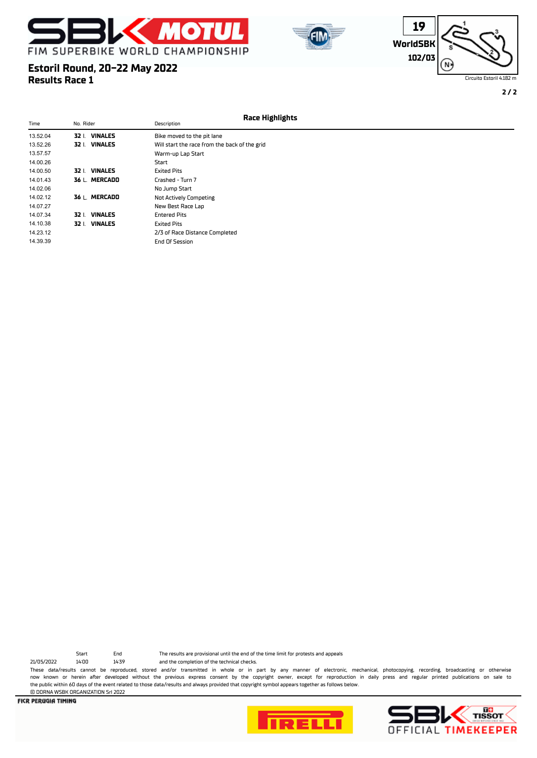

**Estoril Round, 20-22 May 2022**

**Results Race 1**





Circuito Estoril 4.182 m

**2 / 2**

| Time     | No. Rider               | Race Highlights<br>Description                |
|----------|-------------------------|-----------------------------------------------|
| 13.52.04 | <b>VINALES</b><br>32 I. | Bike moved to the pit lane                    |
| 13.52.26 | <b>VINALES</b><br>32 I. | Will start the race from the back of the grid |
| 13.57.57 |                         | Warm-up Lap Start                             |
| 14.00.26 |                         | Start                                         |
| 14.00.50 | <b>VINALES</b><br>32 L  | <b>Exited Pits</b>                            |
| 14.01.43 | <b>MERCADO</b><br>36 I  | <b>Crashed - Turn 7</b>                       |
| 14.02.06 |                         | No Jump Start                                 |
| 14.02.12 | <b>MERCADO</b><br>36 L. | Not Actively Competing                        |
| 14.07.27 |                         | New Best Race Lap                             |
| 14.07.34 | <b>VINALES</b><br>32 I. | <b>Entered Pits</b>                           |
| 14.10.38 | VINALES<br>32 I.        | <b>Exited Pits</b>                            |

End Of Session

14.23.12 2/3 of Race Distance Completed

21/05/2022 14:00 14:39 and the completion of the technical checks.

© DORNA WSBK ORGANIZATION Srl 2022

Start End The results are provisional until the end of the time limit for protests and appeals

These data/results cannot be reproduced, stored and/or transmitted in whole or in part by any manner of electronic, mechanical, photocopying, recording, broadcasting or otherwise now known or herein afer developed without the previous express consent by the copyright owner, except for reproduction in daily press and regular printed publications on sale to the public within 60 days of the event related to those data/results and always provided that copyright symbol appears together as follows below.



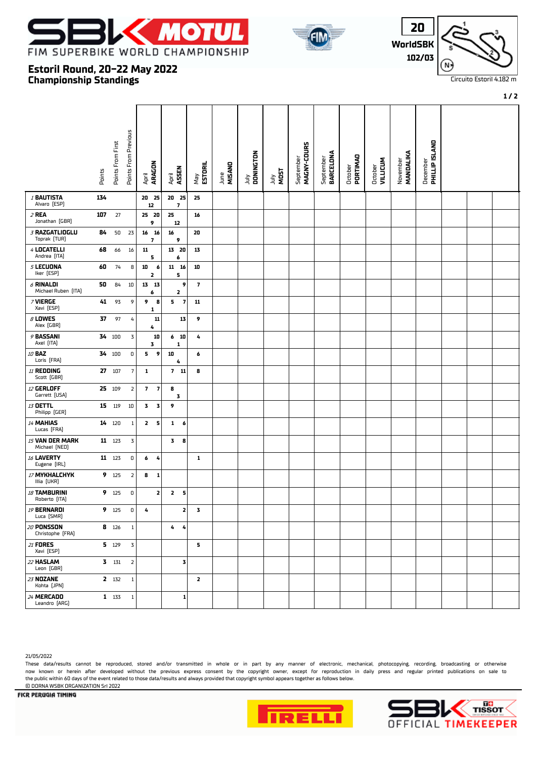





**1 / 2**

### **Championship Standings Estoril Round, 20-22 May 2022**

|                                    | Points | Points From First | <b>Points From Previous</b> | ARAGON<br>April               |                         | ASSEN<br>April                   | May<br><b>ESTORIL</b>    | MISANO<br>June | July<br>DONINGTON | <b>MOST</b><br>July | MAGNY-COURS<br>September | September<br>BARCELONA | October<br>PORTIMAO | <b>VILLICUM</b><br>October | MANDALIKA<br>November | December<br><b>PHILLIP ISLAND</b> |  |  |
|------------------------------------|--------|-------------------|-----------------------------|-------------------------------|-------------------------|----------------------------------|--------------------------|----------------|-------------------|---------------------|--------------------------|------------------------|---------------------|----------------------------|-----------------------|-----------------------------------|--|--|
| / BAUTISTA<br>Alvaro [ESP]         | 134    |                   |                             | 20 25<br>12                   |                         | 20 25<br>$\overline{\mathbf{z}}$ | 25                       |                |                   |                     |                          |                        |                     |                            |                       |                                   |  |  |
| $2$ REA<br>Jonathan (GBR)          | 107    | 27                |                             | 25 20<br>9                    |                         | 25<br>12                         | 16                       |                |                   |                     |                          |                        |                     |                            |                       |                                   |  |  |
| 3 RAZGATLIOGLU<br>Toprak [TUR]     | 84     | 50                | 23                          | 16 16<br>7                    |                         | 16<br>9                          | 20                       |                |                   |                     |                          |                        |                     |                            |                       |                                   |  |  |
| 4 LOCATELLI<br>Andrea [ITA]        | 68     | 66                | 16                          | ${\bf 11}$<br>5               |                         | 13 20<br>6                       | 13                       |                |                   |                     |                          |                        |                     |                            |                       |                                   |  |  |
| <b>5 LECUONA</b><br>Iker [ESP]     | 60     | 74                | 8                           | 10<br>$\overline{\mathbf{z}}$ | 6                       | 11116<br>5                       | 10                       |                |                   |                     |                          |                        |                     |                            |                       |                                   |  |  |
| $6$ RINALDI<br>Michael Ruben [ITA] | 50     | 84                | $10\,$                      | 13 13<br>6                    |                         | 9<br>2                           | $\overline{\phantom{a}}$ |                |                   |                     |                          |                        |                     |                            |                       |                                   |  |  |
| 7 VIERGE<br>Xavi [ESP]             | 41     | 93                | 9                           | 9<br>1                        | 8                       | 5<br>$\overline{\mathbf{z}}$     | 11                       |                |                   |                     |                          |                        |                     |                            |                       |                                   |  |  |
| $\beta$ LOWES<br>Alex [GBR]        | 37     | 97                | 4                           | 4                             | 11                      | 13                               | 9                        |                |                   |                     |                          |                        |                     |                            |                       |                                   |  |  |
| 9 BASSANI<br>Axel [ITA]            |        | 34 100            | 3                           | 3                             | 10                      | 6 <sub>10</sub><br>1             | 4                        |                |                   |                     |                          |                        |                     |                            |                       |                                   |  |  |
| 10 BAZ<br>Loris [FRA]              |        | 34 100            | $\mathbf 0$                 | 5                             | 9                       | 10<br>4                          | 6                        |                |                   |                     |                          |                        |                     |                            |                       |                                   |  |  |
| 11 REDDING<br>Scott (GBR)          |        | 27 107            | 7                           | 1                             |                         | 7 11                             | 8                        |                |                   |                     |                          |                        |                     |                            |                       |                                   |  |  |
| 12 GERLOFF<br>Garrett [USA]        |        | 25 109            | $\overline{2}$              | 7 <sup>7</sup>                | $\overline{\mathbf{z}}$ | 8<br>3                           |                          |                |                   |                     |                          |                        |                     |                            |                       |                                   |  |  |
| 13 OETTL<br>Philipp (GER)          |        | 15 119            | $10\,$                      | 3                             | 3                       | 9                                |                          |                |                   |                     |                          |                        |                     |                            |                       |                                   |  |  |
| 14 MAHIAS<br>Lucas [FRA]           |        | 14 120            | 1                           | 2                             | 5                       | $\mathbf{1}$<br>6                |                          |                |                   |                     |                          |                        |                     |                            |                       |                                   |  |  |
| 15 VAN DER MARK<br>Michael [NED]   |        | 11 123            | 3                           |                               |                         | 3<br>8                           |                          |                |                   |                     |                          |                        |                     |                            |                       |                                   |  |  |
| 16 LAVERTY<br>Eugene [IRL]         |        | 11 123            | 0                           | 6                             | 4                       |                                  | 1                        |                |                   |                     |                          |                        |                     |                            |                       |                                   |  |  |
| 17 MYKHALCHYK<br>Illia [UKR]       |        | 9 125             | $\overline{2}$              | 8                             | 1                       |                                  |                          |                |                   |                     |                          |                        |                     |                            |                       |                                   |  |  |
| 18 TAMBURINI<br>Roberto [ITA]      |        | 9 125             | 0                           |                               | 2                       | $\mathbf{z}$<br>5                |                          |                |                   |                     |                          |                        |                     |                            |                       |                                   |  |  |
| 19 BERNARDI<br>Luca [SMR]          |        | 9 125             | $\mathbf 0$                 | 4                             |                         | $\mathbf{z}$                     | 3                        |                |                   |                     |                          |                        |                     |                            |                       |                                   |  |  |
| 20 PONSSON<br>Christophe [FRA]     |        | 8 126             | $\mathbf{1}$                |                               |                         | 4<br>4                           |                          |                |                   |                     |                          |                        |                     |                            |                       |                                   |  |  |
| <b>21 FORES</b><br>Xavi [ESP]      |        | 5 129             | $\mathbf 3$                 |                               |                         |                                  | 5                        |                |                   |                     |                          |                        |                     |                            |                       |                                   |  |  |
| 22 HASLAM<br>Leon (GBR)            |        | $3 - 131$         | $\overline{2}$              |                               |                         | 3                                |                          |                |                   |                     |                          |                        |                     |                            |                       |                                   |  |  |
| 23 NOZANE<br>Kohta [JPN]           |        | 2 132             | $\mathbf{1}$                |                               |                         |                                  | 2                        |                |                   |                     |                          |                        |                     |                            |                       |                                   |  |  |
| 24 MERCADO<br>Leandro [ARG]        |        | $1 \t133$         | $\mathbf{1}$                |                               |                         | $\mathbf{1}$                     |                          |                |                   |                     |                          |                        |                     |                            |                       |                                   |  |  |

21/05/2022

These data/results cannot be reproduced, stored and/or transmitted in whole or in part by any manner of electronic, mechanical, photocopying, recording, broadcasting or otherwise now known or herein afer developed without the previous express consent by the copyright owner, except for reproduction in daily press and regular printed publications on sale to the public within 60 days of the event related to those data/results and always provided that copyright symbol appears together as follows below. © DORNA WSBK ORGANIZATION Srl 2022



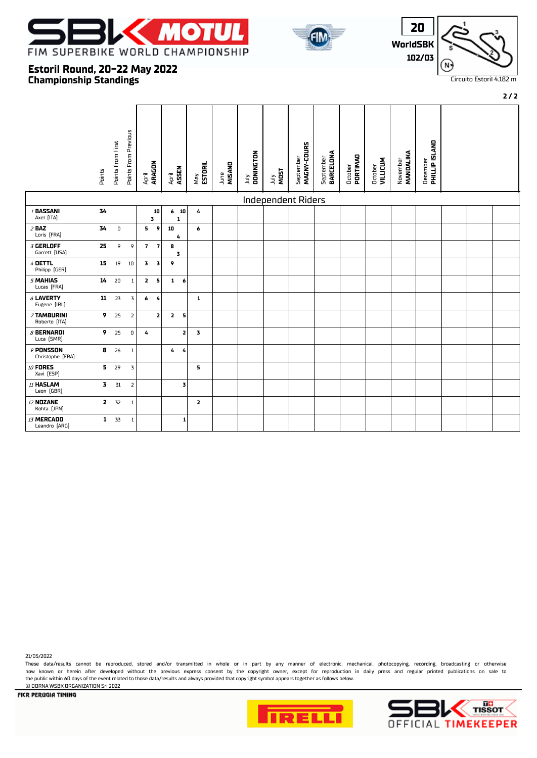





**2 / 2**

### **Championship Standings Estoril Round, 20-22 May 2022**

|                                     | Points                  | Points From First | Points From Previous |                         | April<br><b>ARAGON</b>  | April<br><b>ASSEN</b> |                         | ESTORIL<br>Vay          | MISAND<br>June | DONINGTON<br>July | <b>MOST</b><br>July | MAGNY-COURS<br>September | BARCELONA<br>September | October<br>PORTIMAO | <b>VILLICUM</b><br>October | MANDALIKA<br>November | <b>PHILLIP ISLAND</b><br>December |  |  |
|-------------------------------------|-------------------------|-------------------|----------------------|-------------------------|-------------------------|-----------------------|-------------------------|-------------------------|----------------|-------------------|---------------------|--------------------------|------------------------|---------------------|----------------------------|-----------------------|-----------------------------------|--|--|
|                                     |                         |                   |                      |                         |                         |                       |                         |                         |                |                   | Independent Riders  |                          |                        |                     |                            |                       |                                   |  |  |
| / BASSANI<br>Axel [ITA]             | 34                      |                   |                      |                         | 10<br>3                 |                       | $6-10$<br>1             | 4                       |                |                   |                     |                          |                        |                     |                            |                       |                                   |  |  |
| $2$ BAZ<br>Loris [FRA]              | 34                      | $\mathsf D$       |                      | 5.                      | 9                       | 10                    | 4                       | 6                       |                |                   |                     |                          |                        |                     |                            |                       |                                   |  |  |
| $3$ GERLOFF<br>Garrett [USA]        | 25                      | 9                 | 9                    | $\overline{7}$          | $\overline{\mathbf{z}}$ | 8                     | $\overline{\mathbf{3}}$ |                         |                |                   |                     |                          |                        |                     |                            |                       |                                   |  |  |
| 4 DETTL<br>Philipp [GER]            | 15                      | 19                | 10                   | $\overline{\mathbf{3}}$ | 3                       | 9                     |                         |                         |                |                   |                     |                          |                        |                     |                            |                       |                                   |  |  |
| 5 MAHIAS<br>Lucas [FRA]             | 14                      | 20                | $\mathbf{1}$         | $\mathbf{z}$            | 5                       |                       | $1 \t6$                 |                         |                |                   |                     |                          |                        |                     |                            |                       |                                   |  |  |
| $6$ LAVERTY<br>Eugene [IRL]         | 11                      | 23                | 3                    | 6                       | 4                       |                       |                         | 1                       |                |                   |                     |                          |                        |                     |                            |                       |                                   |  |  |
| <b>7 TAMBURINI</b><br>Roberto [ITA] | 9                       | 25                | $\overline{2}$       |                         | 2                       | $\overline{2}$        | 5                       |                         |                |                   |                     |                          |                        |                     |                            |                       |                                   |  |  |
| $\beta$ BERNARDI<br>Luca [SMR]      | 9                       | 25                | 0                    | 4                       |                         |                       | $\mathbf{z}$            | 3                       |                |                   |                     |                          |                        |                     |                            |                       |                                   |  |  |
| $9$ PONSSON<br>Christophe [FRA]     | 8                       | 26                | $\mathbf{1}$         |                         |                         | 4                     | 4                       |                         |                |                   |                     |                          |                        |                     |                            |                       |                                   |  |  |
| 10 <b>FORES</b><br>Xavi [ESP]       | 5                       | 29                | 3                    |                         |                         |                       |                         | 5                       |                |                   |                     |                          |                        |                     |                            |                       |                                   |  |  |
| 11 HASLAM<br>Leon (GBR)             | $\overline{\mathbf{3}}$ | 31                | $\overline{2}$       |                         |                         |                       | $\overline{\mathbf{3}}$ |                         |                |                   |                     |                          |                        |                     |                            |                       |                                   |  |  |
| 12 NOZANE<br>Kohta [JPN]            | $\mathbf{z}$            | 32                | $\mathbf{1}$         |                         |                         |                       |                         | $\overline{\mathbf{z}}$ |                |                   |                     |                          |                        |                     |                            |                       |                                   |  |  |
| 13 MERCADO<br>Leandro [ARG]         |                         | $1 \t33$          | $\mathbf{1}$         |                         |                         |                       | 1                       |                         |                |                   |                     |                          |                        |                     |                            |                       |                                   |  |  |

21/05/2022

These data/results cannot be reproduced, stored and/or transmitted in whole or in part by any manner of electronic, mechanical, photocopying, recording, broadcasting or otherwise now known or herein afer developed without the previous express consent by the copyright owner, except for reproduction in daily press and regular printed publications on sale to the public within 60 days of the event related to those data/results and always provided that copyright symbol appears together as follows below. © DORNA WSBK ORGANIZATION Srl 2022



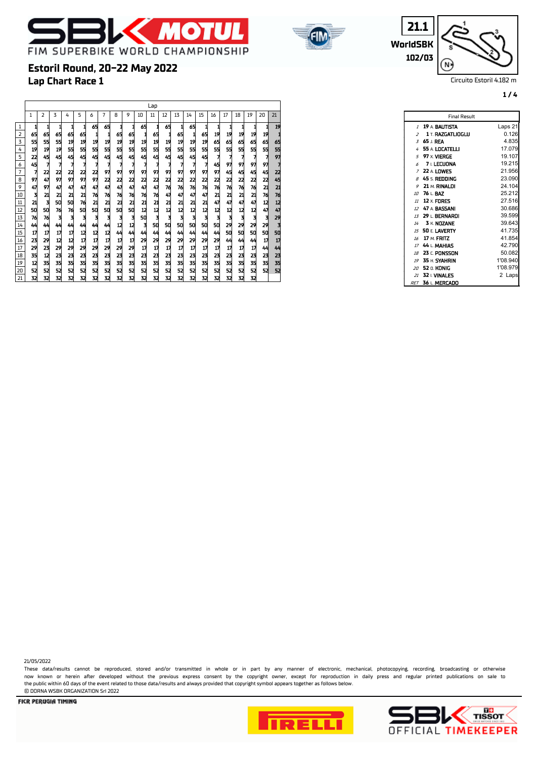

**Estoril Round, 20-22 May 2022**



**WorldSBK 21.1 102/03**

Circuito Estoril 4.182 m

**1 / 4**

#### **Lap Chart Race 1** Lap 1 | 2 | 3 | 4 | 5 | 6 | 7 | 8 | 9 | 10 | 11 | 12 | 13 | 14 | 15 | 16 | 17 | 18 | 19 | 20 | 21 1 1 1 1 1 65 65 1 1 65 1 65 1 65 1 1 1 1 1 1 19 65 65 65 65 65 1 1 65 65 1 65 1 65 1 65 19 19 19 19 19 1 55 55 55 19 19 19 19 19 19 19 19 19 19 19 19 65 65 65 65 65 65 19 19 19 55 55 55 55 55 55 55 55 55 55 55 55 55 55 55 55 55 55 22 45 45 45 45 45 45 45 45 45 45 45 45 45 45 7 7 7 7 7 97 45 7 7 7 7 7 7 7 7 7 7 7 7 7 7 45 97 97 97 97 7 7 22 22 22 22 22 97 97 97 97 97 97 97 97 97 97 45 45 45 45 22 97 47 97 97 97 97 22 22 22 22 22 22 22 22 22 22 22 22 22 22 45 47 97 47 47 47 47 47 47 47 47 47 76 76 76 76 76 76 76 76 21 21 3 21 21 21 21 76 76 76 76 76 76 47 47 47 47 21 21 21 21 76 76 21 3 50 50 76 21 21 21 21 21 21 21 21 21 21 47 47 47 47 12 12 50 50 76 76 50 50 50 50 50 12 12 12 12 12 12 12 12 12 12 47 47 76 76 3 3 3 3 3 3 3 50 3 3 3 3 3 3 3 3 3 3 29 44 44 44 44 44 44 44 12 12 3 50 50 50 50 50 50 29 29 29 29 3 17 17 17 17 12 12 12 44 44 44 44 44 44 44 44 44 50 50 50 50 50 23 29 12 12 17 17 17 17 17 29 29 29 29 29 29 29 44 44 44 17 17 29 23 29 29 29 29 29 29 29 17 17 17 17 17 17 17 17 17 17 44 44 35 12 23 23 23 23 23 23 23 23 23 23 23 23 23 23 23 23 23 23 23 12 35 35 35 35 35 35 35 35 35 35 35 35 35 35 35 35 35 35 35 35 52 52 52 52 52 52 52 52 52 52 52 52 52 52 52 52 52 52 52 52 52

32 32 32 32 32 32 32 32 32 32 32 32 32 32 32 32 32 32 32

| <b>Final Result</b>      |                                 |          |  |  |  |  |
|--------------------------|---------------------------------|----------|--|--|--|--|
|                          | $1$ 19 A BAUTISTA               | Laps 21  |  |  |  |  |
| $\overline{\phantom{a}}$ | 1 T. RAZGATLIOGLU               | 0.126    |  |  |  |  |
|                          | 3 65 L REA                      | 4.835    |  |  |  |  |
| $\overline{a}$           | 55 A LOCATELLI                  | 17.079   |  |  |  |  |
|                          | $5$ 97 x VIERGE                 | 19.107   |  |  |  |  |
| 6                        | 7 L LECUONA                     | 19.215   |  |  |  |  |
|                          | $7$ 22 $\triangle$ LOWES        | 21.956   |  |  |  |  |
| $\mathcal{A}$            | 45 s. <b>Redding</b>            | 23.090   |  |  |  |  |
|                          | $9$ 21 m RINALDI                | 24.104   |  |  |  |  |
|                          | 10 76 L BAZ                     | 25.212   |  |  |  |  |
|                          | $11$ 12 x FDRES                 | 27.516   |  |  |  |  |
|                          | 12 47 A BASSANI                 | 30.686   |  |  |  |  |
|                          | 13 29   BERNARDI                | 39.599   |  |  |  |  |
| 14                       | <b>3 K. NOZANE</b>              | 39.643   |  |  |  |  |
|                          | <b>15 50 F. LAVERTY</b>         | 41.735   |  |  |  |  |
| 16                       | 17 M. FRITZ                     | 41.854   |  |  |  |  |
|                          | 17 44 L MAHIAS                  | 42.790   |  |  |  |  |
| 18                       | 23 c. PONSSON                   | 50.082   |  |  |  |  |
| 19                       | 35 H. SYAHRIN                   | 1'08.940 |  |  |  |  |
|                          | 20 52 n. KONIG                  | 1'08.979 |  |  |  |  |
| 21                       | 32 I. VINALES                   | 2 Laps   |  |  |  |  |
|                          | <i>RET</i> 36 L. <b>MERCADO</b> |          |  |  |  |  |

21/05/2022

These data/results cannot be reproduced, stored and/or transmitted in whole or in part by any manner of electronic, mechanical, photocopying, recording, broadcasting or otherwise now known or herein afer developed without the previous express consent by the copyright owner, except for reproduction in daily press and regular printed publications on sale to the public within 60 days of the event related to those data/results and always provided that copyright symbol appears together as follows below. © DORNA WSBK ORGANIZATION Srl 2022



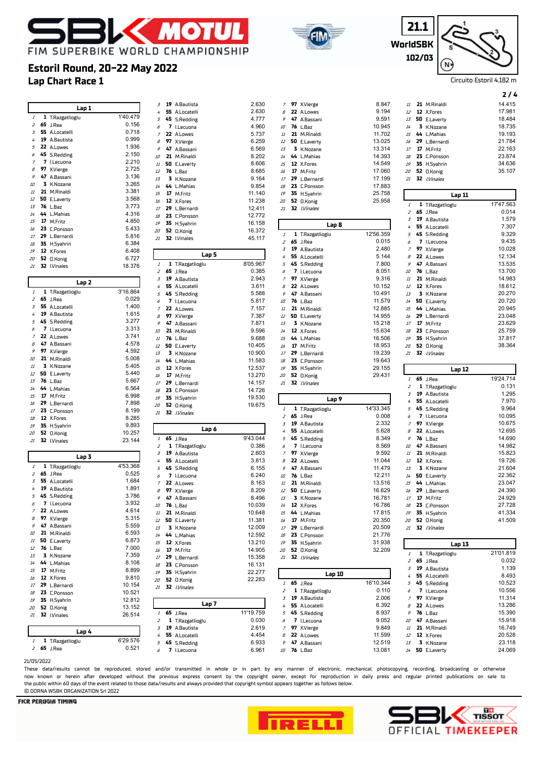



 $2.630$ 



Circuito Estoril 4.182 m

**2 / 4**

 **21** M.Rinaldi 14.415 **12** X.Fores 17.981 18.484 18.735 **19.193 29** L.Bernardi 21.784 **22.163**  $23.874$  **35** H.Syahrin 34.636 **52** O.Konig 35.107

> **97** X.Vierge 10.028 12.134 **47** A.Bassani 13.535 **76** L.Baz 13.700 **21** M.Rinaldi 14.983 18.612 **3** K.Nozane 20.270 20.720  $20.945$  **29** L.Bernardi 23.048 **17** M.Fritz 23.629  $25.759$  **35** H.Syahrin 37.817 **52** O.Konig 38.364

 **65** J.Rea 19'24.714 0.131 1.295  $7.970$  $9.964$  $10.095$  $10.675$  $12.695$  $14.690$ 14 982 15.823 19.726  $21.604$  **50** E.Laverty 22.362  $23.047$  **29** L.Bernardi 24.390 **17** M.Fritz 24.929 **23** C.Ponsson 27.728 **35** H.Syahrin 41.334 **52** O.Konig 41.509

|                     |    | Estoril Round, 20-22 May 2022<br><b>Lap Chart Race 1</b> |       |                |                |    |                              |
|---------------------|----|----------------------------------------------------------|-------|----------------|----------------|----|------------------------------|
|                     |    |                                                          | Lap 1 |                | 3              |    | 19 A.Bautista                |
|                     |    |                                                          |       |                | 4              |    | 55 A.Locatelli               |
| 1                   |    | 1 T.Razgatlioglu                                         |       | 1'40.479       | 5              |    | 45 S.Redding                 |
| 2                   |    | $65$ J.Rea                                               |       | 0.156          | 6              |    | 7 I.Lecuona                  |
| 3                   |    | 55 A.Locatelli                                           |       | 0.718          | $\overline{z}$ |    | 22 A.Lowes                   |
| 4                   |    | 19 A.Bautista                                            |       | 0.999          | 8              |    | 97 X.Vierge                  |
| 5                   |    | 22 A.Lowes                                               |       | 1.936          | 9              |    | 47 A.Bassani                 |
| 6<br>$\overline{z}$ |    | 45 S.Redding                                             |       | 2.150<br>2.210 | 10             |    | 21 M.Rinaldi                 |
| 8                   |    | 7 I.Lecuona<br>97 X.Vierge                               |       | 2.725          | 11             |    | 50 E.Laverty                 |
| 9                   | 47 | A.Bassani                                                |       | 3.136          | 12             |    | 76 L.Baz                     |
| 10                  |    | 3 K.Nozane                                               |       | 3.265          | 13             |    | 3 K.Nozane                   |
| 11                  |    | 21 M.Rinaldi                                             |       | 3.381          | 14             |    | 44 L.Mahias                  |
| 12                  |    | 50 E.Laverty                                             |       | 3.568          | 15             |    | 17 M.Fritz                   |
| 13                  |    | 76 L.Baz                                                 |       | 3.773          | 16<br>17       | 29 | 12 X.Fores                   |
| 14                  |    | 44 L.Mahias                                              |       | 4.316          | 18             |    | L.Bernardi<br>23 C.Ponsson   |
| 15                  |    | 17 M.Fritz                                               |       | 4.850          | 19             |    | 35 H.Syahrin                 |
| 16                  |    | 23 C.Ponsson                                             |       | 5.433          | 20             |    | 52 O.Konig                   |
| 17                  | 29 | L.Bernardi                                               |       | 5.816          | 21             |    | 32 I.Vinales                 |
| 18                  |    | 35 H.Syahrin                                             |       | 6.384          |                |    |                              |
| 19                  |    | 12 X.Fores                                               |       | 6.408          |                |    |                              |
| 20                  |    | 52 O.Konig                                               |       | 6.727          |                |    |                              |
| 21                  |    | 32 I.Vinales                                             |       | 18.376         | 1              |    | 1 T.Razgatliog               |
|                     |    |                                                          |       |                | $\overline{z}$ | 65 | J.Rea                        |
|                     |    |                                                          | Lap 2 |                | 3              |    | 19 A.Bautista                |
| 1                   | 1  | T.Razgatlioglu                                           |       | 3'16.864       | 4              |    | 55 A.Locatelli               |
| 2                   | 65 | J.Rea                                                    |       | 0.029          | 5              |    | 45 S.Redding                 |
| 3                   |    | 55 A.Locatelli                                           |       | 1.400          | 6              |    | 7 I.Lecuona                  |
| 4                   |    | 19 A.Bautista                                            |       | 1.615          | 7              |    | 22 A.Lowes                   |
| 5                   |    | 45 S.Redding                                             |       | 3.277          | 8              | 97 | X.Vierge                     |
| 6                   |    | 7 I.Lecuona                                              |       | 3.313          | 9<br>10        |    | 47 A.Bassani<br>21 M.Rinaldi |
| 7                   |    | 22 A.Lowes                                               |       | 3.741          | 11             |    | 76 L.Baz                     |
| 8                   | 47 | A.Bassani                                                |       | 4.578          | 12             |    | 50 E.Laverty                 |
| 9                   |    | 97 X.Vierge                                              |       | 4.592          | 13             |    | 3 K.Nozane                   |
| 10                  |    | 21 M.Rinaldi                                             |       | 5.008          | 14             |    | 44 L.Mahias                  |
| 11                  |    | 3 K.Nozane                                               |       | 5.405          | 15             |    | 12 X.Fores                   |
| $12\,$              |    | 50 E.Laverty                                             |       | 5.440          | 16             | 17 | M.Fritz                      |
| 13                  |    | <b>76</b> L.Baz                                          |       | 5.667          | 17             | 29 | L.Bernardi                   |
| 14                  |    | 44 L.Mahias                                              |       | 6.564          | 18             |    | 23 C.Ponsson                 |
| 15                  | 17 | M.Fritz                                                  |       | 6.998          | 19             |    | 35 H.Syahrin                 |
| 16                  |    | 29 L.Bernardi                                            |       | 7.898          | 20             |    | 52 O.Konig                   |
| 17                  |    | 23 C.Ponsson                                             |       | 8.199          | 21             |    | 32 /.Vinales                 |
| 18                  |    | 12 X.Fores                                               |       | 8.285          |                |    |                              |
| 19                  |    | 35 H.Syahrin                                             |       | 9.893          |                |    |                              |
| 20                  |    | 52 O.Konig                                               |       | 10.257         | 1              |    | <b>65</b> J.Rea              |
| 21                  |    | 32 I.Vinales                                             |       | 23.144         | 2              |    | 1 T.Razgatliog               |
|                     |    |                                                          |       |                | 3              |    | 19 A.Bautista                |
|                     |    |                                                          | Lap 3 |                | 4              |    | 55 A.Locatelli               |
| 1                   | 1  | T.Razgatlioglu                                           |       | 4'53.368       | 5              |    | 45 S.Redding                 |
| $\overline{z}$      |    | <b>65</b> J.Rea                                          |       | 0.525          | 6              |    | 7 I.Lecuona                  |
| 3                   |    | 55 A.Locatelli                                           |       | 1.684          | 7              |    | 22 A.Lowes                   |
| 4                   |    | 19 A.Bautista                                            |       | 1.891          | 8              |    | 97 X.Vierge                  |
| 5                   |    | 45 S.Redding                                             |       | 3.786          | 9              |    | 47 A.Bassani                 |
| 6                   |    | 7 I.Lecuona                                              |       | 3.932          | 10             |    | 76 L.Baz                     |
| $\overline{z}$      |    | 22 A.Lowes                                               |       | 4.614          | $\it 11$       |    | 21 M.Rinaldi                 |
| $\mathcal B$        |    | 97 X.Vierge                                              |       | 5.315          | 12             |    | 50 E.Laverty                 |
| 9<br>10             |    | 47 A.Bassani<br>21 M.Rinaldi                             |       | 5.559<br>6.593 | 13             |    | 3 K.Nozane                   |
| $\it 11$            |    | 50 E.Laverty                                             |       | 6.873          | 14             |    | 44 L.Mahias                  |
| $12\,$              |    | 76 L.Baz                                                 |       | 7.000          | 15             |    | 12 X.Fores                   |
| $1\overline{3}$     |    | 3 K.Nozane                                               |       | 7.359          | 16             |    | 17 M.Fritz                   |
| $14\,$              |    | 44 L.Mahias                                              |       | 8.108          | $17\,$         |    | 29 L.Bernardi                |
| 15                  |    | 17 M.Fritz                                               |       | 8.899          | 18             |    | 23 C.Ponsson                 |
| 16                  |    | 12 X.Fores                                               |       | 9.810          | $1\!$          |    | 35 H.Syahrin                 |
| $17\,$              |    | 29 L.Bernardi                                            |       | 10.154         | 20             |    | 52 O.Konig                   |
| 18                  |    | 23 C.Ponsson                                             |       | 10.521         | 21             |    | 32 /.Vinales                 |
| 19                  |    | 35 H Svahrin                                             |       | 12.812         | г              |    |                              |

| 4              | 55       | A.Locatelli                     | 2.630            |
|----------------|----------|---------------------------------|------------------|
| 5              | 45       | <b>S.Redding</b>                | 4.777            |
| 6              | 7        | I.Lecuona                       | 4.960            |
| 7<br>8         | 22<br>97 | A.Lowes                         | 5.737<br>6.259   |
| 9              | 47       | X.Vierge<br>A.Bassani           | 6.569            |
| 10             | 21       | M.Rinaldi                       | 8.202            |
| 11             | 50       | E.Laverty                       | 8.606            |
| 12             | 76       | L.Baz                           | 8.685            |
| 13             | 3        | K.Nozane                        | 9.164            |
| 14             | 44       | L.Mahias                        | 9.854            |
| 15             | 17       | M.Fritz                         | 11.140           |
| 16<br>17       | 12<br>29 | X.Fores<br>L.Bernardi           | 11.238<br>12.411 |
| 18             | 23       | C.Ponsson                       | 12.772           |
| 19             | 35       | H.Syahrin                       | 16.158           |
| 20             |          | 52 O.Konig                      | 16.372           |
| 21             |          | 32 I.Vinales                    | 45.117           |
|                |          |                                 |                  |
| 1              | 1        | Lap 5<br>T.Razgatlioglu         | 8'05.967         |
| 2              | 65       | J.Rea                           | 0.385            |
| 3              | 19       | A.Bautista                      | 2.943            |
| 4              | 55       | A.Locatelli                     | 3.611            |
| 5              | 45       | <b>S.Redding</b>                | 5.588            |
| 6              | 7        | I.Lecuona                       | 5.817            |
| 7              | 22       | A.Lowes                         | 7.157            |
| 8<br>9         | 97<br>47 | X.Vierge                        | 7.387<br>7.871   |
| 10             | 21       | A.Bassani<br>M.Rinaldi          | 9.596            |
| 11             | 76       | L.Baz                           | 9.688            |
| 12             | 50       | E.Laverty                       | 10.405           |
| 13             | 3        | K.Nozane                        | 10.900           |
| 14             | 44       | L.Mahias                        | 11.583           |
| 15             | 12       | X.Fores                         | 12.537           |
| 16             | 17<br>29 | M.Fritz                         | 13.270           |
| 17<br>18       |          | L.Bernardi<br>23 C.Ponsson      | 14.157<br>14.726 |
| 19             |          | 35 H.Syahrin                    | 19.530           |
| 20             |          | 52 O.Konig                      | 19.675           |
| 21             | 32       | l.Vinales                       |                  |
|                |          | Lap 6                           |                  |
| 1              | 65       | J.Rea                           | 9'43.044         |
| 2              | 1        | T.Razgatlioglu                  | 0.386            |
| 3              | 19       | A.Bautista                      | 2.603            |
| 4              | 55       | A.Locatelli                     | 3.813            |
| 5<br>6         | 45<br>7  | <b>S.Redding</b>                | 6.155<br>6.240   |
| $\overline{z}$ | 22       | I.Lecuona<br>A.Lowes            | 8.163            |
| 8              | 97       | X.Vierge                        | 8.209            |
| 9              | 47       | A.Bassani                       | 8.496            |
| 10             | 76       | L.Baz                           | 10.039           |
| 11             |          | 21 M.Rinaldi                    | 10.648           |
| 12             |          | 50 E.Laverty                    | 11.381           |
| 13<br>$14\,$   | 3<br>44  | K.Nozane<br>L.Mahias            | 12.009<br>12.592 |
| 15             | 12       | X.Fores                         | 13.210           |
| 16             | 17       | M.Fritz                         | 14.905           |
| 17             | 29       | L.Bernardi                      | 15.358           |
| 18             | 23       | C.Ponsson                       | 16.131           |
| 19             | 35       | H.Syahrin                       | 22.277           |
| 20             |          | 52 O.Konig                      | 22.283           |
| 21             | 32       | l.Vinales                       |                  |
|                |          | Lap 7                           |                  |
| 1              | 65       | J.Rea                           | 11'19.759        |
| 2              |          |                                 |                  |
|                | 1        | T.Razgatlioglu                  | 0.030            |
| 3              | 19       | A.Bautista                      | 2.619            |
| 4<br>5         | 55<br>45 | A.Locatelli<br><b>S.Redding</b> | 4.454<br>6.933   |

|                  |                  |                  |                |                               | 2/4              |
|------------------|------------------|------------------|----------------|-------------------------------|------------------|
| $\overline{z}$   | 97 X.Vierge      | 8.847            | 11             | 21 M.Rinaldi                  | 14.415           |
| 8                | 22 A.Lowes       | 9.194            | 12             | 12 X.Fores                    | 17.981           |
| 9                | 47 A.Bassani     | 9.591            | 13             | 50 E.Laverty                  | 18.484           |
| 10               | <b>76</b> L.Baz  | 10.945           | $14\,$         | 3 K.Nozane                    | 18.735           |
| $11\,$           | 21 M.Rinaldi     | 11.702           | 15             | 44 L.Mahias                   | 19.193           |
| 12               | 50 E.Laverty     | 13.025           | 16             | 29 L.Bernardi                 | 21.784           |
| 13               | 3 K.Nozane       | 13.314           | 17             | 17 M.Fritz                    | 22.163           |
| 14               | 44 L.Mahias      | 14.393           | 18             | 23 C.Ponsson                  | 23.874           |
| 15               | 12 X.Fores       | 14.549           | 19             | 35 H.Syahrin                  | 34.636           |
| 16               | 17 M.Fritz       | 17.060           | 20             | 52 O.Konig                    | 35.107           |
| 17               | 29 L.Bernardi    | 17.199           | 21             | 32 /.Vinales                  |                  |
| 18               | 23 C.Ponsson     | 17.883           |                |                               |                  |
| 19               | 35 H.Syahrin     | 25.758           |                |                               |                  |
| 20               | 52 O.Konig       | 25.958           |                | Lap 11                        |                  |
| 21               | 32 /.Vinales     |                  | $\it 1$        | 1 T.Razgatlioglu              | 17'47.563        |
|                  |                  |                  | $\overline{z}$ | <b>65</b> J.Rea               | 0.014            |
|                  |                  |                  | 3              | 19 A.Bautista                 | 1.579            |
|                  | Lap 8            |                  | 4              | 55 A.Locatelli                | 7.307            |
| $\cal I$         | 1 T.Razgatlioglu | 12'56.359        | 5              | 45 S.Redding                  | 9.329            |
| $\overline{z}$   | <b>65</b> J.Rea  | 0.015            | 6              | 7 I.Lecuona                   | 9.435            |
| 3                | 19 A.Bautista    | 2.480            | 7              | 97 X.Vierge                   | 10.028           |
| 4                | 55 A.Locatelli   | 5.144            | 8              | 22 A.Lowes                    | 12.134           |
| 5                | 45 S.Redding     | 7.800            | 9              | 47 A.Bassani                  | 13.535           |
| 6                | 7 I.Lecuona      | 8.051            | 10             | <b>76</b> L.Baz               | 13.700           |
| $\boldsymbol{7}$ | 97 X.Vierge      | 9.316            | 11             | 21 M.Rinaldi                  | 14.983           |
| 8                | 22 A.Lowes       | 10.152           | 12             | 12 X.Fores                    | 18.612           |
| 9                | 47 A.Bassani     | 10.491           | 13             | 3 K.Nozane                    | 20.270           |
| 10               | <b>76</b> L.Baz  | 11.579           | 14             | 50 E.Laverty                  | 20.720           |
| 11               | 21 M.Rinaldi     | 12.885           | 15             | 44 L.Mahias                   | 20.945           |
| 12               | 50 E.Laverty     | 14.955           | 16             | 29 L.Bernardi                 | 23.048           |
| 13               | 3 K.Nozane       | 15.218           | 17             | 17 M.Fritz                    | 23.629           |
| 14               | 12 X.Fores       | 15.634           | 18             | 23 C.Ponsson                  | 25.759           |
| 15               | 44 L.Mahias      | 16.506           | 19             | 35 H.Syahrin                  | 37.817           |
| 16               | 17 M.Fritz       | 18.953           | 20             | 52 O.Konig                    | 38.364           |
| 17               | 29 L.Bernardi    | 19.239           | 21             | 32 /.Vinales                  |                  |
| 18               | 23 C.Ponsson     | 19.643<br>29.155 |                |                               |                  |
| 19               | 35 H.Syahrin     |                  |                |                               |                  |
|                  |                  |                  |                | Lap 12                        |                  |
| 20               | 52 O.Konig       | 29.431           | 1              | <b>65</b> J.Rea               | 19'24.714        |
| 21               | 32 /.Vinales     |                  | 2              | 1 T.Razgatlioglu              | 0.131            |
|                  |                  |                  | 3              | 19 A.Bautista                 | 1.295            |
|                  | Lap 9            |                  | 4              | 55 A.Locatelli                | 7.970            |
| $\cal I$         | 1 T.Razgatlioglu | 14'33.345        | 5              | 45 S.Redding                  | 9.964            |
| $\overline{z}$   | <b>65</b> J.Rea  | 0.008            | 6              | 7 I.Lecuona                   | 10.095           |
| 3                | 19 A.Bautista    | 2.332            | $\overline{z}$ | 97 X.Vierge                   | 10.675           |
| 4                | 55 A.Locatelli   | 5.628            | 8              | 22 A.Lowes                    | 12.695           |
| 5                | 45 S.Redding     | 8.349            | 9              | <b>76</b> L.Baz               | 14.690           |
| 6                | 7 I.Lecuona      | 8.569            | 10             | 47 A.Bassani                  | 14.982           |
| $\overline{z}$   | 97 X.Vierge      | 9.592            | $11\,$         | 21 M.Rinaldi                  | 15.823           |
| 8                | 22 A.Lowes       | 11.044           | 12             | 12 X.Fores                    | 19.726           |
| 9                | 47 A.Bassani     | 11.479           | 13             | 3 K.Nozane                    | 21.604           |
| 10               | <b>76</b> L.Baz  | 12.211           |                | 14 50 E.Laverty               | 22.362           |
| $11\,$           | 21 M.Rinaldi     | 13.516           | 15             | 44 L.Mahias                   | 23.047           |
| 12               | 50 E.Laverty     | 16.629           |                | 16 29 L.Bernardi              | 24.390           |
| 13               | 3 K.Nozane       | 16.781           | 17             | 17 M.Fritz                    | 24.929           |
| 14               | 12 X.Fores       | 16.786           | 18             | 23 C.Ponsson                  | 27.728           |
| 15               | 44 L.Mahias      | 17.815           | 19             | 35 H.Syahrin                  | 41.334           |
| 16               | 17 M.Fritz       | 20.350           | 20             | 52 O.Konig                    | 41.509           |
| $17\,$           | 29 L.Bernardi    | 20.509           | 21             | 32 /.Vinales                  |                  |
| 18               | 23 C.Ponsson     | 21.776           |                |                               |                  |
| 19               | 35 H.Syahrin     | 31.938           |                | Lap 13                        |                  |
| 20               | 52 O.Konig       | 32.209           | $\mathcal{I}$  | 1 T.Razgatlioglu              | 21'01.819        |
| 21               | 32 /.Vinales     |                  | $\overline{z}$ | <b>65</b> J.Rea               | 0.032            |
|                  |                  |                  | 3              | 19 A.Bautista                 | 1.139            |
|                  | Lap 10           |                  | 4              | 55 A.Locatelli                | 8.493            |
| $\mathcal{I}$    | <b>65</b> J.Rea  | 16'10.344        | 5              | 45 S.Redding                  | 10.523           |
| 2                | 1 T.Razgatlioglu | 0.110            | 6              | 7 I.Lecuona                   | 10.556           |
| 3                | 19 A.Bautista    | 2.006            | $\overline{z}$ | 97 X.Vierge                   | 11.314           |
| 4                | 55 A.Locatelli   | 6.392            | 8              | 22 A.Lowes                    | 13.286           |
| 5                | 45 S.Redding     | 8.937            | 9              | <b>76</b> L.Baz               | 15.390           |
| 6                | 7 I.Lecuona      | 9.052            | 10             | 47 A.Bassani                  | 15.918           |
| 7                | 97 X.Vierge      | 9.849            | $11\,$         | 21 M.Rinaldi                  | 16.749           |
| 8                | 22 A.Lowes       | 11.599           | 12             | 12 X.Fores                    | 20.528           |
| 9                | 47 A.Bassani     | 12.519<br>13.081 | 13             | 3 K.Nozane<br>14 50 E.Laverty | 23.118<br>24.069 |

#### 21/05/2022

**32** I.Vinales

**65** J.Rea

19 **35** H.Syahrin 12.812<br>20 **52** O.Konig 13.152 **52** O.Konig 13.152<br>**20 I.**Vinales 26.514

**Lap 4 1** T.Razgatlioglu 6'29.576

These data/results cannot be reproduced, stored and/or transmitted in whole or in part by any manner of electronic, mechanical, photocopying, recording, broadcasting or otherwise now known or herein afer developed without the previous express consent by the copyright owner, except for reproduction in daily press and regular printed publications on sale to the public within 60 days of the event related to those data/results and always provided that copyright symbol appears together as follows below. © DORNA WSBK ORGANIZATION Srl 2022

**7** I.Lecuona 6.961



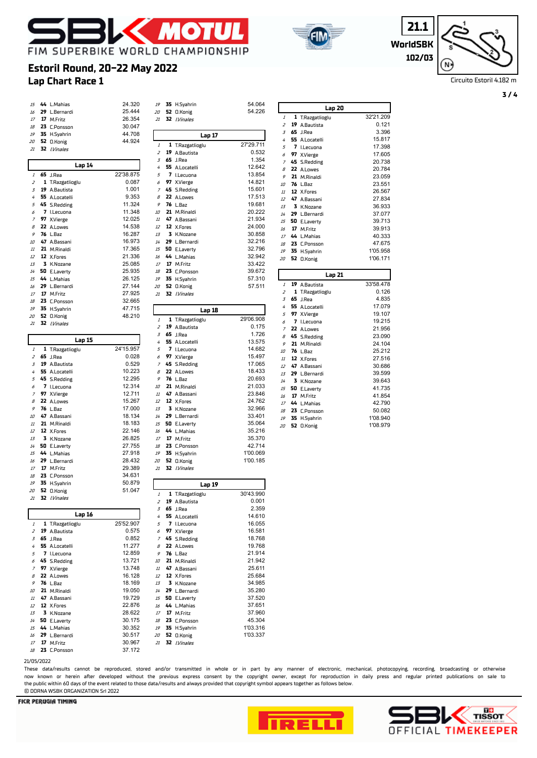

24.320<br>25.444

> 17.365  $21.336$  $25.085$ 25 935  $26.125$  **29** L.Bernardi 27.144 **17** M.Fritz 27.925 32.665<br>47.715

**52** O.Konig 48.210



**WorldSB 21.1 102/03**

| К  |  |
|----|--|
| 13 |  |

Circuito Estoril 4.182 m

**3 / 4**

## **Lap Chart Race 1 Estoril Round, 20-22 May 2022**

|  | 44 L.Mahias          |
|--|----------------------|
|  | <b>38</b>   Desenadi |

- 16 **29** L.Bernardi 25.444<br>17 **17** M.Fritz 26.354
- 17 **17** M.Fritz 26.354<br>18 **23** C.Ponsson 30.047
- **23** C.Ponsson 30.047 19 **35** H.Syahrin 44.708<br>20 **52** D.Konig 44.924
- **52** O.Konig
- **32** I.Vinales

|                |     | Lap 14           |           |
|----------------|-----|------------------|-----------|
| $\mathcal I$   |     | <b>65</b> J.Rea  | 22'38.875 |
| $\overline{z}$ |     | 1 T.Razgatlioglu | 0.087     |
| 3              | 19  | A.Bautista       | 1.001     |
| 4              | 55. | A.Locatelli      | 9.353     |
| 5              |     | 45 S.Redding     | 11.324    |
| 6              | 7   | I.Lecuona        | 11.348    |
| $\overline{z}$ |     | 97 X.Vierge      | 12.025    |
| B              |     | 22 A.Lowes       | 14.538    |
| 9              |     | 76 L.Baz         | 16.287    |
| 10             |     | 47 A.Bassani     | 16.973    |
| 11             | 21  | M.Rinaldi        | 17.365    |
| 12             |     | 12 X.Fores       | 21.336    |
| 13             | 3   | K.Nozane         | 25.085    |
| 14             | 50  | E.Laverty        | 25.935    |
| 15             | 44  | L.Mahias         | 26.125    |
| 16             | 29  | L.Bernardi       | 27.144    |
| 17             | 17  | M.Fritz          | 27.925    |
| 18             | 23  | C.Ponsson        | 32.665    |

|  | 17 17 M.Fritz       |
|--|---------------------|
|  |                     |
|  | $10 - 7E + 1E + 1E$ |

| 19 | H.Syanrın כנ      |
|----|-------------------|
| 20 | <b>52</b> O.Konig |

|  | <i>I Vinales</i> |
|--|------------------|
|  |                  |

|                             |     | Lap 15                         |           |
|-----------------------------|-----|--------------------------------|-----------|
| $\mathcal{I}_{\mathcal{I}}$ |     | 1 T.Razgatlioglu               | 24'15.957 |
| $\overline{z}$              |     | <b>65</b> J.Rea                | 0.028     |
| 3                           | 19  | A.Bautista                     | 0.529     |
| 4                           | 55. | A.Locatelli                    | 10.223    |
| 5                           | 45  | <b>S.Redding</b>               | 12.295    |
| 6                           | 7   | I.Lecuona                      | 12.314    |
| $\overline{z}$              | 97  | <b>X.Vierge</b>                | 12.711    |
| $\overline{\mathcal{S}}$    | 22  | A.Lowes                        | 15.267    |
| 9                           | 76  | L.Baz                          | 17.000    |
| 10                          | 47  | A.Bassani                      | 18.134    |
| 11                          | 21  | M.Rinaldi                      | 18.183    |
| $12^{1}$                    | 12  | X.Fores                        | 22.146    |
| 13                          | 3   | K.Nozane                       | 26.825    |
| 14                          | 50  | E.Laverty                      | 27.755    |
| 15                          | 44  | <b>I</b> Mahias                | 27.918    |
| 16                          | 29  | L.Bernardi                     | 28.432    |
| 17                          | 17  | M.Fritz                        | 29.389    |
| 18                          | 23  | C.Ponsson                      | 34.631    |
| 19                          | 35  | H.Syahrin                      | 50.879    |
| 20                          | 52  | 0.Konig                        | 51.047    |
| ZI                          | 32  | <b><i><u>I.Vinales</u></i></b> |           |
|                             |     | Lap 16                         |           |
| $\mathcal{I}_{\mathcal{I}}$ | 1   | T.Razgatlioglu                 | 25'52.907 |
| $\overline{z}$              | 19  | A.Bautista                     | 0.575     |

 **19** A.Bautista 0.575 **65** J.Rea 0.852 **55** A.Locatelli 11.277<br>5 **7** I.Lecuona 12.859 **7** I.Lecuona 12.859 **45** S.Redding 13.721 **97** X.Vierge 13.748<br>8 **22** A.Lowes 16.128 **22** A.Lowes 16.128<br>9 **76** L.Baz 18.169 **76** L.Baz 18.169<br>10 **21** M.Rinaldi 19.050 M.Rinaldi 19.050<br>**47** A.Bassani 19.729 **47** A.Bassani 19.729 X.Fores 22.876<br>**3** K.Nozane 28.622 **3** K.Nozane 28.622 **50** E.Laverty 30.175<br>15 44 L.Mahias 30.352 **44** L.Mahias 30.352<br>16 **29** L.Bernardi 30.517 **29** L.Bernardi 30.517<br>17 **17** M.Fritz 30.967 M.Fritz 30.967<br>**23** C.Ponsson 37.172

| 19               | 35       | H.Syahrin                   | 54.064             |
|------------------|----------|-----------------------------|--------------------|
| 20               | 52       | 0.Konig                     | 54.226             |
| 21               | 32       | l.Vinales                   |                    |
|                  |          | Lap 17                      |                    |
| 1                | 1        | T.Razgatlioglu              | 27'29.711          |
| 2                | 19       | A.Bautista                  | 0.532              |
| 3                | 65       | J.Rea                       | 1.354              |
| 4                | 55       | A.Locatelli                 | 12.642             |
| 5                | 7        | I.Lecuona                   | 13.854             |
| 6                | 97       | X.Vierge                    | 14.821             |
| $\overline{z}$   | 45       | <b>S.Redding</b>            | 15.601             |
| 8                | 22       | A.Lowes                     | 17.513             |
| 9                | 76       | L.Baz                       | 19.681             |
| 10               | 21       | M.Rinaldi                   | 20.222             |
| 11<br>12         | 47<br>12 | A.Bassani                   | 21.934<br>24.000   |
| 13               | 3        | X.Fores<br>K.Nozane         | 30.858             |
| 14               | 29       | L.Bernardi                  | 32.216             |
| 15               | 50       | E.Laverty                   | 32.796             |
| 16               | 44       | L.Mahias                    | 32.942             |
| 17               | 17       | M.Fritz                     | 33.422             |
| 18               | 23       | C.Ponsson                   | 39.672             |
| 19               | 35       | H.Syahrin                   | 57.310             |
| 20               | 52       | 0.Konig                     | 57.511             |
| 21               | 32       | l.Vinales                   |                    |
|                  |          | Lap 18                      |                    |
| 1                | 1        | T.Razgatlioglu              | 29'06.908          |
| $\overline{z}$   | 19       | A.Bautista                  | 0.175              |
| 3                | 65       | J.Rea                       | 1.726              |
| 4                | 55       | A.Locatelli                 | 13.575             |
| 5                | 7        | I.Lecuona                   | 14.682             |
| 6                | 97       | X.Vierge                    | 15.497             |
| 7<br>8           | 45<br>22 | <b>S.Redding</b><br>A.Lowes | 17.065<br>18.433   |
| 9                | 76       | L.Baz                       | 20.693             |
| 10               | 21       | M.Rinaldi                   | 21.033             |
| 11               | 47       | A.Bassani                   | 23.846             |
| 12               | 12       | X.Fores                     | 24.762             |
| 13               | 3        | K.Nozane                    | 32.966             |
| 14               | 29       | L.Bernardi                  | 33.401             |
| 15               | 50       | E.Laverty                   | 35.064             |
| 16               | 44       | L.Mahias                    | 35.216             |
| 17               | 17       | M.Fritz                     | 35.370             |
| 18               | 23<br>35 | C.Ponsson                   | 42.714<br>1'00.069 |
| 19<br>20         | 52       | H.Syahrin<br><b>O.Konig</b> | 1'00.185           |
| 21               | 32       | l.Vinales                   |                    |
|                  |          |                             |                    |
| 1                | 1        | Lap 19<br>T.Razgatlioglu    | 30'43.990          |
| 2                | 19       | A.Bautista                  | 0.001              |
| 3                | 65       | J.Rea                       | 2.359              |
| 4                | 55       | A.Locatelli                 | 14.610             |
| 5                | 7        | I.Lecuona                   | 16.055             |
| 6                | 97       | X.Vierge                    | 16.581             |
| $\boldsymbol{7}$ |          | 45 S.Redding                | 18.768             |
| 8                | 22       | A.Lowes                     | 19.768             |
| 9                | 76       | L.Baz                       | 21.914             |
| 10               | 21       | M.Rinaldi                   | 21.942             |
| 11               | 47       | A.Bassani                   | 25.611             |
| 12               | 12<br>3  | X.Fores                     | 25.684             |
| 13<br>14         | 29       | K.Nozane<br>L.Bernardi      | 34.985<br>35.280   |
| 15               | 50       | E.Laverty                   | 37.520             |
| 16               | 44       | L.Mahias                    | 37.651             |
| 17               | 17       | M.Fritz                     | 37.960             |
| 18               | 23       | C.Ponsson                   | 45.304             |
|                  |          |                             | 1'03.316           |
| 19               | 35       | H.Syahrin                   |                    |

**52** O.Konig **32** I.Vinales

|                |    | Lap 20                      |                      |
|----------------|----|-----------------------------|----------------------|
| $\overline{I}$ | 1  | T.Razgatlioglu              | 32'21.209            |
| $\overline{z}$ | 19 | A.Bautista                  | 0.121                |
| 3              | 65 | J.Rea                       | 3.396                |
| 4              | 55 | A.Locatelli                 | 15.817               |
| 5              | 7  | I.Lecuona                   | 17.398               |
| 6              | 97 | X.Vierge                    | 17.605               |
| $\overline{z}$ | 45 | <b>S.Redding</b>            | 20.738               |
| 8              | 22 | A.Lowes                     | 20.784               |
| 9              | 21 | M.Rinaldi                   | 23.059               |
| 10             | 76 | L.Baz                       | 23.551               |
| 11             | 12 | X.Fores                     | 26.567               |
| 12             | 47 | A.Bassani                   | 27.834               |
| 13             | 3  | K.Nozane                    | 36.933               |
| 14             | 29 | L.Bernardi                  | 37.077               |
| 15             | 50 | E.Laverty                   | 39.713               |
| 16             | 17 | M.Fritz                     | 39.913               |
| 17             | 44 | L.Mahias                    | 40.333               |
| 18             | 23 | C.Ponsson                   | 47.675               |
| 19             | 35 | H.Syahrin                   | 1'05.958             |
| 20             | 52 | <b>O.Konig</b>              | 1'06.171             |
|                |    | Lap 21                      |                      |
| 1              | 19 | A.Bautista                  | 33'58.478            |
| $\overline{z}$ | 1  | T.Razgatlioglu              | 0.126                |
| 3              | 65 | J.Rea                       | 4.835                |
| 4              | 55 | A.Locatelli                 | 17.079               |
| 5              | 97 | X.Vierge                    | 19.107               |
| 6              | 7  | I.Lecuona                   | 19.215               |
| $\overline{z}$ | 22 | A.Lowes                     | 21.956               |
| 8              | 45 | <b>S.Redding</b>            | 23.090               |
| 9              | 21 | M.Rinaldi                   | 24.104               |
| 10             | 76 | L.Baz                       | 25.212               |
| 11             | 12 | X.Fores                     | 27.516               |
| 12             | 47 | A.Bassani                   | 30.686               |
| 13             | 29 | L.Bernardi                  | 39.599               |
| 14             | 3  | K.Nozane                    | 39.643               |
| 15             | 50 | E.Laverty                   | 41.735               |
| 16             |    | M.Fritz                     | 41.854               |
|                | 17 |                             |                      |
| 17             | 44 | L.Mahias                    | 42.790               |
| 18             | 23 | <b>C.Ponsson</b>            | 50.082               |
| 19<br>20       | 35 | H.Syahrin<br>$52 \nN$ Knnig | 1'08.940<br>1'08.979 |

21/05/2022

These data/results cannot be reproduced, stored and/or transmitted in whole or in part by any manner of electronic, mechanical, photocopying, recording, broadcasting or otherwise now known or herein afer developed without the previous express consent by the copyright owner, except for reproduction in daily press and regular printed publications on sale to the public within 60 days of the event related to those data/results and always provided that copyright symbol appears together as follows below. © DORNA WSBK ORGANIZATION Srl 2022

**23** C.Ponsson



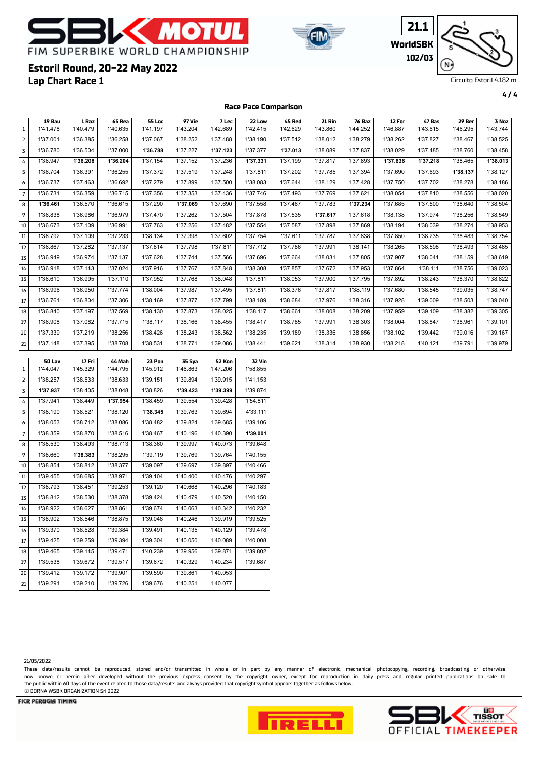





**4 / 4**

### **Lap Chart Race 1 Estoril Round, 20-22 May 2022**

**Race Pace Comparison**

|                | 19 Bau   | 1 Raz    | 65 Rea        | <b>55 Loc</b> | 97 Vie   | 7 Lec    | 22 Low   | 45 Red   | 21 Rin   | 76 Baz   | 12 For   | 47 Bas   | 29 Ber   | 3 Noz    |
|----------------|----------|----------|---------------|---------------|----------|----------|----------|----------|----------|----------|----------|----------|----------|----------|
| $\mathbf{1}$   | 1'41.478 | 1'40.479 | 1'40.635      | 1'41.197      | 1'43.204 | 1'42.689 | 1'42.415 | 1'42.629 | 1'43.860 | 1'44.252 | 1'46.887 | 1'43.615 | 1'46.295 | 1'43.744 |
| $\overline{2}$ | 1'37.001 | 1'36.385 | 1'36.258      | 1'37.067      | 1'38.252 | 1'37.488 | 1'38.190 | 1'37.512 | 1'38.012 | 1'38.279 | 1'38.262 | 1'37.827 | 1'38.467 | 1'38.525 |
| 3              | 1'36.780 | 1'36.504 | 1'37.000      | 1'36.788      | 1'37.227 | 1'37.123 | 1'37.377 | 1'37.013 | 1'38.089 | 1'37.837 | 1'38.029 | 1'37.485 | 1'38.760 | 1'38.458 |
| 4              | 1'36.947 | 1'36.208 | 1'36.204      | 1'37.154      | 1'37.152 | 1'37.236 | 1'37.331 | 1'37.199 | 1'37.817 | 1'37.893 | 1'37.636 | 1'37.218 | 1'38.465 | 1'38.013 |
| 5              | 1'36.704 | 1'36.391 | 1'36.255      | 1'37.372      | 1'37.519 | 1'37.248 | 1'37.811 | 1'37.202 | 1'37.785 | 1'37.394 | 1'37.690 | 1'37.693 | 1'38.137 | 1'38.127 |
| 6              | 1'36.737 | 1'37.463 | 1'36.692      | 1'37.279      | 1'37.899 | 1'37.500 | 1'38.083 | 1'37.644 | 1'38.129 | 1'37.428 | 1'37.750 | 1'37.702 | 1'38.278 | 1'38.186 |
| $\overline{7}$ | 1'36.731 | 1'36.359 | 1'36.715      | 1'37.356      | 1'37.353 | 1'37.436 | 1'37.746 | 1'37.493 | 1'37.769 | 1'37.621 | 1'38.054 | 1'37.810 | 1'38.556 | 1'38.020 |
| 8              | 1'36.461 | 1'36.570 | 1'36.615      | 1'37.290      | 1'37.069 | 1'37.690 | 1'37.558 | 1'37.467 | 1'37.783 | 1'37.234 | 1'37.685 | 1'37.500 | 1'38.640 | 1'38.504 |
| 9              | 1'36.838 | 1'36.986 | 1'36.979      | 1'37.470      | 1'37.262 | 1'37.504 | 1'37.878 | 1'37.535 | 1'37.617 | 1'37.618 | 1'38.138 | 1'37.974 | 1'38.256 | 1'38.549 |
| $10\,$         | 1'36.673 | 1'37.109 | 1'36.991      | 1'37.763      | 1'37.256 | 1'37.482 | 1'37.554 | 1'37.587 | 1'37.898 | 1'37.869 | 1'38.194 | 1'38.039 | 1'38.274 | 1'38.953 |
| $11\,$         | 1'36.792 | 1'37.109 | 1'37.233      | 1'38.134      | 1'37.398 | 1'37.602 | 1'37.754 | 1'37.611 | 1'37.787 | 1'37.838 | 1'37.850 | 1'38.235 | 1'38.483 | 1'38.754 |
| 12             | 1'36.867 | 1'37.282 | 1'37.137      | 1'37.814      | 1'37.798 | 1'37.811 | 1'37.712 | 1'37.786 | 1'37.991 | 1'38.141 | 1'38.265 | 1'38.598 | 1'38.493 | 1'38.485 |
| 13             | 1'36.949 | 1'36.974 | 1'37.137      | 1'37.628      | 1'37.744 | 1'37.566 | 1'37.696 | 1'37.664 | 1'38.031 | 1'37.805 | 1'37.907 | 1'38.041 | 1'38.159 | 1'38.619 |
| 14             | 1'36.918 | 1'37.143 | 1'37.024      | 1'37.916      | 1'37.767 | 1'37.848 | 1'38.308 | 1'37.857 | 1'37.672 | 1'37.953 | 1'37.864 | 1'38.111 | 1'38.756 | 1'39.023 |
| 15             | 1'36.610 | 1'36.995 | 1'37.110      | 1'37.952      | 1'37.768 | 1'38.048 | 1'37.811 | 1'38.053 | 1'37.900 | 1'37.795 | 1'37.892 | 1'38.243 | 1'38.370 | 1'38.822 |
| 16             | 1'36.996 | 1'36.950 | 1'37.774      | 1'38.004      | 1'37.987 | 1'37.495 | 1'37.811 | 1'38.376 | 1'37.817 | 1'38.119 | 1'37.680 | 1'38.545 | 1'39.035 | 1'38.747 |
| 17             | 1'36.761 | 1'36.804 | 1'37.306      | 1'38.169      | 1'37.877 | 1'37.799 | 1'38.189 | 1'38.684 | 1'37.976 | 1'38.316 | 1'37.928 | 1'39.009 | 1'38.503 | 1'39.040 |
| 18             | 1'36.840 | 1'37.197 | 1'37.569      | 1'38.130      | 1'37.873 | 1'38.025 | 1'38.117 | 1'38.661 | 1'38.008 | 1'38.209 | 1'37.959 | 1'39.109 | 1'38.382 | 1'39.305 |
| 19             | 1'36.908 | 1'37.082 | 1'37.715      | 1'38.117      | 1'38.166 | 1'38.455 | 1'38.417 | 1'38.785 | 1'37.991 | 1'38.303 | 1'38.004 | 1'38.847 | 1'38.961 | 1'39.101 |
| 20             | 1'37.339 | 1'37.219 | 1'38.256      | 1'38.426      | 1'38.243 | 1'38.562 | 1'38.235 | 1'39.189 | 1'38.336 | 1'38.856 | 1'38.102 | 1'39.442 | 1'39.016 | 1'39.167 |
| 21             | 1'37.148 | 1'37.395 | 1'38.708      | 1'38.531      | 1'38.771 | 1'39.086 | 1'38.441 | 1'39.621 | 1'38.314 | 1'38.930 | 1'38.218 | 1'40.121 | 1'39.791 | 1'39.979 |
|                |          |          |               |               |          |          |          |          |          |          |          |          |          |          |
|                | 50 Lav   | 17 Fri   | <b>44 Mah</b> | 23 Pon        | 35 Sya   | 52 Kon   | 32 Vin   |          |          |          |          |          |          |          |
| $\mathbf{1}$   | 1'44.047 | 1'45.329 | 1'44.795      | 1'45.912      | 1'46.863 | 1'47.206 | 1'58.855 |          |          |          |          |          |          |          |
| $\overline{2}$ | 1'38.257 | 1'38.533 | 1'38.633      | 1'39.151      | 1'39.894 | 1'39.915 | 1'41.153 |          |          |          |          |          |          |          |
| 3              | 1'37.937 | 1'38.405 | 1'38.048      | 1'38.826      | 1'39.423 | 1'39.399 | 1'39.874 |          |          |          |          |          |          |          |
| 4              | 1'37.941 | 1'38.449 | 1'37.954      | 1'38.459      | 1'39.554 | 1'39.428 | 1'54.811 |          |          |          |          |          |          |          |
| 5              | 1'38.190 | 1'38.521 | 1'38.120      | 1'38.345      | 1'39.763 | 1'39.694 | 4'33.111 |          |          |          |          |          |          |          |
| 6              | 1'38.053 | 1'38.712 | 1'38.086      | 1'38.482      | 1'39.824 | 1'39.685 | 1'39.106 |          |          |          |          |          |          |          |
| $\overline{7}$ | 1'38.359 | 1'38.870 | 1'38.516      | 1'38.467      | 1'40.196 | 1'40.390 | 1'39.001 |          |          |          |          |          |          |          |
| 8              | 1'38.530 | 1'38.493 | 1'38.713      | 1'38.360      | 1'39.997 | 1'40.073 | 1'39.648 |          |          |          |          |          |          |          |
| 9              | 1'38.660 | 1'38.383 | 1'38.295      | 1'39.119      | 1'39.769 | 1'39.764 | 1'40.155 |          |          |          |          |          |          |          |
| 10             | 1'38.854 | 1'38.812 | 1'38.377      | 1'39.097      | 1'39.697 | 1'39.897 | 1'40.466 |          |          |          |          |          |          |          |
| $11\,$         | 1'39.455 | 1'38.685 | 1'38.971      | 1'39.104      | 1'40.400 | 1'40.476 | 1'40.297 |          |          |          |          |          |          |          |
| 12             | 1'38.793 | 1'38.451 | 1'39.253      | 1'39.120      | 1'40.668 | 1'40.296 | 1'40.183 |          |          |          |          |          |          |          |
| 13             | 1'38.812 | 1'38.530 | 1'38.378      | 1'39.424      | 1'40.479 | 1'40.520 | 1'40.150 |          |          |          |          |          |          |          |
| 14             | 1'38.922 | 1'38.627 | 1'38.861      | 1'39.674      | 1'40.063 | 1'40.342 | 1'40.232 |          |          |          |          |          |          |          |
| 15             | 1'38.902 | 1'38.546 | 1'38.875      | 1'39.048      | 1'40.246 | 1'39.919 | 1'39.525 |          |          |          |          |          |          |          |
| 16             | 1'39.370 | 1'38.528 | 1'39.384      | 1'39.491      | 1'40.135 | 1'40.129 | 1'39.478 |          |          |          |          |          |          |          |
| 17             | 1'39.425 | 1'39.259 | 1'39.394      | 1'39.304      | 1'40.050 | 1'40.089 | 1'40.008 |          |          |          |          |          |          |          |
| 18             | 1'39.465 | 1'39.145 | 1'39.471      | 1'40.239      | 1'39.956 | 1'39.871 | 1'39.802 |          |          |          |          |          |          |          |
| 19             | 1'39.538 | 1'39.672 | 1'39.517      | 1'39.672      | 1'40.329 | 1'40.234 | 1'39.687 |          |          |          |          |          |          |          |
| 20             | 1'39.412 | 1'39.172 | 1'39.901      | 1'39.590      | 1'39.861 | 1'40.053 |          |          |          |          |          |          |          |          |
| 21             | 1'39.291 | 1'39.210 | 1'39.726      | 1'39.676      | 1'40.251 | 1'40.077 |          |          |          |          |          |          |          |          |

#### 21/05/2022

These data/results cannot be reproduced, stored and/or transmitted in whole or in part by any manner of electronic, mechanical, photocopying, recording, broadcasting or otherwise now known or herein afer developed without the previous express consent by the copyright owner, except for reproduction in daily press and regular printed publications on sale to the public within 60 days of the event related to those data/results and always provided that copyright symbol appears together as follows below. © DORNA WSBK ORGANIZATION Srl 2022





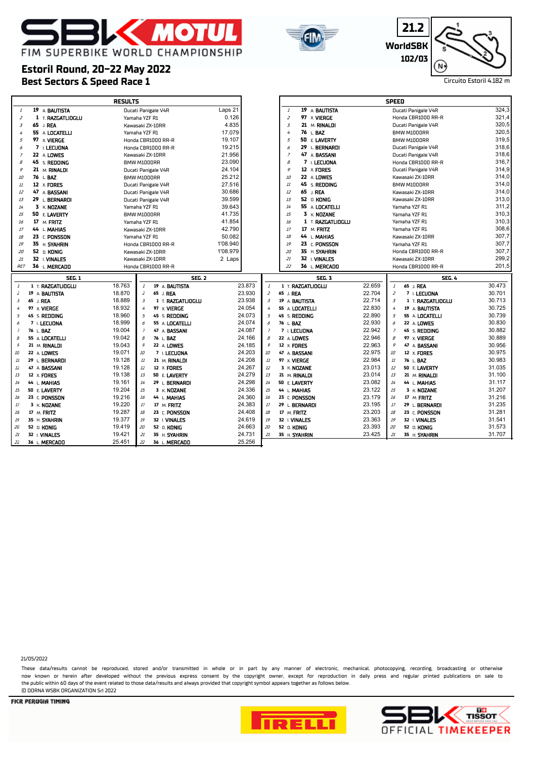



**21.2 WorldSBK 102/03**



### **Best Sectors & Speed Race 1** and **Contract Section 2.182 m** Circuito Estoril 4.182 m **Estoril Round, 20-22 May 2022**

|                      |                              | <b>RESULTS</b>   |                |                     |                                |          |                  |                |                                                                                             |                 |                      |        | SPEED          |                     |               |        |
|----------------------|------------------------------|------------------|----------------|---------------------|--------------------------------|----------|------------------|----------------|---------------------------------------------------------------------------------------------|-----------------|----------------------|--------|----------------|---------------------|---------------|--------|
| $\mathcal{I}$        | 19 A BAUTISTA                |                  |                | Ducati Panigale V4R |                                | Laps 21  |                  |                | $\mathbf{I}$                                                                                |                 | 19 A BAUTISTA        |        |                | Ducati Panigale V4R |               | 324,3  |
| $\overline{z}$       | 1 T. RAZGATLIOGLU            |                  | Yamaha YZF R1  |                     |                                | 0.126    |                  |                | $\overline{z}$                                                                              |                 | 97 x VIERGE          |        |                | Honda CBR1000 RR-R  |               | 321,4  |
| $\overline{3}$       | 65 J. REA                    |                  |                | Kawasaki ZX-10RR    |                                | 4.835    |                  |                | $\overline{3}$                                                                              |                 | 21 M. RINALDI        |        |                | Ducati Panigale V4R |               | 320,5  |
| 4                    | 55 A LOCATELLI               |                  | Yamaha YZF R1  |                     |                                | 17.079   |                  |                | $\overline{4}$                                                                              |                 | 76 L.BAZ             |        |                | BMW M1000RR         |               | 320,5  |
| 5                    | 97 x VIERGE                  |                  |                | Honda CBR1000 RR-R  |                                | 19.107   |                  |                | 5                                                                                           |                 | 50 E. LAVERTY        |        |                | BMW M1000RR         |               | 319,5  |
| 6                    | 7 I. LECUONA                 |                  |                | Honda CBR1000 RR-R  |                                | 19.215   |                  |                | 6                                                                                           |                 | 29 L. BERNARDI       |        |                | Ducati Panigale V4R |               | 318,6  |
| $\overline{z}$       | 22 A LOWES                   |                  |                | Kawasaki ZX-10RR    |                                | 21.956   |                  |                | $\overline{z}$                                                                              |                 | 47 A BASSANI         |        |                | Ducati Panigale V4R |               | 318,6  |
| 8                    | 45 s. <b>Redding</b>         |                  |                | BMW M1000RR         |                                | 23.090   |                  |                | $\mathcal{B}% _{0}=\mathcal{A}_{\mathrm{H}}\left( \mathcal{A}_{\mathrm{H}}\right) ^{\ast }$ |                 | 7 L LECUONA          |        |                | Honda CBR1000 RR-R  |               | 316,7  |
| 9                    | 21 M. RINALDI                |                  |                | Ducati Panigale V4R |                                | 24.104   |                  |                | 9                                                                                           |                 | 12 x FORES           |        |                | Ducati Panigale V4R |               | 314,9  |
| 10                   | 76 L.BAZ                     |                  |                | BMW M1000RR         |                                | 25.212   |                  |                | 10                                                                                          |                 | 22 A LOWES           |        |                | Kawasaki ZX-10RR    |               | 314,0  |
| 11                   | 12 x FORES                   |                  |                | Ducati Panigale V4R |                                | 27.516   |                  |                | 11                                                                                          |                 | 45 s. <b>Redding</b> |        |                | BMW M1000RR         |               | 314,0  |
| 12                   | 47 A BASSANI                 |                  |                | Ducati Panigale V4R |                                | 30.686   |                  |                | 12                                                                                          |                 | 65 J. REA            |        |                | Kawasaki ZX-10RR    |               | 314,0  |
| 13                   | 29 L. BERNARDI               |                  |                | Ducati Panigale V4R |                                | 39.599   |                  |                | 13                                                                                          |                 | 52 O. KONIG          |        |                | Kawasaki ZX-10RR    |               | 313,0  |
| 14                   | $3 K$ NOZANE                 |                  | Yamaha YZF R1  |                     |                                | 39.643   |                  |                | 14                                                                                          |                 | 55 A LOCATELLI       |        |                | Yamaha YZF R1       |               | 311,2  |
| 15                   | 50 E. LAVERTY                |                  |                | BMW M1000RR         |                                | 41.735   |                  |                | 15                                                                                          |                 | 3 K NQZANE           |        |                | Yamaha YZF R1       |               | 310,3  |
| 16                   | 17 M. FRITZ                  |                  | Yamaha YZF R1  |                     |                                | 41.854   |                  |                | 16                                                                                          |                 | 1 T. RAZGATLIOGLU    |        |                | Yamaha YZF R1       |               | 310,3  |
| 17                   | 44 L. MAHIAS                 |                  |                | Kawasaki ZX-10RR    |                                | 42.790   |                  |                | 17                                                                                          |                 | 17 M. FRITZ          |        |                | Yamaha YZF R1       |               | 308,6  |
| 18                   | 23 C. PONSSON                |                  | Yamaha YZF R1  |                     |                                | 50.082   |                  |                | 18                                                                                          |                 | 44 L. MAHIAS         |        |                | Kawasaki ZX-10RR    |               | 307,7  |
| 19                   | 35 H. SYAHRIN                |                  |                | Honda CBR1000 RR-R  |                                | 1'08.940 |                  |                | 19                                                                                          |                 | 23 C. PONSSON        |        |                | Yamaha YZF R1       |               | 307,7  |
| 20                   | 52 O. KONIG                  |                  |                | Kawasaki ZX-10RR    |                                | 1'08.979 |                  |                | 20                                                                                          |                 | 35 H. SYAHRIN        |        |                | Honda CBR1000 RR-R  |               | 307,7  |
| 21                   | 32 I. VINALES                |                  |                | Kawasaki ZX-10RR    |                                | 2 Laps   |                  |                | 21                                                                                          |                 | 32   VINALES         |        |                | Kawasaki ZX-10RR    |               | 299,2  |
| <b>RET</b>           | 36 L. MERCADO                |                  |                | Honda CBR1000 RR-R  |                                |          |                  |                | 22                                                                                          |                 | 36 L. MERCADO        |        |                | Honda CBR1000 RR-R  |               | 201,5  |
|                      |                              |                  |                |                     |                                |          |                  |                |                                                                                             |                 |                      |        |                |                     |               |        |
|                      | <b>SEG. 1</b>                |                  |                |                     | <b>SEG. 2</b>                  |          |                  |                |                                                                                             |                 | <b>SEG. 3</b>        |        |                |                     | <b>SEG. 4</b> |        |
| 1                    | 1 T. RAZGATLIOGLU            | 18.763           | $\mathcal{I}$  |                     | 19 A BAUTISTA                  |          | 23.873           | $\mathbf{1}$   |                                                                                             |                 | 1 T. RAZGATLIOGLU    | 22.659 | $\mathcal{I}$  | 65 J. REA           |               | 30.473 |
| 2                    | 19 A. BAUTISTA               | 18.870           | $\overline{z}$ |                     | 65 J. REA                      |          | 23.930           | 2              | 65 J. REA                                                                                   |                 |                      | 22.704 | $\overline{z}$ | 7 I. LECUONA        |               | 30.701 |
| 3                    | 65 J. REA                    | 18.889           | $\overline{3}$ |                     | 1 T. RAZGATLIOGLU              |          | 23.938           | $\overline{3}$ |                                                                                             | 19 A. BAUTISTA  |                      | 22.714 | $\overline{3}$ | 1 T. RAZGATLIOGLU   |               | 30.713 |
| 4                    | 97 X VIERGE                  | 18.932           | 4              |                     | 97 X. VIERGE                   |          | 24.054           | $\overline{4}$ |                                                                                             | 55 A. LOCATELLI |                      | 22.830 | 4              | 19 A BAUTISTA       |               | 30.725 |
| 5                    | 45 S. REDDING                | 18.960           | 5              |                     | 45 S. REDDING                  |          | 24.073           | $\overline{5}$ |                                                                                             | 45 S. REDDING   |                      | 22.890 | 5              | 55 A LOCATELLI      |               | 30.739 |
| 6                    | 7 I. LECUONA                 | 18.999           | 6              |                     | 55 A LOCATELLI                 |          | 24.074           | 6              | 76 L.BAZ                                                                                    |                 |                      | 22.930 | 6              | 22 A LOWES          |               | 30.830 |
| 7                    | 76 L BAZ                     | 19.004           | 7              |                     | 47 A. BASSANI                  |          | 24.087           | -7             |                                                                                             | 7 I. LECUONA    |                      | 22.942 | $\overline{z}$ | 45 S. REDDING       |               | 30.882 |
| $\boldsymbol{\beta}$ | 55 A. LOCATELLI              | 19.042           | $\mathcal{B}$  |                     | 76 L. BAZ                      |          | 24.166           | $\mathcal S$   |                                                                                             | 22 A. LOWES     |                      | 22.946 | 8              | 97 X. VIERGE        |               | 30.889 |
| $\mathcal G$         | 21 M. RINALDI                | 19.043           | 9              |                     | 22 A LOWES                     |          | 24.185           | ۶              |                                                                                             | 12 X FORES      |                      | 22.963 | 9              | 47 A. BASSANI       |               | 30.956 |
| 10                   | 22 A. LOWES                  | 19.071           | 10             |                     | 7 I. LECUONA                   |          | 24.203           | 10             |                                                                                             | 47 A. BASSANI   |                      | 22.975 | 10             | 12 X FORES          |               | 30.975 |
| 11                   | 29 L BERNARDI                | 19.128           | 11             |                     | 21 M. RINALDI                  |          | 24.208           | 11             |                                                                                             | 97 X. VIERGE    |                      | 22.984 | 11             | 76 L. BAZ           |               | 30.983 |
| 12                   | 47 A. BASSANI                | 19.128           | $12\,$         |                     | <b>12 X FORES</b>              |          | 24.267           | 12             |                                                                                             | 3 K. NOZANE     |                      | 23.013 | $12\,$         | 50 E. LAVERTY       |               | 31.035 |
| 13                   | <b>12 X FORES</b>            | 19.138           | 13             |                     | 50 E. LAVERTY                  |          | 24.279           | 13             |                                                                                             | 21 M. RINALDI   |                      | 23.014 | 13             | 21 M. RINALDI       |               | 31.100 |
| 14                   | 44 L MAHIAS                  | 19.161           | 14             |                     | 29 L. BERNARDI                 |          | 24.298           | 14             |                                                                                             | 50 E. LAVERTY   |                      | 23.082 | 14             | 44 L. MAHIAS        |               | 31.117 |
| 15                   | 50 E LAVERTY                 | 19.204           | 15             |                     | 3 K. NOZANE                    |          | 24.336           | 15             |                                                                                             | 44 L. MAHIAS    |                      | 23.122 | 15             | 3 K. NOZANE         |               | 31.207 |
| 16                   | 23 C. PONSSON                | 19.216           | 16             |                     | 44 L. MAHIAS                   |          | 24.360           | 16             |                                                                                             | 23 C. PONSSON   |                      | 23.179 | 16             | 17 M. FRITZ         |               | 31.216 |
| 17                   | 3 K. NOZANE                  | 19.220           | 17             |                     | 17 M. FRITZ                    |          | 24.383           | 17             |                                                                                             | 29 L. BERNARDI  |                      | 23.195 | 17             | 29 L. BERNARDI      |               | 31.235 |
| 18                   | 17 M. FRITZ                  | 19.287           | 18             |                     | 23 C. PONSSON                  |          | 24.408           | 18             |                                                                                             | 17 M. FRITZ     |                      | 23.203 | 18             | 23 C. PONSSON       |               | 31.281 |
| 19                   | 35 H. SYAHRIN                | 19.377           | 19             |                     | 32   VINALES                   |          | 24.619           | 19             |                                                                                             | 32   VINALES    |                      | 23.363 | 19             | 32   VINALES        |               | 31.541 |
| 20                   | 52 O. KONIG                  | 19.419           | 20             |                     | 52 O. KONIG                    |          | 24.663           | 20             |                                                                                             | 52 O. KONIG     |                      | 23.393 | 20             | 52 O. KONIG         |               | 31.573 |
| 21<br>22             | 32   VINALES<br>36 L MERCADO | 19.421<br>25.451 | 21<br>22       |                     | 35 H. SYAHRIN<br>36 L. MERCADO |          | 24.731<br>25.256 | 21             |                                                                                             | 35 H. SYAHRIN   |                      | 23.425 | 21             | 35 H. SYAHRIN       |               | 31.707 |

21/05/2022

These data/results cannot be reproduced, stored and/or transmitted in whole or in part by any manner of electronic, mechanical, photocopying, recording, broadcasting or otherwise now known or herein afer developed without the previous express consent by the copyright owner, except for reproduction in daily press and regular printed publications on sale to the public within 60 days of the event related to those data/results and always provided that copyright symbol appears together as follows below. © DORNA WSBK ORGANIZATION Srl 2022



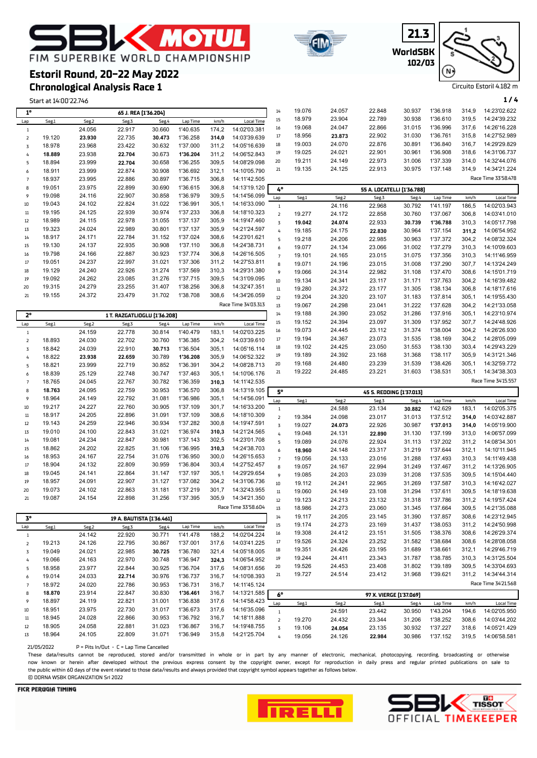

Lap Seg.1 Seg.2 Seg.3 Seg.4 Lap Time km/h Local Time 24.056 22.917 30.660 1'40.635 174,2 14:02'03.381 19.120 **23.930** 22.735 **30.473** 1'36.258 **314,0** 14:03'39.639

### **Chronological Analysis Race 1 Estoril Round, 20-22 May 2022**

**1° 65 J. REA (1'36.204)**



| 3                         | 18.978           | 23.968           | 23.422                       | 30.632           | 1'37.000             | 311,2          | 14:05'16.639                 | 18                      | 19.003           | 24.070           | 22.876                     | 30.891           | 1'36.840             | 316,7          | 14:29'29.829                 |
|---------------------------|------------------|------------------|------------------------------|------------------|----------------------|----------------|------------------------------|-------------------------|------------------|------------------|----------------------------|------------------|----------------------|----------------|------------------------------|
| $\overline{4}$            | 18.889           | 23.938           | 22.704                       | 30.673           | 1'36.204             | 311,2          | 14:06'52.843                 | $19\,$                  | 19.025           | 24.021           | 22.901                     | 30.961           | 1'36.908             | 318,6          | 14:31'06.737                 |
| 5                         | 18.894           | 23.999           | 22.704                       | 30.658           | 1'36.255             | 309,5          | 14:08'29.098                 | 20                      | 19.211           | 24.149           | 22.973                     | 31.006           | 1'37.339             | 314,0          | 14:32'44.076                 |
|                           |                  | 23.999           | 22.874                       | 30.908           | 1'36.692             | 312,1          | 14:10'05.790                 | 21                      | 19.135           | 24.125           | 22.913                     | 30.975           | 1'37.148             | 314,9          | 14:34'21.224                 |
| 6                         | 18.911           |                  |                              |                  |                      |                |                              |                         |                  |                  |                            |                  |                      |                | Race Time 33'58.478          |
| $\overline{7}$            | 18.937           | 23.995           | 22.886                       | 30.897           | 1'36.715             | 306,8          | 14:11'42.505                 |                         |                  |                  |                            |                  |                      |                |                              |
| 8                         | 19.051           | 23.975           | 22.899                       | 30.690           | 1'36.615             | 306,8          | 14:13'19.120                 | 4°                      |                  |                  | 55 A. LOCATELLI [1'36.788] |                  |                      |                |                              |
| 9                         | 19.098           | 24.116           | 22.907                       | 30.858           | 1'36.979             | 309,5          | 14:14'56.099                 | Lap                     | Seg.1            | Seg.2            | Seg.3                      | Seg.4            | Lap Time             | km/h           | <b>Local Time</b>            |
| $10\,$                    | 19.043           | 24.102           | 22.824                       | 31.022           | 1'36.991             | 305,1          | 14:16'33.090                 | $\,1\,$                 |                  | 24.116           | 22.968                     | 30.792           | 1'41.197             | 186,5          | 14:02'03.943                 |
| $11\,$                    | 19.195           | 24.125           | 22.939                       | 30.974           | 1'37.233             | 306,8          | 14:18'10.323                 | $\overline{\mathbf{2}}$ | 19.277           | 24.172           | 22.858                     | 30.760           | 1'37.067             | 306,8          | 14:03'41.010                 |
| $12\,$                    | 18.989           | 24.115           | 22.978                       | 31.055           | 1'37.137             | 305,9          | 14:19'47.460                 | 3                       | 19.042           | 24.074           | 22.933                     | 30.739           | 1'36.788             | 310,3          | 14:05'17.798                 |
| $1\overline{3}$           | 19.323           | 24.024           | 22.989                       | 30.801           | 1'37.137             | 305,9          | 14:21'24.597                 | $\overline{4}$          | 19.185           | 24.175           | 22.830                     | 30.964           | 1'37.154             | 311,2          | 14:06'54.952                 |
| $14\,$                    | 18.917           | 24.171           | 22.784                       | 31.152           | 1'37.024             | 308,6          | 14:23'01.621                 |                         |                  | 24.206           | 22.985                     | 30.963           | 1'37.372             | 304,2          | 14:08'32.324                 |
| 15                        | 19.130           | 24.137           | 22.935                       | 30.908           | 1'37.110             | 306,8          | 14:24'38.731                 | 5                       | 19.218           |                  |                            |                  |                      |                |                              |
| $16\,$                    | 19.798           | 24.166           | 22.887                       | 30.923           | 1'37.774             | 306,8          | 14:26'16.505                 | 6                       | 19.077           | 24.134           | 23.066                     | 31.002           | 1'37.279             | 310,3          | 14:10'09.603                 |
|                           |                  |                  |                              |                  |                      |                |                              | $\overline{7}$          | 19.101           | 24.165           | 23.015                     | 31.075           | 1'37.356             | 310,3          | 14:11'46.959                 |
| $17\,$                    | 19.051           | 24.237           | 22.997                       | 31.021           | 1'37.306             | 311,2          | 14:27'53.811                 | 8                       | 19.071           | 24.196           | 23.015                     | 31.008           | 1'37.290             | 307,7          | 14:13'24.249                 |
| 18                        | 19.129           | 24.240           | 22.926                       | 31.274           | 1'37.569             | 310,3          | 14:29'31.380                 | 9                       | 19.066           | 24.314           | 22.982                     | 31.108           | 1'37.470             | 308,6          | 14:15'01.719                 |
| 19                        | 19.092           | 24.262           | 23.085                       | 31.276           | 1'37.715             | 309,5          | 14:31'09.095                 | 10                      | 19.134           | 24.341           | 23.117                     | 31.171           | 1'37.763             | 304,2          | 14:16'39.482                 |
| 20                        | 19.315           | 24.279           | 23.255                       | 31.407           | 1'38.256             | 306,8          | 14:32'47.351                 | $11\,$                  | 19.280           | 24.372           | 23.177                     | 31.305           | 1'38.134             | 306,8          | 14:18'17.616                 |
| 21                        | 19.155           | 24.372           | 23.479                       | 31.702           | 1'38.708             | 308,6          | 14:34'26.059                 | $12\,$                  | 19.204           | 24.320           | 23.107                     | 31.183           | 1'37.814             | 305,1          | 14:19'55.430                 |
|                           |                  |                  |                              |                  |                      |                | Race Time 34'03.313          | $1\overline{3}$         | 19.067           | 24.298           | 23.041                     | 31.222           | 1'37.628             | 304,2          | 14:21'33.058                 |
|                           |                  |                  |                              |                  |                      |                |                              | $14\,$                  | 19.188           | 24.390           | 23.052                     | 31.286           | 1'37.916             | 305,1          | 14:23'10.974                 |
| $2^{\circ}$               |                  |                  | 1 T. RAZGATLIOGLU [1'36.208] |                  |                      |                |                              |                         |                  |                  |                            |                  |                      |                |                              |
| Lap                       | Seg.1            | Seg.2            | Seg.3                        | Seg.4            | Lap Time             | km/h           | Local Time                   | 15                      | 19.152           | 24.394           | 23.097                     | 31.309           | 1'37.952             | 307,7          | 14:24'48.926                 |
| $\,1\,$                   |                  | 24.159           | 22.778                       | 30.814           | 1'40.479             | 183,1          | 14:02'03.225                 | 16                      | 19.073           | 24.445           | 23.112                     | 31.374           | 1'38.004             | 304,2          | 14:26'26.930                 |
| $\overline{\mathbf{2}}$   | 18.893           | 24.030           | 22.702                       | 30.760           | 1'36.385             | 304,2          | 14:03'39.610                 | $17\,$                  | 19.194           | 24.367           | 23.073                     | 31.535           | 1'38.169             | 304,2          | 14:28'05.099                 |
| $\mathbf 3$               | 18.842           | 24.039           | 22.910                       | 30.713           | 1'36.504             | 305,1          | 14:05'16.114                 | 18                      | 19.102           | 24.425           | 23.050                     | 31.553           | 1'38.130             | 303,4          | 14:29'43.229                 |
| $\overline{4}$            | 18.822           | 23.938           | 22.659                       | 30.789           | 1'36.208             | 305,9          | 14:06'52.322                 | $19\,$                  | 19.189           | 24.392           | 23.168                     | 31.368           | 1'38.117             | 305,9          | 14:31'21.346                 |
| 5                         | 18.821           | 23.999           | 22.719                       | 30.852           | 1'36.391             | 304,2          | 14:08'28.713                 | 20                      | 19.168           | 24.480           | 23.239                     | 31.539           | 1'38.426             | 305,1          | 14:32'59.772                 |
| 6                         | 18.839           | 25.129           | 22.748                       | 30.747           | 1'37.463             | 305,1          | 14:10'06.176                 | $21\,$                  | 19.222           | 24.485           | 23.221                     | 31.603           | 1'38.531             | 305,1          | 14:34'38.303                 |
| $\overline{7}$            | 18.765           | 24.045           | 22.767                       | 30.782           | 1'36.359             | 310,3          | 14:11'42.535                 |                         |                  |                  |                            |                  |                      |                | Race Time 34'15.557          |
|                           |                  |                  |                              |                  |                      |                |                              |                         |                  |                  |                            |                  |                      |                |                              |
|                           |                  |                  |                              |                  |                      |                |                              |                         |                  |                  |                            |                  |                      |                |                              |
| 8                         | 18.763           | 24.095           | 22.759                       | 30.953           | 1'36.570             | 306,8          | 14:13'19.105                 | 5°                      |                  |                  | 45 S. REDDING [1'37.013]   |                  |                      |                |                              |
| 9                         | 18.964           | 24.149           | 22.792                       | 31.081           | 1'36.986             | 305,1          | 14:14'56.091                 | Lap                     | Seg.1            | Seg.2            | Seg.3                      | Seg.4            | Lap Time             | km/h           | Local Time                   |
| $10\,$                    | 19.217           | 24.227           | 22.760                       | 30.905           | 1'37.109             | 301,7          | 14:16'33.200                 | $\,1\,$                 |                  | 24.588           | 23.134                     | 30.882           | 1'42.629             | 183,1          | 14:02'05.375                 |
| $11\,$                    | 18.917           | 24.205           | 22.896                       | 31.091           | 1'37.109             | 308,6          | 14:18'10.309                 | $\mathsf{2}$            | 19.384           | 24.098           | 23.017                     | 31.013           | 1'37.512             | 314,0          | 14:03'42.887                 |
| $12\,$                    | 19.143           | 24.259           | 22.946                       | 30.934           | 1'37.282             | 300,8          | 14:19'47.591                 | $\mathbf 3$             | 19.027           | 24.073           | 22.926                     | 30.987           | 1'37.013             | 314,0          | 14:05'19.900                 |
| $1\overline{3}$           | 19.010           | 24.100           | 22.843                       | 31.021           | 1'36.974             | 310,3          | 14:21'24.565                 | 4                       |                  |                  |                            |                  |                      |                |                              |
| $14\,$                    | 19.081           | 24.234           | 22.847                       | 30.981           | 1'37.143             | 302,5          | 14:23'01.708                 |                         | 19.048           | 24.131           | 22.890                     | 31.130           | 1'37.199             | 313,0          | 14:06'57.099                 |
| 15                        | 18.862           | 24.202           | 22.825                       | 31.106           | 1'36.995             | 310,3          | 14:24'38.703                 | 5                       | 19.089           | 24.076           | 22.924                     | 31.113           | 1'37.202             | 311,2          | 14:08'34.301                 |
|                           |                  |                  |                              |                  |                      |                |                              | 6                       | 18.960           | 24.148           | 23.317                     | 31.219           | 1'37.644             | 312,1          | 14:10'11.945                 |
| $16\,$                    | 18.953           | 24.167           | 22.754                       | 31.076           | 1'36.950             | 300,0          | 14:26'15.653                 | $\overline{7}$          | 19.056           | 24.133           | 23.016                     | 31.288           | 1'37.493             | 310,3          | 14:11'49.438                 |
| $17\,$                    | 18.904           | 24.132           | 22.809                       | 30.959           | 1'36.804             | 303,4          | 14:27'52.457                 | 8                       | 19.057           | 24.167           | 22.994                     | 31.249           | 1'37.467             | 311,2          | 14:13'26.905                 |
| 18                        | 19.045           | 24.141           | 22.864                       | 31.147           | 1'37.197             | 305,1          | 14:29'29.654                 | 9                       | 19.085           | 24.203           | 23.039                     | 31.208           | 1'37.535             | 309,5          | 14:15'04.440                 |
| 19                        | 18.957           | 24.091           | 22.907                       | 31.127           | 1'37.082             | 304,2          | 14:31'06.736                 | 10                      | 19.112           | 24.241           | 22.965                     | 31.269           | 1'37.587             | 310,3          | 14:16'42.027                 |
| 20                        | 19.073           | 24.102           | 22.863                       | 31.181           | 1'37.219             | 301,7          | 14:32'43.955                 | $11\,$                  | 19.060           | 24.149           | 23.108                     | 31.294           | 1'37.611             | 309,5          | 14:18'19.638                 |
| 21                        | 19.087           | 24.154           | 22.898                       | 31.256           | 1'37.395             | 305,9          | 14:34'21.350                 | $12\,$                  | 19.123           | 24.213           | 23.132                     | 31.318           | 1'37.786             | 311,2          | 14:19'57.424                 |
|                           |                  |                  |                              |                  |                      |                | Race Time 33'58.604          | 13                      | 18.986           | 24.273           | 23.060                     | 31.345           | 1'37.664             | 309,5          | 14:21'35.088                 |
|                           |                  |                  |                              |                  |                      |                |                              | $14\,$                  | 19.117           | 24.205           | 23.145                     | 31.390           | 1'37.857             | 308,6          | 14:23'12.945                 |
| $\mathbf{3}^{\mathbf{o}}$ |                  |                  | 19 A. BAUTISTA [1'36.461]    |                  |                      |                |                              | 15                      | 19.174           | 24.273           | 23.169                     | 31.437           | 1'38.053             | 311,2          | 14:24'50.998                 |
| Lap                       | Seg.1            | Seg.2            | Seg.3                        | Seg.4            | Lap Time             | km/h           | <b>Local Time</b>            |                         |                  |                  |                            |                  |                      |                |                              |
| $\,1\,$                   |                  | 24.142           | 22.920                       | 30.771           | 1'41.478             | 188,2          | 14:02'04.224                 | $16\,$                  | 19.308           | 24.412           | 23.151                     | 31.505           | 1'38.376             | 308,6          | 14:26'29.374                 |
| $\overline{2}$            | 19.213           | 24.126           | 22.795                       | 30.867           | 1'37.001             | 317,6          | 14:03'41.225                 | $17\,$                  | 19.526           | 24.324           | 23.252                     | 31.582           | 1'38.684             | 308,6          | 14:28'08.058                 |
| 3                         | 19.049           | 24.021           | 22.985                       | 30.725           | 1'36.780             | 321,4          | 14:05'18.005                 | 18                      | 19.351           | 24.426           | 23.195                     | 31.689           | 1'38.661             | 312,1          | 14:29'46.719                 |
| $\overline{4}$            | 19.066           | 24.163           | 22.970                       | 30.748           | 1'36.947             | 324,3          | 14:06'54.952                 | 19                      | 19.244           | 24.411           | 23.343                     | 31.787           | 1'38.785             | 310,3          | 14:31'25.504                 |
| 5                         | 18.958           | 23.977           | 22.844                       | 30.925           | 1'36.704             | 317,6          | 14:08'31.656                 | 20                      | 19.526           | 24.453           | 23.408                     | 31.802           | 1'39.189             | 309,5          | 14:33'04.693                 |
| 6                         | 19.014           | 24.033           | 22.714                       | 30.976           | 1'36.737             | 316,7          | 14:10'08.393                 | 21                      | 19.727           | 24.514           | 23.412                     | 31.968           | 1'39.621             | 311,2          | 14:34'44.314                 |
| $\overline{7}$            | 18.972           | 24.020           | 22.786                       | 30.953           | 1'36.731             | 316,7          | 14:11'45.124                 |                         |                  |                  |                            |                  |                      |                | Race Time 34'21.568          |
| 8                         | 18.870           | 23.914           | 22.847                       | 30.830           | 1'36.461             | 316,7          | 14:13'21.585                 |                         |                  |                  |                            |                  |                      |                |                              |
| 9                         | 18.897           | 24.119           | 22.821                       | 31.001           | 1'36.838             | 317,6          | 14:14'58.423                 | 6°                      |                  |                  | 97 X. VIERGE [1'37.069]    |                  |                      |                |                              |
|                           |                  |                  |                              |                  |                      |                |                              | Lap                     | Seg.1            | Seg.2            | Seg.3                      | Seg.4            | Lap Time             | km/h           | Local Time                   |
| $10\,$                    | 18.951           | 23.975           | 22.730                       | 31.017           | 1'36.673             | 317,6          | 14:16'35.096                 | $\mathbf{1}$            |                  | 24.591           | 23.442                     | 30.950           | 1'43.204             | 194,6          | 14:02'05.950                 |
| $11\,$                    | 18.945           | 24.028           | 22.866                       | 30.953           | 1'36.792             | 316,7          | 14:18'11.888                 | $\mathsf{2}$            | 19.270           | 24.432           | 23.344                     | 31.206           | 1'38.252             | 308,6          | 14:03'44.202                 |
| 12<br>$1\overline{3}$     | 18.905<br>18.964 | 24.058<br>24.105 | 22.881<br>22.809             | 31.023<br>31.071 | 1'36.867<br>1'36.949 | 316,7<br>315,8 | 14:19'48.755<br>14:21'25.704 | 3<br>4                  | 19.106<br>19.056 | 24.054<br>24.126 | 23.135<br>22.984           | 30.932<br>30.986 | 1'37.227<br>1'37.152 | 318,6<br>319,5 | 14:05'21.429<br>14:06'58.581 |

 $21/05/2022$  P = Pits In/Out - C = Lap Time Cancelled

These data/results cannot be reproduced, stored and/or transmitted in whole or in part by any manner of electronic, mechanical, photocopying, recording, broadcasting or otherwise now known or herein afer developed without the previous express consent by the copyright owner, except for reproduction in daily press and regular printed publications on sale to the public within 60 days of the event related to those data/results and always provided that copyright symbol appears together as follows below. © DORNA WSBK ORGANIZATION Srl 2022



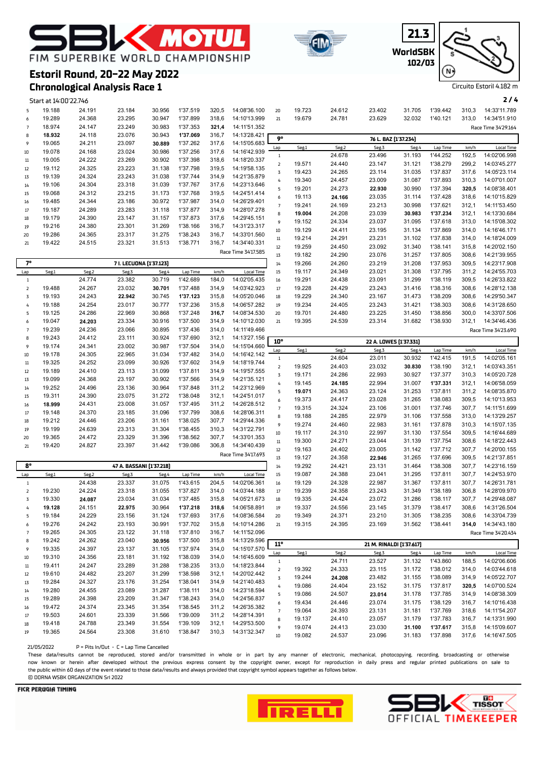# **EMOTU** FIM SUPERBIKE WORLD CHAMPIONSHIP







Circuito Estoril 4.182 m

### **Chronological Analysis Race 1 Estoril Round, 20-22 May 2022**

|                               | Start at 14:00'22.746 |                  |                          |                  |                      |                |                              |                          |        |        |                          |        |          |       | 2/4                 |
|-------------------------------|-----------------------|------------------|--------------------------|------------------|----------------------|----------------|------------------------------|--------------------------|--------|--------|--------------------------|--------|----------|-------|---------------------|
| 5                             | 19.188                | 24.191           | 23.184                   | 30.956           | 1'37.519             | 320,5          | 14:08'36.100                 | 20                       | 19.723 | 24.612 | 23.402                   | 31.705 | 1'39.442 | 310,3 | 14:33'11.789        |
| 6                             | 19.289                | 24.368           | 23.295                   | 30.947           | 1'37.899             | 318,6          | 14:10'13.999                 | 21                       | 19.679 | 24.781 | 23.629                   | 32.032 | 1'40.121 | 313,0 | 14:34'51.910        |
| $\overline{7}$                | 18.974                | 24.147           | 23.249                   | 30.983           | 1'37.353             | 321,4          | 14:11'51.352                 |                          |        |        |                          |        |          |       | Race Time 34'29.164 |
| 8                             | 18.932                | 24.118           | 23.076                   | 30.943           | 1'37.069             | 316,7          | 14:13'28.421                 | 90                       |        |        |                          |        |          |       |                     |
| 9                             | 19.065                | 24.211           | 23.097                   | 30.889           | 1'37.262             | 317,6          | 14:15'05.683                 |                          |        |        | 76 L. BAZ [1'37.234]     |        |          |       |                     |
| $10\,$                        | 19.078                | 24.168           | 23.024                   | 30.986           | 1'37.256             | 317,6          | 14:16'42.939                 | Lap                      | Seg.1  | Seg.2  | Seg.3                    | Seg.4  | Lap Time | km/h  | <b>Local Time</b>   |
| $11\,$                        | 19.005                | 24.222           | 23.269                   | 30.902           | 1'37.398             | 318,6          | 14:18'20.337                 | $1\,$                    |        | 24.678 | 23.496                   | 31.193 | 1'44.252 | 192,5 | 14:02'06.998        |
| 12                            | 19.112                | 24.325           | 23.223                   | 31.138           | 1'37.798             | 319,5          | 14:19'58.135                 | $\mathsf{2}$             | 19.571 | 24.440 | 23.147                   | 31.121 | 1'38.279 | 299,2 | 14:03'45.277        |
| $1\overline{3}$               | 19.139                | 24.324           | 23.243                   | 31.038           | 1'37.744             | 314,9          | 14:21'35.879                 | $\overline{\mathbf{3}}$  | 19.423 | 24.265 | 23.114                   | 31.035 | 1'37.837 | 317,6 | 14:05'23.114        |
| 14                            | 19.106                | 24.304           | 23.318                   | 31.039           | 1'37.767             | 317,6          | 14:23'13.646                 | $\pmb{4}$                | 19.340 | 24.457 | 23.009                   | 31.087 | 1'37.893 | 310,3 | 14:07'01.007        |
| 15                            | 19.068                | 24.312           | 23.215                   | 31.173           | 1'37.768             | 319,5          | 14:24'51.414                 | 5                        | 19.201 | 24.273 | 22.930                   | 30.990 | 1'37.394 | 320,5 | 14:08'38.401        |
| 16                            | 19.485                | 24.344           | 23.186                   | 30.972           | 1'37.987             | 314,0          | 14:26'29.401                 | 6                        | 19.113 | 24.166 | 23.035                   | 31.114 | 1'37.428 | 318,6 | 14:10'15.829        |
| $17\,$                        | 19.187                | 24.289           | 23.283                   | 31.118           | 1'37.877             | 314,9          | 14:28'07.278                 | $\overline{7}$           | 19.241 | 24.169 | 23.213                   | 30.998 | 1'37.621 | 312,1 | 14:11'53.450        |
| 18                            | 19.179                | 24.390           | 23.147                   | 31.157           | 1'37.873             | 317,6          | 14:29'45.151                 | 8                        | 19.004 | 24.208 | 23.039                   | 30.983 | 1'37.234 | 312,1 | 14:13'30.684        |
| 19                            | 19.216                | 24.380           | 23.301                   | 31.269           | 1'38.166             | 316,7          | 14:31'23.317                 | 9                        | 19.152 | 24.334 | 23.037                   | 31.095 | 1'37.618 | 313,0 | 14:15'08.302        |
| 20                            | 19.286                | 24.365           | 23.317                   | 31.275           | 1'38.243             | 316,7          | 14:33'01.560                 | $10\,$                   | 19.129 | 24.411 | 23.195                   | 31.134 | 1'37.869 | 314,0 | 14:16'46.171        |
| 21                            | 19.422                | 24.515           | 23.321                   | 31.513           | 1'38.771             | 316,7          | 14:34'40.331                 | $11\,$                   | 19.214 | 24.291 | 23.231                   | 31.102 | 1'37.838 | 314,0 | 14:18'24.009        |
|                               |                       |                  |                          |                  |                      |                | Race Time 34'17.585          | $12\,$                   | 19.259 | 24.450 | 23.092                   | 31.340 | 1'38.141 | 315,8 | 14:20'02.150        |
|                               |                       |                  |                          |                  |                      |                |                              | $1\overline{3}$          | 19.182 | 24.290 | 23.076                   | 31.257 | 1'37.805 | 308,6 | 14:21'39.955        |
| 7°                            |                       |                  | 7 I. LECUONA [1'37.123]  |                  |                      |                |                              | $14\,$                   | 19.266 | 24.260 | 23.219                   | 31.208 | 1'37.953 | 309,5 | 14:23'17.908        |
| Lap                           | Seg.1                 | Seg.2            | Seg.3                    | Seg.4            | Lap Time             | km/h           | <b>Local Time</b>            | 15                       | 19.117 | 24.349 | 23.021                   | 31.308 | 1'37.795 | 311,2 | 14:24'55.703        |
| $\,1\,$                       |                       | 24.774           | 23.382                   | 30.719           | 1'42.689             | 184,0          | 14:02'05.435                 | $16\,$                   | 19.291 | 24.438 | 23.091                   | 31.299 | 1'38.119 | 309,5 | 14:26'33.822        |
| $\mathsf{Z}$                  | 19.488                | 24.267           | 23.032                   | 30.701           | 1'37.488             | 314,9          | 14:03'42.923                 | $17\,$                   | 19.228 | 24.429 | 23.243                   | 31.416 | 1'38.316 | 308,6 | 14:28'12.138        |
| 3                             | 19.193                | 24.243           | 22.942                   | 30.745           | 1'37.123             | 315,8          | 14:05'20.046                 | 18                       | 19.229 | 24.340 | 23.167                   | 31.473 | 1'38.209 | 308,6 | 14:29'50.347        |
| 4                             | 19.188                | 24.254           | 23.017                   | 30.777           | 1'37.236             | 315,8          | 14:06'57.282                 | 19                       | 19.234 | 24.405 | 23.243                   | 31.421 | 1'38.303 | 308,6 | 14:31'28.650        |
| 5                             | 19.125                | 24.286           | 22.969                   | 30.868           | 1'37.248             | 316,7          | 14:08'34.530                 | 20                       | 19.701 | 24.480 | 23.225                   | 31.450 | 1'38.856 | 300,0 | 14:33'07.506        |
| 6                             | 19.047                | 24.203           | 23.334                   | 30.916           | 1'37.500             | 314,9          | 14:10'12.030                 | 21                       | 19.395 | 24.539 | 23.314                   | 31.682 | 1'38.930 | 312,1 | 14:34'46.436        |
| $\overline{7}$                | 19.239                | 24.236           | 23.066                   | 30.895           | 1'37.436             | 314,0          | 14:11'49.466                 |                          |        |        |                          |        |          |       | Race Time 34'23.690 |
| 8                             | 19.243                | 24.412           | 23.111                   | 30.924           | 1'37.690             | 312,1          | 14:13'27.156                 | $10^{\circ}$             |        |        | 22 A. LOWES [1'37.331]   |        |          |       |                     |
| 9                             | 19.174                | 24.341           | 23.002                   | 30.987           | 1'37.504             | 314,0          | 14:15'04.660                 | Lap                      | Seg.1  | Seg.2  | Seg.3                    | Seg.4  | Lap Time | km/h  | <b>Local Time</b>   |
| $10\,$                        | 19.178                | 24.305           | 22.965                   | 31.034           | 1'37.482             | 314,0          | 14:16'42.142                 | $\,1\,$                  |        | 24.604 | 23.011                   | 30.932 | 1'42.415 | 191,5 | 14:02'05.161        |
| $11\,$                        | 19.325                | 24.252           | 23.099                   | 30.926           | 1'37.602             | 314,9          | 14:18'19.744                 | $\overline{\mathbf{2}}$  | 19.925 | 24.403 | 23.032                   | 30.830 | 1'38.190 | 312,1 | 14:03'43.351        |
| 12                            | 19.189                | 24.410           | 23.113                   | 31.099           | 1'37.811             | 314,9          | 14:19'57.555                 | 3                        | 19.171 | 24.286 | 22.993                   | 30.927 | 1'37.377 | 310,3 | 14:05'20.728        |
| 13                            | 19.099                | 24.368           | 23.197                   | 30.902           | 1'37.566             | 314,9          | 14:21'35.121                 | $\pmb{4}$                | 19.145 | 24.185 | 22.994                   | 31.007 | 1'37.331 | 312,1 | 14:06'58.059        |
| 14                            | 19.252                | 24.496           | 23.136                   | 30.964           | 1'37.848             | 311,2          | 14:23'12.969                 | 5                        | 19.071 | 24.363 | 23.124                   | 31.253 | 1'37.811 | 311,2 | 14:08'35.870        |
| 15                            | 19.311                | 24.390           | 23.075                   | 31.272           | 1'38.048             | 312,1          | 14:24'51.017                 | 6                        | 19.373 | 24.417 | 23.028                   | 31.265 | 1'38.083 | 309,5 | 14:10'13.953        |
| 16                            | 18.999                | 24.431           | 23.008                   | 31.057           | 1'37.495             | 311,2          | 14:26'28.512                 | $\overline{7}$           | 19.315 | 24.324 | 23.106                   | 31.001 | 1'37.746 | 307,7 | 14:11'51.699        |
| $17\,$                        | 19.148                | 24.370           | 23.185                   | 31.096           | 1'37.799             | 308,6          | 14:28'06.311                 | 8                        | 19.188 | 24.285 | 22.979                   | 31.106 | 1'37.558 | 313,0 | 14:13'29.257        |
| 18                            | 19.212                | 24.446           | 23.206                   | 31.161           | 1'38.025             | 307,7          | 14:29'44.336                 | 9                        | 19.274 | 24.460 | 22.983                   | 31.161 | 1'37.878 | 310,3 | 14:15'07.135        |
| 19                            | 19.199                | 24.639           | 23.313                   | 31.304           | 1'38.455             | 310,3          | 14:31'22.791                 | $10\,$                   | 19.117 | 24.310 | 22.997                   | 31.130 | 1'37.554 | 309,5 | 14:16'44.689        |
| 20                            | 19.365                | 24.472           | 23.329                   | 31.396           | 1'38.562             | 307,7          | 14:33'01.353                 | $11\,$                   | 19.300 | 24.271 | 23.044                   | 31.139 | 1'37.754 | 308,6 | 14:18'22.443        |
| 21                            | 19.420                | 24.827           | 23.397                   | 31.442           | 1'39.086             | 306,8          | 14:34'40.439                 | $12\,$                   | 19.163 | 24.402 | 23.005                   | 31.142 | 1'37.712 | 307,7 | 14:20'00.155        |
|                               |                       |                  |                          |                  |                      |                | Race Time 34'17.693          | $1\overline{3}$          | 19.127 | 24.358 | 22.946                   | 31.265 | 1'37.696 | 309,5 | 14:21'37.851        |
| $8^{\circ}$                   |                       |                  | 47 A. BASSANI [1'37.218] |                  |                      |                |                              | $14\,$                   | 19.292 | 24.421 | 23.131                   | 31.464 | 1'38.308 | 307,7 | 14:23'16.159        |
| Lap                           | Seg.1                 | Seg.2            | Seg.3                    | Seg.4            | Lap Time             | km/h           | <b>Local Time</b>            | 15                       | 19.087 | 24.388 | 23.041                   | 31.295 | 1'37.811 | 307,7 | 14:24'53.970        |
| $\,1\,$                       |                       | 24.438           | 23.337                   | 31.075           | 1'43.615             | 204,5          | 14:02'06.361                 | $16\,$                   | 19.129 | 24.328 | 22.987                   | 31.367 | 1'37.811 | 307,7 | 14:26'31.781        |
| $\mathsf{Z}$                  | 19.230                | 24.224           | 23.318                   | 31.055           | 1'37.827             | 314,0          | 14:03'44.188                 | $17\,$                   | 19.239 | 24.358 | 23.243                   | 31.349 | 1'38.189 | 306,8 | 14:28'09.970        |
| 3                             | 19.330                | 24.087           | 23.034                   | 31.034           | 1'37.485             | 315,8          | 14:05'21.673                 | 18                       | 19.335 | 24.424 | 23.072                   | 31.286 | 1'38.117 | 307,7 | 14:29'48.087        |
| 4                             | 19.128                | 24.151           | 22.975                   | 30.964           | 1'37.218             | 318,6          | 14:06'58.891                 | 19                       | 19.337 | 24.556 | 23.145                   | 31.379 | 1'38.417 | 308,6 | 14:31'26.504        |
| 5                             | 19.184                | 24.229           | 23.156                   | 31.124           | 1'37.693             | 317,6          | 14:08'36.584                 | 20                       | 19.349 | 24.371 | 23.210                   | 31.305 | 1'38.235 | 308,6 | 14:33'04.739        |
|                               | 19.276                | 24.242           | 23.193                   | 30.991           | 1'37.702             | 315,8          | 14:10'14.286                 | $21\,$                   | 19.315 | 24.395 | 23.169                   | 31.562 | 1'38.441 | 314,0 | 14:34'43.180        |
| 6<br>$\overline{\phantom{a}}$ | 19.265                | 24.305           | 23.122                   | 31.118           | 1'37.810             | 316,7          | 14:11'52.096                 |                          |        |        |                          |        |          |       |                     |
|                               | 19.242                | 24.262           |                          | 30.956           | 1'37.500             | 315,8          | 14:13'29.596                 |                          |        |        |                          |        |          |       | Race Time 34'20.434 |
| 8<br>9                        | 19.335                | 24.397           | 23.040<br>23.137         | 31.105           | 1'37.974             | 314,0          | 14:15'07.570                 | $11^{\circ}$             |        |        | 21 M. RINALDI [1'37.617] |        |          |       |                     |
|                               |                       |                  |                          |                  | 1'38.039             |                | 14:16'45.609                 | Lap                      | Seg.1  | Seg.2  | Seg.3                    | Seg.4  | Lap Time | km/h  | <b>Local Time</b>   |
| $10\,$                        | 19.310                | 24.356           | 23.181                   | 31.192<br>31.288 |                      | 314,0          |                              | $\mathbf{1}$             |        | 24.711 | 23.527                   | 31.132 | 1'43.860 | 188,5 | 14:02'06.606        |
| $11\,$                        | 19.411                | 24.247           | 23.289                   |                  | 1'38.235             | 313,0          | 14:18'23.844                 | $\mathsf{Z}$             | 19.392 | 24.333 | 23.115                   | 31.172 | 1'38.012 | 314,0 | 14:03'44.618        |
| 12                            | 19.610                | 24.482           | 23.207                   | 31.299           | 1'38.598             | 312,1          | 14:20'02.442                 | $\mathbf 3$              | 19.244 | 24.208 | 23.482                   | 31.155 | 1'38.089 | 314,9 | 14:05'22.707        |
| $1\overline{3}$               | 19.284                | 24.327           | 23.176                   | 31.254           | 1'38.041             | 314,9          | 14:21'40.483                 | $\pmb{4}$                | 19.086 | 24.404 | 23.152                   | 31.175 | 1'37.817 | 320,5 | 14:07'00.524        |
| 14                            | 19.280                | 24.455           | 23.089                   | 31.287           | 1'38.111             | 314,0          | 14:23'18.594                 | 5                        | 19.086 | 24.507 | 23.014                   | 31.178 | 1'37.785 | 314,9 | 14:08'38.309        |
| $15\,$                        | 19.289                | 24.398<br>24.374 | 23.209<br>23.345         | 31.347<br>31.354 | 1'38.243             | 314,0          | 14:24'56.837                 | 6                        | 19.434 | 24.446 | 23.074                   | 31.175 | 1'38.129 | 316,7 | 14:10'16.438        |
|                               |                       |                  |                          |                  | 1'38.545             | 311,2          | 14:26'35.382                 |                          |        |        |                          | 31.181 | 1'37.769 | 318,6 | 14:11'54.207        |
| 16                            | 19.472                |                  |                          |                  |                      |                |                              | $\overline{\phantom{a}}$ | 19.064 | 24.393 | 23.131                   |        |          |       |                     |
| $17\,$                        | 19.503                | 24.601           | 23.339                   | 31.566           | 1'39.009             | 311,2          | 14:28'14.391                 | 8                        | 19.137 | 24.410 | 23.057                   | 31.179 | 1'37.783 | 316,7 | 14:13'31.990        |
| 18<br>19                      | 19.418<br>19.365      | 24.788<br>24.564 | 23.349<br>23.308         | 31.554<br>31.610 | 1'39.109<br>1'38.847 | 312,1<br>310,3 | 14:29'53.500<br>14:31'32.347 | 9                        | 19.074 | 24.413 | 23.030                   | 31.100 | 1'37.617 | 315,8 | 14:15'09.607        |

 $21/05/2022$  P = Pits In/Out - C = Lap Time Cancelled

These data/results cannot be reproduced, stored and/or transmitted in whole or in part by any manner of electronic, mechanical, photocopying, recording, broadcasting or otherwise now known or herein afer developed without the previous express consent by the copyright owner, except for reproduction in daily press and regular printed publications on sale to the public within 60 days of the event related to those data/results and always provided that copyright symbol appears together as follows below. © DORNA WSBK ORGANIZATION Srl 2022



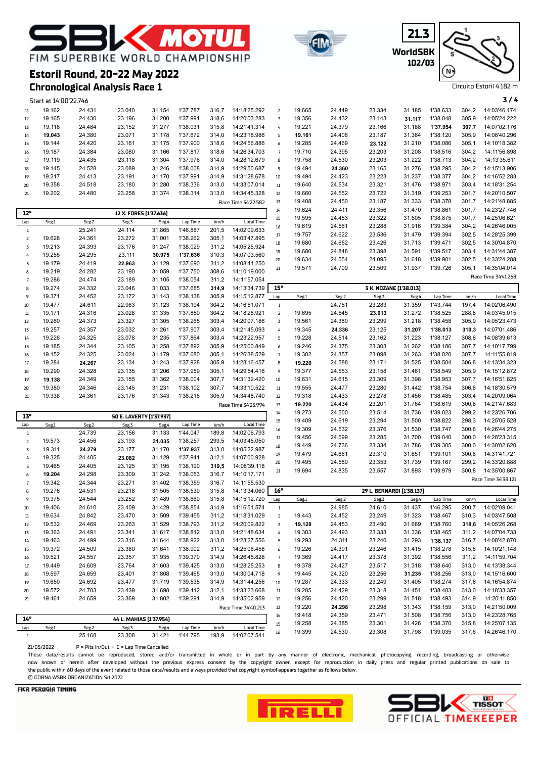# **МОТ** FIM SUPERBIKE WORLD CHAMPIONSHIP





**WorldSBK 21.3 102/03**



Circuito Estoril 4.182 m

|                     | Start at 14:00'22.746 |                  |                          |                  |                      |                |                              |                           |                  |                  |                           |                  |                      |                | 3/4                          |
|---------------------|-----------------------|------------------|--------------------------|------------------|----------------------|----------------|------------------------------|---------------------------|------------------|------------------|---------------------------|------------------|----------------------|----------------|------------------------------|
| $11\,$              | 19.162                | 24.431           | 23.040                   | 31.154           | 1'37.787             | 316,7          | 14:18'25.292                 | $\mathsf{Z}$              | 19.665           | 24.449           | 23.334                    | 31.185           | 1'38.633             | 304,2          | 14:03'46.174                 |
| 12                  | 19.165                | 24.430           | 23.196                   | 31.200           | 1'37.991             | 318,6          | 14:20'03.283                 | 3                         | 19.356           | 24.432           | 23.143                    | 31.117           | 1'38.048             | 305,9          | 14:05'24.222                 |
| $1\overline{3}$     | 19.118                | 24.484           | 23.152                   | 31.277           | 1'38.031             | 315,8          | 14:21'41.314                 | 4                         | 19.221           | 24.379           | 23.166                    | 31.188           | 1'37.954             | 307,7          | 14:07'02.176                 |
| 14                  | 19.043                | 24.380           | 23.071                   | 31.178           | 1'37.672             | 314,0          | 14:23'18.986                 | 5                         | 19.161           | 24.408           | 23.187                    | 31.364           | 1'38.120             | 305,9          | 14:08'40.296                 |
| 15                  | 19.144                | 24.420           | 23.161                   | 31.175           | 1'37.900             | 318,6          | 14:24'56.886                 | 6                         | 19.285           | 24.469           | 23.122                    | 31.210           | 1'38.086             | 305,1          | 14:10'18.382                 |
| 16                  | 19.187                | 24.384           | 23.080                   | 31.166           | 1'37.817             | 318,6          | 14:26'34.703                 | $\overline{7}$            | 19.710           | 24.395           | 23.203                    | 31.208           | 1'38.516             | 304,2          | 14:11'56.898                 |
| 17                  | 19.119                | 24.435           | 23.118                   | 31.304           | 1'37.976             | 314,0          | 14:28'12.679                 | 8                         | 19.758           | 24.530           | 23.203                    | 31.222           | 1'38.713             | 304,2          | 14:13'35.611                 |
| 18                  | 19.145                | 24.528           | 23.089                   | 31.246           | 1'38.008             | 314,9          | 14:29'50.687                 | 9                         | 19.494           | 24.360           | 23.165                    | 31.276           | 1'38.295             | 304,2          | 14:15'13.906                 |
| 19                  | 19.217                | 24.413           | 23.191                   | 31.170           | 1'37.991             | 314,9          | 14:31'28.678                 | $10\,$                    | 19.494           | 24.423           | 23.223                    | 31.237           | 1'38.377             | 304,2          | 14:16'52.283                 |
| 20                  | 19.358                | 24.518           | 23.180                   | 31.280           | 1'38.336             | 313,0          | 14:33'07.014                 | $11\,$                    | 19.640           | 24.534           | 23.321                    | 31.476           | 1'38.971             | 303,4          | 14:18'31.254                 |
| 21                  | 19.202                | 24.480           | 23.258                   | 31.374           | 1'38.314             | 313,0          | 14:34'45.328                 | $12\,$                    | 19.660           | 24.552           | 23.722                    | 31.319           | 1'39.253             | 301,7          | 14:20'10.507                 |
|                     |                       |                  |                          |                  |                      |                | Race Time 34'22.582          | 13                        | 19.408           | 24.450           | 23.187                    | 31.333           | 1'38.378             | 301,7          | 14:21'48.885                 |
| 12°                 |                       |                  | 12 X. FORES [1'37.636]   |                  |                      |                |                              | 14                        | 19.624           | 24.411           | 23.356                    | 31.470           | 1'38.861             | 301,7          | 14:23'27.746                 |
| Lap                 | Seg.1                 | Seg.2            | Seg.3                    | Seg.4            | Lap Time             | km/h           | <b>Local Time</b>            | 15                        | 19.595           | 24.453           | 23.322                    | 31.505           | 1'38.875             | 301,7          | 14:25'06.621                 |
| $\overline{1}$      |                       | 25.241           | 24.114                   | 31.865           | 1'46.887             | 201,5          | 14:02'09.633                 | 16                        | 19.619           | 24.561           | 23.288                    | 31.916           | 1'39.384             | 304,2          | 14:26'46.005                 |
| $\overline{2}$      | 19.628                | 24.361           | 23.272                   | 31.001           | 1'38.262             | 305,1          | 14:03'47.895                 | $17\,$                    | 19.757           | 24.622           | 23.536                    | 31.479           | 1'39.394             | 302,5          | 14:28'25.399                 |
| $\mathbf 3$         | 19.213                | 24.393           | 23.176                   | 31.247           | 1'38.029             | 311,2          | 14:05'25.924                 | 18                        | 19.680<br>19.680 | 24.652<br>24.848 | 23.426<br>23.398          | 31.713<br>31.591 | 1'39.471<br>1'39.517 | 302,5<br>303,4 | 14:30'04.870<br>14:31'44.387 |
| $\overline{4}$      | 19.255                | 24.295           | 23.111                   | 30.975           | 1'37.636             | 310,3          | 14:07'03.560                 | $19\,$                    | 19.634           | 24.554           | 24.095                    | 31.618           | 1'39.901             | 302,5          | 14:33'24.288                 |
| 5                   | 19.179                | 24.419           | 22.963                   | 31.129           | 1'37.690             | 311,2          | 14:08'41.250                 | 20                        |                  | 24.709           | 23.509                    | 31.937           | 1'39.726             | 305,1          | 14:35'04.014                 |
| 6                   | 19.219                | 24.282           | 23.190                   | 31.059           | 1'37.750             | 308,6          | 14:10'19.000                 | 21                        | 19.571           |                  |                           |                  |                      |                |                              |
| $\overline{7}$      | 19.286                | 24.474           | 23.189                   | 31.105           | 1'38.054             | 311,2          | 14:11'57.054                 |                           |                  |                  |                           |                  |                      |                | Race Time 34'41.268          |
| 8                   | 19.274                | 24.332           | 23.046                   | 31.033           | 1'37.685             | 314,9          | 14:13'34.739                 | 15°                       |                  |                  | 3 K. NOZANE [1'38.013]    |                  |                      |                |                              |
| 9                   | 19.371                | 24.452           | 23.172                   | 31.143           | 1'38.138             | 305,9          | 14:15'12.877                 | Lap                       | Seg.1            | Seg.2            | Seg.3                     | Seg.4            | Lap Time             | km/h           | <b>Local Time</b>            |
| $10\,$              | 19.477                | 24.611           | 22.983                   | 31.123           | 1'38.194             | 304,2          | 14:16'51.071                 | $1\,$                     |                  | 24.751           | 23.283                    | 31.359           | 1'43.744             | 197,4          | 14:02'06.490                 |
| $11\,$              | 19.171                | 24.316           | 23.028                   | 31.335           | 1'37.850             | 304,2          | 14:18'28.921                 | $\mathsf{Z}$              | 19.695           | 24.545           | 23.013                    | 31.272           | 1'38.525             | 288,8          | 14:03'45.015                 |
| 12                  | 19.260                | 24.373           | 23.327                   | 31.305           | 1'38.265             | 303,4          | 14:20'07.186                 | 3                         | 19.561           | 24.380           | 23.299                    | 31.218           | 1'38.458             | 305,9          | 14:05'23.473                 |
| 13                  | 19.257                | 24.357           | 23.032                   | 31.261           | 1'37.907             | 303,4          | 14:21'45.093                 | 4                         | 19.345           | 24.336           | 23.125                    | 31.207           | 1'38.013             | 310,3          | 14:07'01.486                 |
| 14                  | 19.226                | 24.325           | 23.078                   | 31.235           | 1'37.864             | 303,4          | 14:23'22.957                 | 5                         | 19.228           | 24.514           | 23.162                    | 31.223           | 1'38.127             | 308,6          | 14:08'39.613                 |
| 15                  | 19.185                | 24.344           | 23.105                   | 31.258           | 1'37.892             | 305,9          | 14:25'00.849                 | 6                         | 19.246           | 24.375           | 23.303                    | 31.262           | 1'38.186             | 307,7          | 14:10'17.799                 |
| 16                  | 19.152                | 24.325           | 23.024                   | 31.179           | 1'37.680             | 305,1          | 14:26'38.529                 | $\overline{7}$            | 19.302           | 24.357           | 23.098                    | 31.263           | 1'38.020             | 307,7          | 14:11'55.819                 |
| 17                  | 19.284                | 24.267           | 23.134                   | 31.243           | 1'37.928             | 305,9          | 14:28'16.457                 | 8                         | 19.220           | 24.588           | 23.171                    | 31.525           | 1'38.504             | 306,8          | 14:13'34.323                 |
| 18                  | 19.290                | 24.328           | 23.135                   | 31.206           | 1'37.959             | 305,1          | 14:29'54.416                 | 9                         | 19.377           | 24.553           | 23.158                    | 31.461           | 1'38.549             | 305,9          | 14:15'12.872                 |
| 19                  | 19.138                | 24.349           | 23.155                   | 31.362           | 1'38.004             | 307,7          | 14:31'32.420                 | $10\,$                    | 19.631           | 24.615           | 23.309                    | 31.398           | 1'38.953             | 307,7          | 14:16'51.825                 |
| 20                  | 19.380                | 24.346           | 23.145                   | 31.231<br>31.343 | 1'38.102<br>1'38.218 | 307,7          | 14:33'10.522                 | $11\,$                    | 19.555           | 24.477           | 23.280                    | 31.442           | 1'38.754             | 306,8          | 14:18'30.579                 |
| 21                  | 19.338                | 24.361           | 23.176                   |                  |                      | 305,9          | 14:34'48.740                 | $12\,$<br>$1\overline{3}$ | 19.318<br>19.220 | 24.433<br>24.434 | 23.278<br>23.201          | 31.456<br>31.764 | 1'38.485<br>1'38.619 | 303,4<br>300,8 | 14:20'09.064<br>14:21'47.683 |
|                     |                       |                  |                          |                  |                      |                | Race Time 34'25.994          | 14                        | 19.273           | 24.500           | 23.514                    | 31.736           | 1'39.023             | 299,2          | 14:23'26.706                 |
| 13°                 |                       |                  | 50 E. LAVERTY [1'37.937] |                  |                      |                |                              | 15                        | 19.409           | 24.619           | 23.294                    | 31.500           | 1'38.822             | 298,3          | 14:25'05.528                 |
| Lap                 | Seg.1                 | Seg.2            | Seg.3                    | Seg.4            | Lap Time             | km/h           | <b>Local Time</b>            | 16                        | 19.309           | 24.532           | 23.376                    | 31.530           | 1'38.747             | 300,8          | 14:26'44.275                 |
| $\mathbf{1}$        |                       | 24.739           | 23.156                   | 31.133           | 1'44.047             | 189,8          | 14:02'06.793                 | 17                        | 19.456           | 24.599           | 23.285                    | 31.700           | 1'39.040             | 300,0          | 14:28'23.315                 |
| $\overline{2}$      | 19.573                | 24.456           | 23.193                   | 31.035           | 1'38.257             | 293,5          | 14:03'45.050                 | 18                        | 19.449           | 24.736           | 23.334                    | 31.786           | 1'39.305             | 300,0          | 14:30'02.620                 |
| $\overline{3}$      | 19.311                | 24.279           | 23.177                   | 31.170           | 1'37.937             | 313,0          | 14:05'22.987                 | 19                        | 19.479           | 24.661           | 23.310                    | 31.651           | 1'39.101             | 300,8          | 14:31'41.721                 |
| 4                   | 19.325                | 24.405           | 23.082                   | 31.129           | 1'37.941             | 312,1          | 14:07'00.928                 | 20                        | 19.495           | 24.580           | 23.353                    | 31.739           | 1'39.167             | 299,2          | 14:33'20.888                 |
| 5                   | 19.465                | 24.405           | 23.125                   | 31.195           | 1'38.190             | 319,5          | 14:08'39.118                 | 21                        | 19.694           | 24.835           | 23.557                    | 31.893           | 1'39.979             | 300,8          | 14:35'00.867                 |
| 6<br>$\overline{7}$ | 19.204<br>19.342      | 24.298           | 23.309                   | 31.242<br>31.402 | 1'38.053<br>1'38.359 | 316,7<br>316,7 | 14:10'17.171<br>14:11'55.530 |                           |                  |                  |                           |                  |                      |                | Race Time 34'38.121          |
| 8                   | 19.276                | 24.344<br>24.531 | 23.271<br>23.218         | 31.505           | 1'38.530             | 315,8          | 14:13'34.060                 | 16°                       |                  |                  | 29 L. BERNARDI [1'38.137] |                  |                      |                |                              |
|                     | 19.375                | 24.544           | 23.252                   | 31.489           | 1'38.660             | 315,8          | 14:15'12.720                 |                           | Seg.1            | Seg.2            |                           |                  | Lap Time             | km/h           | Local Time                   |
| $10\,$              | 19.406                | 24.610           | 23.409                   | 31.429           | 1'38.854             | 314,9          | 14:16'51.574                 | Lap<br>$\mathbf{1}$       |                  | 24.985           | seg.s<br>24.610           | beg.4<br>31.437  | 1'46.295             | 200,7          | 14:02'09.041                 |
| $11\,$              | 19.634                | 24.842           | 23.470                   | 31.509           | 1'39.455             | 311,2          | 14:18'31.029                 | $\mathsf{Z}$              | 19.443           | 24.452           | 23.249                    | 31.323           | 1'38.467             | 310,3          | 14:03'47.508                 |
| 12                  | 19.532                | 24.469           | 23.263                   | 31.529           | 1'38.793             | 311,2          | 14:20'09.822                 | 3                         | 19.128           | 24.453           | 23.490                    | 31.689           | 1'38.760             | 318,6          | 14:05'26.268                 |
| 13                  | 19.363                | 24.491           | 23.341                   | 31.617           | 1'38.812             | 313,0          | 14:21'48.634                 | 4                         | 19.303           | 24.493           | 23.333                    | 31.336           | 1'38.465             | 311,2          | 14:07'04.733                 |
| 14                  | 19.463                | 24.499           | 23.316                   | 31.644           | 1'38.922             | 313,0          | 14:23'27.556                 | 5                         | 19.293           | 24.311           | 23.240                    | 31.293           | 1'38.137             | 316,7          | 14:08'42.870                 |
| 15                  | 19.372                | 24.509           | 23.380                   | 31.641           | 1'38.902             | 311,2          | 14:25'06.458                 | 6                         | 19.226           | 24.391           | 23.246                    | 31.415           | 1'38.278             | 315,8          | 14:10'21.148                 |
| 16                  | 19.521                | 24.557           | 23.357                   | 31.935           | 1'39.370             | 314,9          | 14:26'45.828                 | $\overline{7}$            | 19.369           | 24.417           | 23.378                    | 31.392           | 1'38.556             | 311,2          | 14:11'59.704                 |
| 17                  | 19.449                | 24.609           | 23.764                   | 31.603           | 1'39.425             | 313,0          | 14:28'25.253                 | 8                         | 19.378           | 24.427           | 23.517                    | 31.318           | 1'38.640             | 313,0          | 14:13'38.344                 |
| 18                  | 19.597                | 24.659           | 23.401                   | 31.808           | 1'39.465             | 313,0          | 14:30'04.718                 | 9                         | 19.445           | 24.320           | 23.256                    | 31.235           | 1'38.256             | 313,0          | 14:15'16.600                 |
| 19                  | 19.650                | 24.692           | 23.477                   | 31.719           | 1'39.538             | 314,9          | 14:31'44.256                 | $10\,$                    | 19.287           | 24.333           | 23.249                    | 31.405           | 1'38.274             | 317,6          | 14:16'54.874                 |
| 20                  | 19.572                | 24.703           | 23.439                   | 31.698           | 1'39.412             | 312,1          | 14:33'23.668                 | $11\,$                    | 19.285           | 24.429           | 23.318                    | 31.451           | 1'38.483             | 313,0          | 14:18'33.357                 |
| 21                  | 19.461                | 24.659           | 23.369                   | 31.802           | 1'39.291             | 314,9          | 14:35'02.959                 | 12                        | 19.256           | 24.420           | 23.299                    | 31.518           | 1'38.493             | 314,9          | 14:20'11.850                 |
|                     |                       |                  |                          |                  |                      |                | Race Time 34'40.213          | $1\overline{3}$           | 19.220           | 24.298           | 23.298                    | 31.343           | 1'38.159             | 313,0          | 14:21'50.009                 |
| 14°                 |                       |                  | 44 L. MAHIAS [1'37.954]  |                  |                      |                |                              | 14                        | 19.418           | 24.359           | 23.471                    | 31.508           | 1'38.756             | 313,0          | 14:23'28.765                 |
| Lap                 | Seg.1                 | Seg.2            | Seg.3                    | Seg.4            | Lap Time             | km/h           | Local Time                   | 15                        | 19.258           | 24.385           | 23.301                    | 31.426           | 1'38.370             | 315,8          | 14:25'07.135                 |
| $\mathbf{1}$        |                       | 25.168           | 23.308                   | 31.421           | 1'44.795             | 193,9          | 14:02'07.541                 | 16                        | 19.399           | 24.530           | 23.308                    | 31.798           | 1'39.035             |                | 317,6 14:26'46.170           |

 $21/05/2022$  P = Pits In/Out - C = Lap Time Cancelled

These data/results cannot be reproduced, stored and/or transmitted in whole or in part by any manner of electronic, mechanical, photocopying, recording, broadcasting or otherwise now known or herein afer developed without the previous express consent by the copyright owner, except for reproduction in daily press and regular printed publications on sale to the public within 60 days of the event related to those data/results and always provided that copyright symbol appears together as follows below. © DORNA WSBK ORGANIZATION Srl 2022



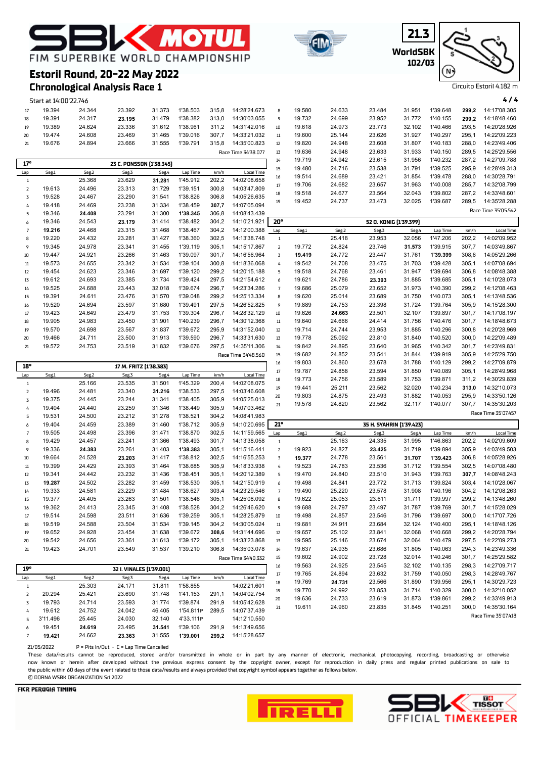





# **EXAMPLE** FIM SUPERBIKE WORLD CHAMPIONSHIP

### **Chronological Analysis Race 1 Estoril Round, 20-22 May 2022**

|                         | Start at 14:00'22.746 |        |                          |                          |           |       |                     |                         |        |        |        |                          |          |       | 474                 |
|-------------------------|-----------------------|--------|--------------------------|--------------------------|-----------|-------|---------------------|-------------------------|--------|--------|--------|--------------------------|----------|-------|---------------------|
| 17                      | 19.394                | 24.344 | 23.392                   | 31.373                   | 1'38.503  | 315,8 | 14:28'24.673        | 8                       | 19.580 | 24.633 | 23.484 | 31.951                   | 1'39.648 | 299,2 | 14:17'08.305        |
| 18                      | 19.391                | 24.317 | 23.195                   | 31.479                   | 1'38.382  | 313,0 | 14:30'03.055        | 9                       | 19.732 | 24.699 | 23.952 | 31.772                   | 1'40.155 | 299,2 | 14:18'48.460        |
| 19                      | 19.389                | 24.624 | 23.336                   | 31.612                   | 1'38.961  | 311,2 | 14:31'42.016        | $10\,$                  | 19.618 | 24.973 | 23.773 | 32.102                   | 1'40.466 | 293,5 | 14:20'28.926        |
| 20                      | 19.474                | 24.608 | 23.469                   | 31.465                   | 1'39.016  | 307,7 | 14:33'21.032        | $11\,$                  | 19.600 | 25.144 | 23.626 | 31.927                   | 1'40.297 | 295,1 | 14:22'09.223        |
| 21                      | 19.676                | 24.894 | 23.666                   | 31.555                   | 1'39.791  | 315,8 | 14:35'00.823        | $12\,$                  | 19.820 | 24.948 | 23.608 | 31.807                   | 1'40.183 | 288,0 | 14:23'49.406        |
|                         |                       |        |                          |                          |           |       | Race Time 34'38.077 | $1\overline{3}$         | 19.636 | 24.948 | 23.633 | 31.933                   | 1'40.150 | 289,5 | 14:25'29.556        |
|                         |                       |        |                          |                          |           |       |                     | 14                      | 19.719 | 24.942 | 23.615 | 31.956                   | 1'40.232 | 287,2 | 14:27'09.788        |
| 17°                     |                       |        |                          | 23 C. PONSSON [1'38.345] |           |       |                     | 15                      | 19.480 | 24.716 | 23.538 | 31.791                   | 1'39.525 | 295,9 | 14:28'49.313        |
| Lap                     | Seg.1                 | Seg.2  | Seg.3                    | Seg.4                    | Lap Time  | km/h  | Local Time          |                         |        | 24.689 | 23.421 | 31.854                   | 1'39.478 | 288,0 | 14:30'28.791        |
| $\mathbf{1}$            |                       | 25.368 | 23.629                   | 31.281                   | 1'45.912  | 202,2 | 14:02'08.658        | 16                      | 19.514 |        |        |                          |          | 285,7 |                     |
| $\overline{\mathbf{2}}$ | 19.613                | 24.496 | 23.313                   | 31.729                   | 1'39.151  | 300,8 | 14:03'47.809        | $17\,$                  | 19.706 | 24.682 | 23.657 | 31.963                   | 1'40.008 |       | 14:32'08.799        |
| 3                       | 19.528                | 24.467 | 23.290                   | 31.541                   | 1'38.826  | 306,8 | 14:05'26.635        | 18                      | 19.518 | 24.677 | 23.564 | 32.043                   | 1'39.802 | 287,2 | 14:33'48.601        |
| 4                       | 19.418                | 24.469 | 23.238                   | 31.334                   | 1'38.459  | 307,7 | 14:07'05.094        | 19                      | 19.452 | 24.737 | 23.473 | 32.025                   | 1'39.687 | 289,5 | 14:35'28.288        |
| 5                       | 19.346                | 24.408 | 23.291                   | 31.300                   | 1'38.345  | 306,8 | 14:08'43.439        |                         |        |        |        |                          |          |       | Race Time 35'05.542 |
| 6                       | 19.346                | 24.543 | 23.179                   | 31.414                   | 1'38.482  | 304,2 | 14:10'21.921        | 20°                     |        |        |        | 52 O. KONIG [1'39.399]   |          |       |                     |
| $\overline{7}$          | 19.216                | 24.468 | 23.315                   | 31.468                   | 1'38.467  | 304,2 | 14:12'00.388        | Lap                     | Seg.1  | Seg.2  | Seg.3  | Seg.4                    | Lap Time | km/h  | <b>Local Time</b>   |
| 8                       | 19.220                | 24.432 | 23.281                   | 31.427                   | 1'38.360  | 302,5 | 14:13'38.748        | $\mathbf{1}$            |        | 25.418 | 23.953 | 32.056                   | 1'47.206 | 202,2 | 14:02'09.952        |
| 9                       | 19.345                | 24.978 | 23.341                   | 31.455                   | 1'39.119  | 305,1 | 14:15'17.867        | $\mathsf{2}$            | 19.772 | 24.824 | 23.746 | 31.573                   | 1'39.915 | 307,7 | 14:03'49.867        |
| $10\,$                  | 19.447                | 24.921 | 23.266                   | 31.463                   | 1'39.097  | 301,7 | 14:16'56.964        | 3                       | 19.419 | 24.772 | 23.447 | 31.761                   | 1'39.399 | 308,6 | 14:05'29.266        |
| $11\,$                  | 19.573                | 24.655 | 23.342                   | 31.534                   | 1'39.104  | 300,8 | 14:18'36.068        | $\pmb{4}$               | 19.542 | 24.708 | 23.475 | 31.703                   | 1'39.428 | 305,1 | 14:07'08.694        |
|                         |                       |        |                          |                          |           |       |                     |                         |        |        |        |                          |          |       |                     |
| 12                      | 19.454                | 24.623 | 23.346                   | 31.697                   | 1'39.120  | 299,2 | 14:20'15.188        | 5                       | 19.518 | 24.768 | 23.461 | 31.947                   | 1'39.694 | 306,8 | 14:08'48.388        |
| 13                      | 19.612                | 24.693 | 23.385                   | 31.734                   | 1'39.424  | 297,5 | 14:21'54.612        | 6                       | 19.621 | 24.786 | 23.393 | 31.885                   | 1'39.685 | 305,1 | 14:10'28.073        |
| 14                      | 19.525                | 24.688 | 23.443                   | 32.018                   | 1'39.674  | 296,7 | 14:23'34.286        | $\overline{7}$          | 19.686 | 25.079 | 23.652 | 31.973                   | 1'40.390 | 299,2 | 14:12'08.463        |
| 15                      | 19.391                | 24.611 | 23.476                   | 31.570                   | 1'39.048  | 299,2 | 14:25'13.334        | 8                       | 19.620 | 25.014 | 23.689 | 31.750                   | 1'40.073 | 305,1 | 14:13'48.536        |
| 16                      | 19.520                | 24.694 | 23.597                   | 31.680                   | 1'39.491  | 297,5 | 14:26'52.825        | 9                       | 19.889 | 24.753 | 23.398 | 31.724                   | 1'39.764 | 305,9 | 14:15'28.300        |
| $17\,$                  | 19.423                | 24.649 | 23.479                   | 31.753                   | 1'39.304  | 296,7 | 14:28'32.129        | $10\,$                  | 19.626 | 24.663 | 23.501 | 32.107                   | 1'39.897 | 301,7 | 14:17'08.197        |
| 18                      | 19.905                | 24.983 | 23.450                   | 31.901                   | 1'40.239  | 296,7 | 14:30'12.368        | $11\,$                  | 19.640 | 24.666 | 24.414 | 31.756                   | 1'40.476 | 301,7 | 14:18'48.673        |
| 19                      | 19.570                | 24.698 | 23.567                   | 31.837                   | 1'39.672  | 295,9 | 14:31'52.040        | 12                      | 19.714 | 24.744 | 23.953 | 31.885                   | 1'40.296 | 300,8 | 14:20'28.969        |
| 20                      | 19.466                | 24.711 | 23.500                   | 31.913                   | 1'39.590  | 296,7 | 14:33'31.630        | $1\overline{3}$         | 19.778 | 25.092 | 23.810 | 31.840                   | 1'40.520 | 300,0 | 14:22'09.489        |
| 21                      | 19.572                | 24.753 | 23.519                   | 31.832                   | 1'39.676  | 297,5 | 14:35'11.306        | $14\,$                  | 19.842 | 24.895 | 23.640 | 31.965                   | 1'40.342 | 301,7 | 14:23'49.831        |
|                         |                       |        |                          |                          |           |       | Race Time 34'48.560 | 15                      | 19.682 | 24.852 | 23.541 | 31.844                   | 1'39.919 | 305,9 | 14:25'29.750        |
|                         |                       |        |                          |                          |           |       |                     | 16                      | 19.803 | 24.860 | 23.678 | 31.788                   | 1'40.129 | 299,2 | 14:27'09.879        |
| 18°                     |                       |        | 17 M. FRITZ [1'38.383]   |                          |           |       |                     | 17                      | 19.787 | 24.858 | 23.594 | 31.850                   | 1'40.089 | 305,1 | 14:28'49.968        |
| Lap                     | Seg.1                 | Seg.2  | Seg.3                    | Seg.4                    | Lap Time  | km/h  | Local Time          | 18                      | 19.773 | 24.756 | 23.589 | 31.753                   | 1'39.871 | 311,2 | 14:30'29.839        |
| $1\,$                   |                       |        |                          |                          |           |       |                     |                         |        |        |        |                          |          |       |                     |
|                         |                       | 25.166 | 23.535                   | 31.501                   | 1'45.329  | 200,4 | 14:02'08.075        |                         |        |        |        |                          |          |       |                     |
| $\overline{\mathbf{2}}$ | 19.496                | 24.481 | 23.340                   | 31.216                   | 1'38.533  | 297,5 | 14:03'46.608        | 19                      | 19.441 | 25.211 | 23.562 | 32.020                   | 1'40.234 | 313,0 | 14:32'10.073        |
| 3                       | 19.375                | 24.445 | 23.244                   | 31.341                   | 1'38.405  | 305,9 | 14:05'25.013        | 20                      | 19.803 | 24.875 | 23.493 | 31.882                   | 1'40.053 | 295,9 | 14:33'50.126        |
| $\overline{4}$          | 19.404                | 24.440 | 23.259                   | 31.346                   | 1'38.449  | 305,9 | 14:07'03.462        | 21                      | 19.578 | 24.820 | 23.562 | 32.117                   | 1'40.077 | 307,7 | 14:35'30.203        |
| 5                       | 19.531                | 24.500 |                          | 31.278                   | 1'38.521  | 304,2 | 14:08'41.983        |                         |        |        |        |                          |          |       | Race Time 35'07.457 |
| 6                       |                       |        | 23.212                   |                          |           |       |                     |                         |        |        |        |                          |          |       |                     |
| $\overline{7}$          | 19.404                | 24.459 | 23.389                   | 31.460                   | 1'38.712  | 305,9 | 14:10'20.695        | 21°                     |        |        |        | 35 H. SYAHRIN [1'39.423] |          |       |                     |
|                         | 19.505                | 24.498 | 23.396                   | 31.471                   | 1'38.870  | 302,5 | 14:11'59.565        | Lap                     | Seg.1  | Seg.2  | Seg.3  | Seg.4                    | Lap Time | km/h  | <b>Local Time</b>   |
| 8                       | 19.429                | 24.457 | 23.241                   | 31.366                   | 1'38.493  | 301,7 | 14:13'38.058        | $1\,$                   |        | 25.163 | 24.335 | 31.995                   | 1'46.863 | 202,2 | 14:02'09.609        |
| 9                       | 19.336                | 24.383 | 23.261                   | 31.403                   | 1'38.383  | 305,1 | 14:15'16.441        | $\overline{\mathbf{2}}$ | 19.923 | 24.827 | 23.425 | 31.719                   | 1'39.894 | 305,9 | 14:03'49.503        |
| $10\,$                  | 19.664                | 24.528 | 23.203                   | 31.417                   | 1'38.812  | 302,5 | 14:16'55.253        | $\overline{\mathbf{3}}$ | 19.377 | 24.778 | 23.561 | 31.707                   | 1'39.423 | 306,8 | 14:05'28.926        |
| $11\,$                  | 19.399                | 24.429 | 23.393                   | 31.464                   | 1'38.685  | 305,9 | 14:18'33.938        | $\pmb{4}$               | 19.523 | 24.783 | 23.536 | 31.712                   | 1'39.554 | 302,5 | 14:07'08.480        |
| 12                      | 19.341                | 24.442 | 23.232                   | 31.436                   | 1'38.451  | 305,1 | 14:20'12.389        | 5                       | 19.470 | 24.840 | 23.510 | 31.943                   | 1'39.763 | 307,7 | 14:08'48.243        |
| 13                      | 19.287                | 24.502 | 23.282                   | 31.459                   | 1'38.530  | 305,1 | 14:21'50.919        | 6                       | 19.498 | 24.841 | 23.772 | 31.713                   | 1'39.824 | 303,4 | 14:10'28.067        |
| 14                      | 19.333                | 24.581 | 23.229                   | 31.484                   | 1'38.627  | 303,4 | 14:23'29.546        | $\overline{7}$          | 19.490 | 25.220 | 23.578 | 31.908                   | 1'40.196 | 304,2 | 14:12'08.263        |
| 15                      | 19.377                | 24.405 | 23.263                   | 31.501                   | 1'38.546  | 305,1 | 14:25'08.092        | $\mathbf{a}$            | 19.622 | 25.053 | 23.611 | 31.711                   | 1'39.997 | 299,2 | 14:13'48.260        |
| 16                      | 19.362                | 24.413 | 23.345                   | 31.408                   | 1'38.528  | 304,2 | 14:26'46.620        | 9                       | 19.688 | 24.797 | 23.497 | 31.787                   | 1'39.769 | 301,7 | 14:15'28.029        |
| 17                      | 19.514                | 24.598 | 23.511                   | 31.636                   | 1'39.259  | 305,1 | 14:28'25.879        | $10\,$                  | 19.498 | 24.857 | 23.546 | 31.796                   | 1'39.697 | 300,0 | 14:17'07.726        |
| 18                      | 19.519                | 24.588 | 23.504                   | 31.534                   | 1'39.145  | 304,2 | 14:30'05.024        | $11\,$                  | 19.681 | 24.911 | 23.684 | 32.124                   | 1'40.400 | 295,1 | 14:18'48.126        |
| 19                      | 19.652                | 24.928 | 23.454                   | 31.638                   | 1'39.672  | 308,6 | 14:31'44.696        | $12\,$                  | 19.657 | 25.102 | 23.841 | 32.068                   | 1'40.668 | 299,2 | 14:20'28.794        |
| 20                      | 19.542                | 24.656 | 23.361                   | 31.613                   | 1'39.172  | 305,1 | 14:33'23.868        | $1\overline{3}$         | 19.595 | 25.146 | 23.674 | 32.064                   | 1'40.479 | 297,5 | 14:22'09.273        |
| 21                      | 19.423                | 24.701 | 23.549                   | 31.537                   | 1'39.210  | 306,8 | 14:35'03.078        | 14                      | 19.637 | 24.935 | 23.686 | 31.805                   | 1'40.063 | 294,3 | 14:23'49.336        |
|                         |                       |        |                          |                          |           |       | Race Time 34'40.332 | 15                      | 19.602 | 24.902 | 23.728 | 32.014                   | 1'40.246 | 301,7 | 14:25'29.582        |
|                         |                       |        |                          |                          |           |       |                     |                         | 19.563 | 24.925 | 23.545 | 32.102                   | 1'40.135 | 298,3 | 14:27'09.717        |
| 19°                     |                       |        | 32 I. VINALES [1'39.001] |                          |           |       |                     | 16                      |        |        |        |                          |          |       |                     |
| Lap                     | Seg.1                 | Seg.2  | Seg.3                    | Seg.4                    | Lap Time  | km/h  | Local Time          | $17\,$                  | 19.765 | 24.894 | 23.632 | 31.759                   | 1'40.050 | 298,3 | 14:28'49.767        |
| $\mathbf{1}$            |                       | 25.303 | 24.171                   | 31.811                   | 1'58.855  |       | 14:02'21.601        | 18                      | 19.769 | 24.731 | 23.566 | 31.890                   | 1'39.956 | 295,1 | 14:30'29.723        |
| $\mathsf{2}$            | 20.294                | 25.421 | 23.690                   | 31.748                   | 1'41.153  | 291,1 | 14:04'02.754        | 19                      | 19.770 | 24.992 | 23.853 | 31.714                   | 1'40.329 | 300,0 | 14:32'10.052        |
| 3                       | 19.793                | 24.714 | 23.593                   | 31.774                   | 1'39.874  | 291,9 | 14:05'42.628        | 20                      | 19.636 | 24.733 | 23.619 | 31.873                   | 1'39.861 | 299,2 | 14:33'49.913        |
| 4                       | 19.612                | 24.752 | 24.042                   | 46.405                   | 1'54.811P | 289,5 | 14:07'37.439        | 21                      | 19.611 | 24.960 | 23.835 | 31.845                   | 1'40.251 | 300,0 | 14:35'30.164        |
| 5                       | 3'11.496              | 25.445 | 24.030                   | 32.140                   | 4'33.111P |       | 14:12'10.550        |                         |        |        |        |                          |          |       | Race Time 35'07.418 |
| 6                       | 19.451                | 24.619 | 23.495                   | 31.541                   | 1'39.106  | 291,9 | 14:13'49.656        |                         |        |        |        |                          |          |       |                     |

 $21/05/2022$  P = Pits In/Out - C = Lap Time Cancelled

These data/results cannot be reproduced, stored and/or transmitted in whole or in part by any manner of electronic, mechanical, photocopying, recording, broadcasting or otherwise now known or herein afer developed without the previous express consent by the copyright owner, except for reproduction in daily press and regular printed publications on sale to the public within 60 days of the event related to those data/results and always provided that copyright symbol appears together as follows below. © DORNA WSBK ORGANIZATION Srl 2022



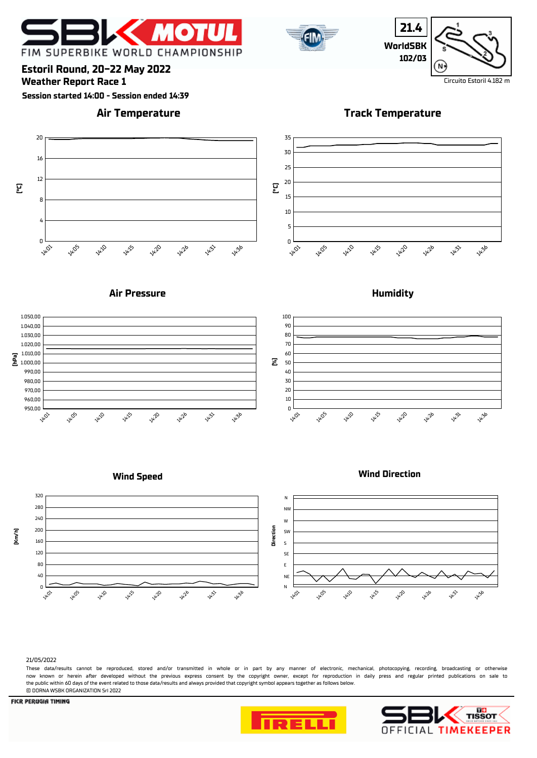



**21.4 WorldSBK 102/03**  $N$ 

### **Estoril Round, 20-22 May 2022**

**Weather Report Race 1** Circuito Estoril 4.182 m

**Session started 14:00 - Session ended 14:39**

### **Air Temperature**

**Track Temperature**







14:01 14:05  $\mathcal{Q}_{\mathbf{y}_a}$ **14:55 14:20 14:26** 14:32 **14:36** 

**Humidity**

### **Wind Speed**





#### 21/05/2022

These data/results cannot be reproduced, stored and/or transmitted in whole or in part by any manner of electronic, mechanical, photocopying, recording, broadcasting or otherwise now known or herein afer developed without the previous express consent by the copyright owner, except for reproduction in daily press and regular printed publications on sale to the public within 60 days of the event related to those data/results and always provided that copyright symbol appears together as follows below. © DORNA WSBK ORGANIZATION Srl 2022



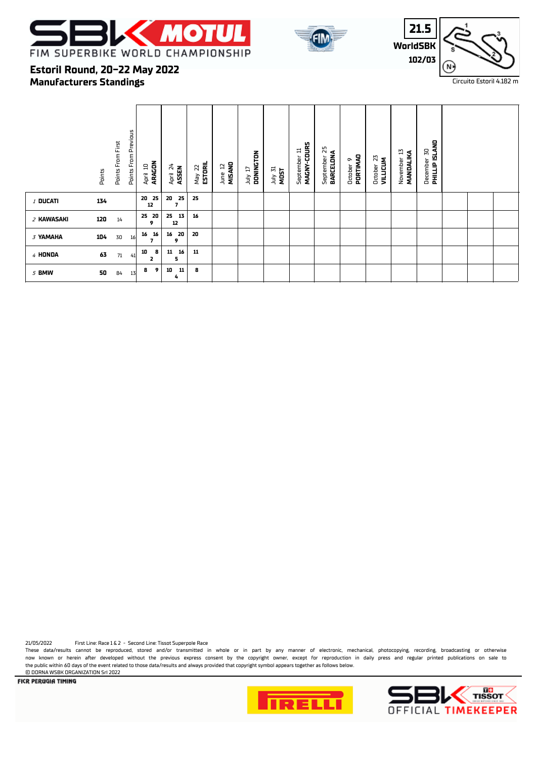





## **Manufacturers Standings Estoril Round, 20-22 May 2022**

|            | Points | Points From First | Points From Previous | ARAGON<br>April 10        | April 24<br>ASSEN                    | May 22<br><b>ESTORIL</b> | MISANO<br>51<br>June | DONINGTON<br>TI VIDL | July 31<br>MOST | MAGNY-COURS<br>September 11 | 52<br>BARCELONA<br>September | PORTIMAD<br>ō<br>October | 23<br>VILLICUM<br>October | 51<br>MANDALIKA<br>November | <b>PHILLIP ISLAND</b><br>50<br>December |  |  |
|------------|--------|-------------------|----------------------|---------------------------|--------------------------------------|--------------------------|----------------------|----------------------|-----------------|-----------------------------|------------------------------|--------------------------|---------------------------|-----------------------------|-----------------------------------------|--|--|
| $1$ DUCATI | 134    |                   |                      | 25<br>20<br>12            | 25<br>20<br>$\overline{\phantom{a}}$ | 25                       |                      |                      |                 |                             |                              |                          |                           |                             |                                         |  |  |
| 2 KAWASAKI | 120    | 14                |                      | 20<br>25<br>9             | 25<br>13<br>12                       | 16                       |                      |                      |                 |                             |                              |                          |                           |                             |                                         |  |  |
| 3 YAMAHA   | 104    | 30                | 16                   | 16<br>16<br>7             | 20<br>16<br>9                        | 20                       |                      |                      |                 |                             |                              |                          |                           |                             |                                         |  |  |
| 4 HONDA    | 63     | 71                | 41                   | 8<br>10<br>$\overline{2}$ | 11<br>16<br>5                        | 11                       |                      |                      |                 |                             |                              |                          |                           |                             |                                         |  |  |
| 5 BMW      | 50     | 84                | 13                   | 9<br>8                    | 10<br>11<br>4                        | 8                        |                      |                      |                 |                             |                              |                          |                           |                             |                                         |  |  |

21/05/2022 First Line: Race 1 & 2 - Second Line: Tissot Superpole Race

These data/results cannot be reproduced, stored and/or transmitted in whole or in part by any manner of electronic, mechanical, photocopying, recording, broadcasting or otherwise now known or herein after developed without the previous express consent by the copyright owner, except for reproduction in daily press and regular printed publications on sale to the public within 60 days of the event related to those data/results and always provided that copyright symbol appears together as follows below. **CO DORNA WSBK ORGANIZATION Srl 2022** 



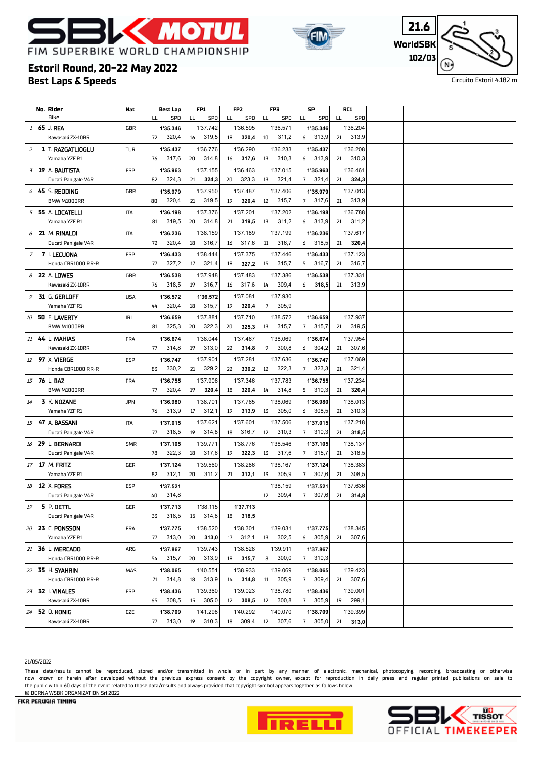# К мот FIM SUPERBIKE WORLD CHAMPIONSHIP



| <b>21.6</b> |  |
|-------------|--|
| WorldSBK    |  |
| 102/03      |  |

Circuito Estoril 4.182 m

## **Best Laps & Speeds Estoril Round, 20-22 May 2022**

|    | No. Rider                       | Nat        | <b>Best Lap</b>         | FP1                      | FP2         | FP3                     | SP                                  | RC1               |  |  |
|----|---------------------------------|------------|-------------------------|--------------------------|-------------|-------------------------|-------------------------------------|-------------------|--|--|
|    | Bike                            |            | LL<br>SPD               | SPD<br>LL                | SPD<br>LL   | SPD<br>LL               | LL<br>SPD                           | SPD<br>LL         |  |  |
|    | 1 65 J. REA                     | GBR        | 1'35.346                | 1'37.742                 | 1'36.595    | 1'36.571                | 1'35.346                            | 1'36.204          |  |  |
|    | Kawasaki ZX-10RR                |            | 320,4<br>72             | 319,5<br>16              | 320,4<br>19 | 311,2<br>10             | 313,9<br>6                          | 21 313,9          |  |  |
| 2  | 1 T. <b>RAZGATLIOGLU</b>        | TUR        | 1'35.437                | 1'36.776                 | 1'36.290    | 1'36.233                | 1'35.437                            | 1'36.208          |  |  |
|    | Yamaha YZF R1                   |            | 76<br>317,6             | 20<br>314,8              | 317,6<br>16 | 13<br>310,3             | 313,9<br>6                          | 21 310,3          |  |  |
|    |                                 |            |                         |                          |             |                         |                                     |                   |  |  |
|    | 3 19 A. BAUTISTA                | ESP        | 1'35.963                | 1'37.155                 | 1'36.463    | 1'37.015                | 1'35.963                            | 1'36.461          |  |  |
|    | Ducati Panigale V4R             |            | 324,3<br>82             | 21<br>324,3              | 323,3<br>20 | 321,4<br>13             | 321,4<br>7                          | 324,3<br>21       |  |  |
|    | 4 45 S. REDDING                 | GBR        | 1'35.979                | 1'37.950                 | 1'37.487    | 1'37.406                | 1'35.979                            | 1'37.013          |  |  |
|    | BMW M1000RR                     |            | 320,4<br>80             | 21 319,5                 | 19<br>320,4 | 315,7<br>12             | 317,6<br>7                          | 21 313,9          |  |  |
|    | 5 55 A. LOCATELLI               | <b>ITA</b> | 1'36.198                | 1'37.376                 | 1'37.201    | 1'37.202                | 1'36.198                            | 1'36.788          |  |  |
|    | Yamaha YZF R1                   |            | 81<br>319,5             | 20<br>314,8              | 21<br>319,5 | 13 311,2                | 313,9<br>6                          | 21 311,2          |  |  |
|    | $6$ 21 m. RINALDI               | ITA        | 1'36.236                | 1'38.159                 | 1'37.189    | 1'37.199                | 1'36.236                            | 1'37.617          |  |  |
|    | Ducati Panigale V4R             |            | 72<br>320,4             | 18<br>316,7              | 16<br>317,6 | 316,7<br>11             | 318,5<br>6                          | 320,4<br>21       |  |  |
| 7  | 7 I LECUONA                     | ESP        | 1'36.433                | 1'38.444                 | 1'37.375    | 1'37.446                | 1'36.433                            | 1'37.123          |  |  |
|    | Honda CBR1000 RR-R              |            | 327,2<br>77             | 321,4<br>17              | 19<br>327,2 | 315,7<br>15             | 316,7<br>5                          | 316,7<br>21       |  |  |
|    |                                 |            |                         |                          |             |                         |                                     |                   |  |  |
|    | 8 22 A. LOWES                   | GBR        | 1'36.538                | 1'37.948                 | 1'37.483    | 1'37.386                | 1'36.538                            | 1'37.331          |  |  |
|    | Kawasaki ZX-10RR                |            | 76<br>318,5             | 19<br>316,7              | 317,6<br>16 | 309,4<br>14             | 318,5<br>6                          | 313,9<br>21       |  |  |
|    | 9 31 G. GERLOFF                 | <b>USA</b> | 1'36.572                | 1'36.572                 | 1'37.081    | 1'37.930                |                                     |                   |  |  |
|    | Yamaha YZF R1                   |            | 320,4<br>44             | 315,7<br>18              | 320,4<br>19 | 305,9<br>$\overline{7}$ |                                     |                   |  |  |
|    | 10 50 E. LAVERTY                | IRL        | 1'36.659                | 1'37.881                 | 1'37.710    | 1'38.572                | 1'36.659                            | 1'37.937          |  |  |
|    | BMW M1000RR                     |            | 81<br>325,3             | 322,3<br>20              | 325,3<br>20 | 315,7<br>13             | 7<br>315,7                          | 21<br>319,5       |  |  |
|    | 11 44 L. MAHIAS                 | <b>FRA</b> | 1'36.674                | 1'38.044                 | 1'37.467    | 1'38.069                | 1'36.674                            | 1'37.954          |  |  |
|    | Kawasaki ZX-10RR                |            | 314,8<br>77             | 19<br>313,0              | 22<br>314,8 | 300,8<br>9              | 304,2<br>6                          | 307,6<br>21       |  |  |
|    |                                 | ESP        |                         | 1'37.901                 | 1'37.281    | 1'37.636                |                                     | 1'37.069          |  |  |
|    | 12 97 X VIERGE                  |            | 1'36.747<br>330,2<br>83 | 21 329,2                 |             | 322,3                   | 1'36.747<br>323,3                   | 321,4             |  |  |
|    | Honda CBR1000 RR-R              |            |                         |                          | 330,2<br>22 | $12 \overline{ }$       | 7                                   | 21                |  |  |
|    | 13 76 L. BAZ                    | <b>FRA</b> | 1'36.755                | 1'37.906                 | 1'37.346    | 1'37.783                | 1'36.755                            | 1'37.234          |  |  |
|    | BMW M1000RR                     |            | 320,4<br>77             | 19<br>320,4              | 18<br>320,4 | 314,8<br>14             | 5<br>310,3                          | 21<br>320,4       |  |  |
| 14 | 3 K. NOZANE                     | <b>JPN</b> | 1'36.980                | 1'38.701                 | 1'37.765    | 1'38.069                | 1'36.980                            | 1'38.013          |  |  |
|    | Yamaha YZF R1                   |            | 313,9<br>76             | 312,1<br>17 <sup>2</sup> | 19<br>313,9 | 305,0<br>13             | 308,5<br>6                          | 21<br>310,3       |  |  |
|    | 15 47 A. BASSANI                | <b>ITA</b> | 1'37.015                | 1'37.621                 | 1'37.601    | 1'37.506                | 1'37.015                            | 1'37.218          |  |  |
|    | Ducati Panigale V4R             |            | 77<br>318,5             | 19<br>314,8              | 316,7<br>18 | 310,3<br>12             | 310,3<br>7                          | 318,5<br>21       |  |  |
|    | 16 29 L. BERNARDI               | <b>SMR</b> | 1'37.105                | 1'39.771                 | 1'38.776    | 1'38.546                | 1'37.105                            | 1'38.137          |  |  |
|    | Ducati Panigale V4R             |            | 78<br>322,3             | 18<br>317,6              | 322,3<br>19 | 13<br>317,6             | $7^{\circ}$<br>315,7                | 318,5<br>21       |  |  |
|    |                                 |            |                         | 1'39.560                 | 1'38.286    | 1'38.167                |                                     |                   |  |  |
|    | 17 17 M. FRITZ<br>Yamaha YZF R1 | <b>GER</b> | 1'37.124<br>82<br>312,1 | 311,2                    | 312,1       | 305,9                   | 1'37.124<br>307,6<br>$\overline{7}$ | 1'38.383<br>308,5 |  |  |
|    |                                 |            |                         | 20                       | 21          | 13                      |                                     | 21                |  |  |
|    | 18 12 X FORES                   | ESP        | 1'37.521                |                          |             | 1'38.159                | 1'37.521                            | 1'37.636          |  |  |
|    | Ducati Panigale V4R             |            | 314,8<br>40             |                          |             | 309,4<br>12             | 307,6<br>7                          | 21<br>314,8       |  |  |
| 19 | 5 P. OETTL                      | GER        | 1'37.713                | 1'38.115                 | 1'37.713    |                         |                                     |                   |  |  |
|    | Ducati Panigale V4R             |            | 318,5<br>33             | 314,8<br>15              | 318,5<br>18 |                         |                                     |                   |  |  |
|    | 20 23 C. PONSSON                | <b>FRA</b> | 1'37.775                | 1'38.520                 | 1'38.301    | 1'39.031                | 1'37.775                            | 1'38.345          |  |  |
|    | Yamaha YZF R1                   |            | 77<br>313,0             | 20<br>313,0              | 17<br>312,1 | 302,5<br>13             | 6<br>305,9                          | 307,6<br>21       |  |  |
|    | 21 36 L. MERCADO                | ARG        | 1'37.867                | 1'39.743                 | 1'38.528    | 1'39.911                | 1'37.867                            |                   |  |  |
|    | Honda CBR1000 RR-R              |            | 315,7<br>54             | 313,9<br>20              | 19<br>315,7 | 300,0<br>8              | 7 310,3                             |                   |  |  |
|    |                                 |            |                         |                          |             |                         |                                     |                   |  |  |
|    | 22 35 H. SYAHRIN                | MAS        | 1'38.065                | 1'40.551                 | 1'38.933    | 1'39.069                | 1'38.065                            | 1'39.423          |  |  |
|    | Honda CBR1000 RR-R              |            | 314,8<br>71             | 313,9<br>18              | 14<br>314,8 | 305,9<br>11             | 309,4<br>7                          | 307,6<br>21       |  |  |
|    | 23 32   VINALES                 | ESP        | 1'38.436                | 1'39.360                 | 1'39.023    | 1'38.780                | 1'38.436                            | 1'39.001          |  |  |
|    | Kawasaki ZX-10RR                |            | 65<br>308,5             | 305,0<br>15              | 308,5<br>12 | 300,8<br>12             | 305,9<br>7                          | 299,1<br>19       |  |  |
|    | 24 52 0. KONIG                  | <b>CZE</b> | 1'38.709                | 1'41.298                 | 1'40.292    | 1'40.070                | 1'38.709                            | 1'39.399          |  |  |
|    | Kawasaki ZX-10RR                |            | 313,0<br>77             | 310,3<br>19              | 309,4<br>18 | 307,6<br>12             | 305,0<br>7                          | 21<br>313,0       |  |  |
|    |                                 |            |                         |                          |             |                         |                                     |                   |  |  |

#### 21/05/2022

These data/results cannot be reproduced, stored and/or transmitted in whole or in part by any manner of electronic, mechanical, photocopying, recording, broadcasting or otherwise now known or herein afer developed without the previous express consent by the copyright owner, except for reproduction in daily press and regular printed publications on sale to the public within 60 days of the event related to those data/results and always provided that copyright symbol appears together as follows below. © DORNA WSBK ORGANIZATION Srl 2022



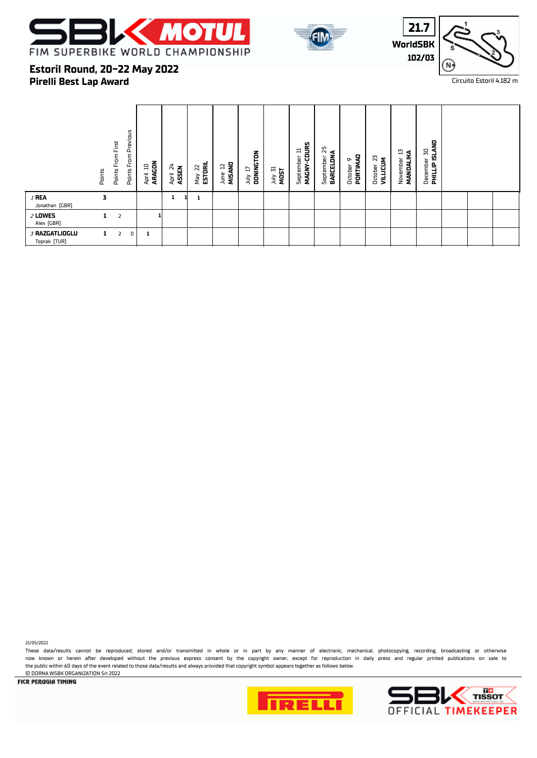





## **Estoril Round, 20-22 May 2022**

**Pirelli Best Lap Award**

|                                | Points       | Points From First | Previous<br>$\mathsf{From}$<br>Points | ARAGON<br>믑<br>April | $\frac{1}{2}$<br>April 24<br>ASSEN | May 22<br><b>ESTORIL</b><br>R | MISAND<br>5<br>June | DONINGTON<br>H<br>$\frac{2}{3}$ | July 31<br>MOST | MAGNY-COURS<br>급<br>September | 55<br>BARCELONA<br>September | PORTIMAD<br>๛<br>October | N<br><b>AILTICIN</b><br>October | N<br>MANDALIKA<br>November | <b>PHILLIP ISLAND</b><br>50<br>December |  |  |
|--------------------------------|--------------|-------------------|---------------------------------------|----------------------|------------------------------------|-------------------------------|---------------------|---------------------------------|-----------------|-------------------------------|------------------------------|--------------------------|---------------------------------|----------------------------|-----------------------------------------|--|--|
| $I$ REA<br>Jonathan (GBR)      | 3            |                   |                                       |                      |                                    | л                             |                     |                                 |                 |                               |                              |                          |                                 |                            |                                         |  |  |
| $2$ LOWES<br>Alex [GBR]        | $\mathbf{1}$ | $\overline{2}$    |                                       |                      |                                    |                               |                     |                                 |                 |                               |                              |                          |                                 |                            |                                         |  |  |
| 3 RAZGATLIOGLU<br>Toprak [TUR] | 1            | 2                 | 0                                     | 1                    |                                    |                               |                     |                                 |                 |                               |                              |                          |                                 |                            |                                         |  |  |

21/05/2022

These data/results cannot be reproduced, stored and/or transmitted in whole or in part by any manner of electronic, mechanical, photocopying, recording, broadcasting or otherwise now known or herein afer developed without the previous express consent by the copyright owner, except for reproduction in daily press and regular printed publications on sale to the public within 60 days of the event related to those data/results and always provided that copyright symbol appears together as follows below. © DORNA WSBK ORGANIZATION Srl 2022



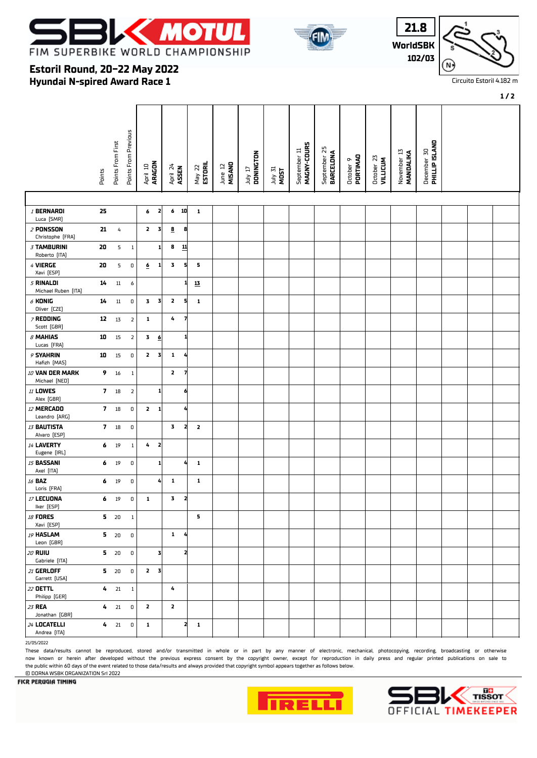

**Estoril Round, 20-22 May 2022**



October 9  **PORTIMAO**

October 23  **VILLICUM**

November 13  **MANDALIKA**

December 30<br>**PHILLIP ISLAND PHILLIP ISLAND**





Circuito Estoril 4.182 m

### **1 / 2**

#### **Hyundai N-spired Award Race 1** Points From Previous Points From Previous September 11<br>MAGNY-COURS Points From First Points From First  **BARCELONA MAGNY-COURS** September 25 September 11 July 17  **DONINGTON** April 10  **ARAGON** May 22  **ESTORIL** June 12  **MISANO** Points April 24  **ASSEN** July 31 **MOST** <sup>1</sup> **BERNARDI 25 6 2 6 10 1** Luca (SMR) **2 3 8 8** <sup>2</sup> **PONSSON 21** 4 Christophe (FRA) <sup>3</sup> **TAMBURINI 20** 5 1 **1 8 11** Roberto (ITA) <sup>4</sup> **VIERGE 20** 5 0 **6 1 3 5 5** Xavi (ESP) <sup>5</sup> **RINALDI 14** 11 6 **1 13** Michael Ruben (ITA) <sup>6</sup> **KONIG 14** 11 0 **3 3 2 5 1** Oliver (CZE) <sup>7</sup> **REDDING 12** 13 2 **1 4 7** Scott (GBR) <sup>8</sup> **MAHIAS 10** 15 2 **3 6 1**

| Roberto [ITA]                      |    |                |                |                |   |              |   |                          |  |  |  |  |  |  |
|------------------------------------|----|----------------|----------------|----------------|---|--------------|---|--------------------------|--|--|--|--|--|--|
| 4 VIERGE<br>Xavi [ESP]             | 20 | $\overline{5}$ | $\mathbf 0$    | 6 <sub>1</sub> |   | 3            | 5 | 5                        |  |  |  |  |  |  |
| $5$ RINALDI<br>Michael Ruben [ITA] | 14 | $11\,$         | 6              |                |   |              |   | $\overline{\mathbf{12}}$ |  |  |  |  |  |  |
| $6$ KONIG<br>Oliver [CZE]          | 14 | $11\,$         | $\mathbf 0$    | 3 <sub>3</sub> |   | $\mathbf{z}$ | 5 | 1                        |  |  |  |  |  |  |
| 7 REDDING<br>Scott (GBR)           | 12 | 13             | $\overline{2}$ | $\mathbf 1$    |   | 4            |   |                          |  |  |  |  |  |  |
| $8$ MAHIAS<br>Lucas [FRA]          | 10 | 15             | $\overline{2}$ | $3 \quad 6$    |   |              |   |                          |  |  |  |  |  |  |
| 9 SYAHRIN<br>Hafizh [MAS]          | 10 | 15             | $\mathbf 0$    | 2 <sub>3</sub> |   | $\mathbf{1}$ |   |                          |  |  |  |  |  |  |
| 10 VAN DER MARK<br>Michael [NED]   |    | $9 - 16$       | $\mathbf 1$    |                |   | $\mathbf{z}$ |   |                          |  |  |  |  |  |  |
| <b>11 LOWES</b><br>Alex (GBR)      |    | $7 \t18$       | $\mathbf 2$    |                | 1 |              |   |                          |  |  |  |  |  |  |
| 12 MERCADO<br>Leandro [ARG]        |    | $7 \t18$       | $\mathsf D$    | $2 \quad 1$    |   |              |   |                          |  |  |  |  |  |  |
| 13 BAUTISTA<br>Alvaro [ESP]        |    | $7 \t18$       | $\mathbf 0$    |                |   | 3            | 2 | $\mathbf{z}$             |  |  |  |  |  |  |
| 14 LAVERTY<br>Eugene [IRL]         | 6  | 19             | $\mathbf 1$    | 4 <sub>2</sub> |   |              |   |                          |  |  |  |  |  |  |
| 15 BASSANI<br>Axel [ITA]           |    | $6 - 19$       | 0              |                | 1 |              |   | 1                        |  |  |  |  |  |  |
| 16 BAZ<br>Loris [FRA]              | 6  | $19$           | $\mathsf D$    |                | 4 | $\mathbf 1$  |   | 1                        |  |  |  |  |  |  |
| 17 LECUONA<br>Iker [ESP]           |    | $6 - 19$       | $\mathbf 0$    | $\mathbf{1}$   |   | 3            | 2 |                          |  |  |  |  |  |  |
| 18 FORES<br>Xavi [ESP]             |    | $5 - 20$       | $\,1\,$        |                |   |              |   | 5                        |  |  |  |  |  |  |
| 19 HASLAM<br>Leon (GBR)            |    | $5 - 20$       | $\mathsf D$    |                |   | $\mathbf{1}$ |   |                          |  |  |  |  |  |  |
| 20 RUIU<br>Gabriele [ITA]          | 5. | 20             | 0              |                | 3 |              |   |                          |  |  |  |  |  |  |
| 21 GERLOFF<br>Garrett [USA]        |    | $5 - 20$       | 0              | 2 <sub>3</sub> |   |              |   |                          |  |  |  |  |  |  |
| 22 OETTL<br>Philipp (GER)          | 4  | 21             | $\mathbf{1}$   |                |   | 4            |   |                          |  |  |  |  |  |  |
| 23 REA<br>Jonathan [GBR]           | 4  | 21             | $\mathbf 0$    | 2              |   | 2            |   |                          |  |  |  |  |  |  |
| 24 LOCATELLI<br>Andrea [ITA]       | 4  | 21             | 0              | $\mathbf{1}$   |   |              | 2 | 1                        |  |  |  |  |  |  |
|                                    |    |                |                |                |   |              |   |                          |  |  |  |  |  |  |

21/05/2022

These data/results cannot be reproduced, stored and/or transmitted in whole or in part by any manner of electronic, mechanical, photocopying, recording, broadcasting or otherwise now known or herein afer developed without the previous express consent by the copyright owner, except for reproduction in daily press and regular printed publications on sale to the public within 60 days of the event related to those data/results and always provided that copyright symbol appears together as follows below. © DORNA WSBK ORGANIZATION Srl 2022



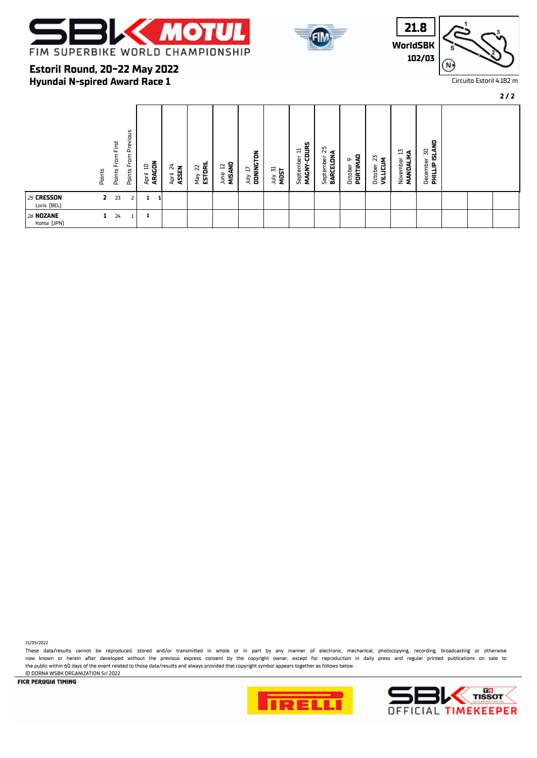



**WorldSBK 21.8 102/03**



Circuito Estoril 4.182 m

### **2 / 2**

### **Hyundai N-spired Award Race 1 Estoril Round, 20-22 May 2022**

| Previous<br>From First<br>From<br>Points<br>Points<br>Points | ARAGON<br>묘<br>April | May 22<br><b>ESTORIL</b><br>April 24<br>ASSEN | MISAND<br>$\mathbf{a}$<br>June | $July$ 17<br>DONINGTON | July 31<br>MOST | MAGNY-COURS<br>ᄇ<br>September | September 25<br>BARCELONA | 뭉<br>ᢆ<br>PORTIM<br>October | Z<br>5<br><b>AILTICR</b><br>tober<br>å | EI.<br>MANDALIKA<br>Novembe | <b>ISLAND</b><br>50<br>December<br><b>PHILLIP</b> |  |  |
|--------------------------------------------------------------|----------------------|-----------------------------------------------|--------------------------------|------------------------|-----------------|-------------------------------|---------------------------|-----------------------------|----------------------------------------|-----------------------------|---------------------------------------------------|--|--|
| <b>25 CRESSON</b><br>2<br>23<br>2<br>Loris [BEL]             | ı                    |                                               |                                |                        |                 |                               |                           |                             |                                        |                             |                                                   |  |  |
| 26 NOZANE<br>$\mathbf{1}$<br>24<br>Kohta [JPN]               | 1                    |                                               |                                |                        |                 |                               |                           |                             |                                        |                             |                                                   |  |  |

These data/results cannot be reproduced, stored and/or transmitted in whole or in part by any manner of electronic, mechanical, photocopying, recording, broadcasting or otherwise now known or herein afer developed without the previous express consent by the copyright owner, except for reproduction in daily press and regular printed publications on sale to the public within 60 days of the event related to those data/results and always provided that copyright symbol appears together as follows below. © DORNA WSBK ORGANIZATION Srl 2022

**FICR PERUGIA TIMING** 

21/05/2022



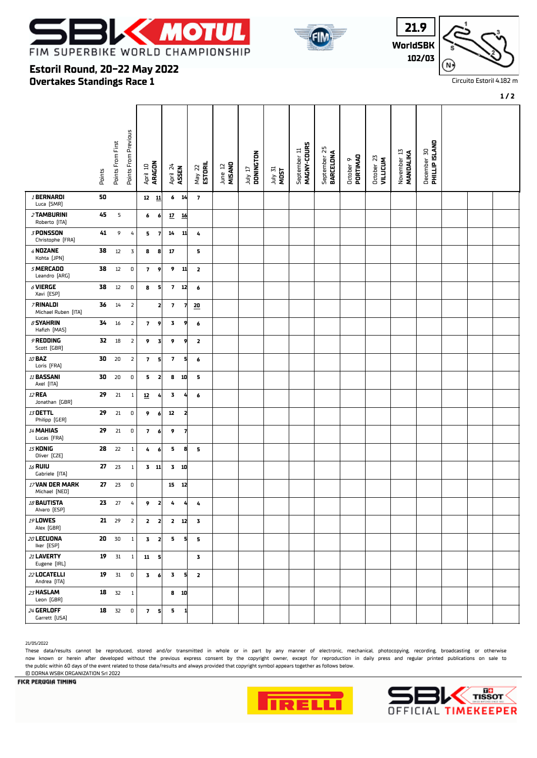



**WorldSBK 21.9 102/03**



Circuito Estoril 4.182 m

### **Overtakes Standings Race 1 Estoril Round, 20-22 May 2022**

|                                  | Points | Points From First | Points From Previous | April 10<br><b>ARAGON</b> |                         | April 24<br>ASSEN        |                 | May 22<br><b>ESTORIL</b> | June 12<br>MISANO | DONINGTON<br>TI VIII | July 31<br>MOST | MAGNY-COURS<br>September 11 | September 25<br>BARCELONA | October 9<br>PORTIMAO | October 23<br>VILLICUM | November 13<br>MANDALIKA | December 30<br><b>PHILLIP ISLAND</b> |  |  |
|----------------------------------|--------|-------------------|----------------------|---------------------------|-------------------------|--------------------------|-----------------|--------------------------|-------------------|----------------------|-----------------|-----------------------------|---------------------------|-----------------------|------------------------|--------------------------|--------------------------------------|--|--|
| /BERNARDI<br>Luca [SMR]          | 50     |                   |                      |                           | $12 \frac{11}{2}$       |                          | 6 <sub>14</sub> | $\overline{\mathbf{z}}$  |                   |                      |                 |                             |                           |                       |                        |                          |                                      |  |  |
| 2 TAMBURINI<br>Roberto [ITA]     | 45     | 5                 |                      | 6                         | 6                       | $\overline{\mathbf{12}}$ | 16              |                          |                   |                      |                 |                             |                           |                       |                        |                          |                                      |  |  |
| 3 PONSSON<br>Christophe [FRA]    | 41     | 9                 | 4                    | 5                         | 7                       | 14                       | 11              | 4                        |                   |                      |                 |                             |                           |                       |                        |                          |                                      |  |  |
| 4 NOZANE<br>Kohta [JPN]          | 38     | $12\,$            | 3                    | 8                         | 8                       | 17                       |                 | 5                        |                   |                      |                 |                             |                           |                       |                        |                          |                                      |  |  |
| 5 MERCADO<br>Leandro (ARG)       | 38     | $12\,$            | 0                    | $\overline{\mathbf{z}}$   | 9                       | 9                        | 11              | $\overline{\mathbf{z}}$  |                   |                      |                 |                             |                           |                       |                        |                          |                                      |  |  |
| $6$ VIERGE<br>Xavi [ESP]         | 38     | 12                | $\mathbf 0$          | 8                         | 5                       | 7 <sup>7</sup>           | 12              | 6                        |                   |                      |                 |                             |                           |                       |                        |                          |                                      |  |  |
| 7 RINALDI<br>Michael Ruben [ITA] | 36     | 14                | $\mathsf{2}$         |                           | 2                       | $\overline{\mathbf{z}}$  | 7               | 20                       |                   |                      |                 |                             |                           |                       |                        |                          |                                      |  |  |
| $\beta$ SYAHRIN<br>Hafizh [MAS]  | 34     | 16                | $\overline{2}$       | $\overline{\mathbf{z}}$   | 9                       | 3                        | 9               | 6                        |                   |                      |                 |                             |                           |                       |                        |                          |                                      |  |  |
| 9 REDDING<br>Scott (GBR)         | 32     | 18                | $\overline{2}$       | 9                         | -3                      | 9                        | 9               | $\mathbf{z}$             |                   |                      |                 |                             |                           |                       |                        |                          |                                      |  |  |
| 10 BAZ<br>Loris [FRA]            | 30     | 20                | $\mathsf{2}$         | $\overline{\mathbf{z}}$   | 5                       | $\overline{\mathbf{z}}$  | 5               | 6                        |                   |                      |                 |                             |                           |                       |                        |                          |                                      |  |  |
| 11 BASSANI<br>Axel [ITA]         | 30     | 20                | 0                    | 5                         | $\overline{\mathbf{z}}$ | 8                        | 10              | 5                        |                   |                      |                 |                             |                           |                       |                        |                          |                                      |  |  |
| 12 REA<br>Jonathan [GBR]         | 29     | 21                | $\mathbf 1$          | $\mathbf{12}$             | 4                       | 3                        |                 | 6                        |                   |                      |                 |                             |                           |                       |                        |                          |                                      |  |  |
| 13 OETTL<br>Philipp [GER]        | 29     | $21\,$            | $\mathbf 0$          | 9                         | 6                       | 12                       | 2               |                          |                   |                      |                 |                             |                           |                       |                        |                          |                                      |  |  |
| 14 MAHIAS<br>Lucas [FRA]         | 29     | 21                | $\pmb{0}$            | $\overline{\mathbf{z}}$   | 6                       | 9                        |                 |                          |                   |                      |                 |                             |                           |                       |                        |                          |                                      |  |  |
| 15 KONIG<br>Oliver (CZE)         | 28     | 22                | $\mathbf{1}$         | 4                         | 6                       | 5                        | 8               | 5                        |                   |                      |                 |                             |                           |                       |                        |                          |                                      |  |  |
| <b>16 RUIU</b><br>Gabriele [ITA] | 27     | 23                | $\mathbf 1$          |                           | $3$ 11                  |                          | $3$ 10          |                          |                   |                      |                 |                             |                           |                       |                        |                          |                                      |  |  |
| 17 VAN DER MARK<br>Michael [NED] | 27     | 23                | 0                    |                           |                         | 15 12                    |                 |                          |                   |                      |                 |                             |                           |                       |                        |                          |                                      |  |  |
| 18 BAUTISTA<br>Alvaro (ESP)      | 23     | 27                | $\sqrt{4}$           | 9                         | $\overline{\mathbf{z}}$ | 4                        | 4               | 4                        |                   |                      |                 |                             |                           |                       |                        |                          |                                      |  |  |
| <b>19 LOWES</b><br>Alex [GBR]    |        | 21 29             | $\overline{2}$       |                           | 2 <sub>2</sub>          |                          | 2 12            | 3                        |                   |                      |                 |                             |                           |                       |                        |                          |                                      |  |  |
| $20$ LECUONA<br>Iker (ESP)       | 20     | 30                | $\mathbf{1}$         |                           | 3 <sub>2</sub>          | 5                        | 5               | 5                        |                   |                      |                 |                             |                           |                       |                        |                          |                                      |  |  |
| 21 LAVERTY<br>Eugene [IRL]       | 19     | 31                | $\mathbf{1}$         |                           | $11 \quad 5$            |                          |                 | 3                        |                   |                      |                 |                             |                           |                       |                        |                          |                                      |  |  |
| 22 LOCATELLI<br>Andrea (ITA)     | 19     | 31                | 0                    |                           | 36                      | 3                        | 5               | $\mathbf{z}$             |                   |                      |                 |                             |                           |                       |                        |                          |                                      |  |  |
| 23 HASLAM<br>Leon (GBR)          | 18     | 32                | $\mathbf{1}$         |                           |                         |                          | 8 10            |                          |                   |                      |                 |                             |                           |                       |                        |                          |                                      |  |  |
| 24 GERLOFF<br>Garrett [USA]      | 18     | 32                | 0                    |                           | 7 <sub>5</sub>          | 5.                       | 1               |                          |                   |                      |                 |                             |                           |                       |                        |                          |                                      |  |  |

21/05/2022

These data/results cannot be reproduced, stored and/or transmitted in whole or in part by any manner of electronic, mechanical, photocopying, recording, broadcasting or otherwise now known or herein afer developed without the previous express consent by the copyright owner, except for reproduction in daily press and regular printed publications on sale to the public within 60 days of the event related to those data/results and always provided that copyright symbol appears together as follows below.

© DORNA WSBK ORGANIZATION Srl 2022